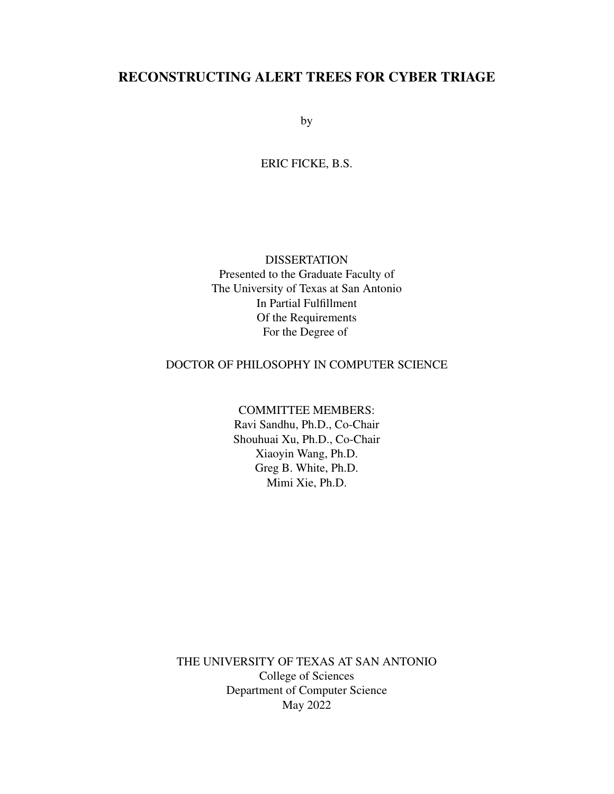# <span id="page-0-0"></span>RECONSTRUCTING ALERT TREES FOR CYBER TRIAGE

by

ERIC FICKE, B.S.

# DISSERTATION

Presented to the Graduate Faculty of The University of Texas at San Antonio In Partial Fulfillment Of the Requirements For the Degree of

## DOCTOR OF PHILOSOPHY IN COMPUTER SCIENCE

## COMMITTEE MEMBERS:

Ravi Sandhu, Ph.D., Co-Chair Shouhuai Xu, Ph.D., Co-Chair Xiaoyin Wang, Ph.D. Greg B. White, Ph.D. Mimi Xie, Ph.D.

THE UNIVERSITY OF TEXAS AT SAN ANTONIO College of Sciences Department of Computer Science May 2022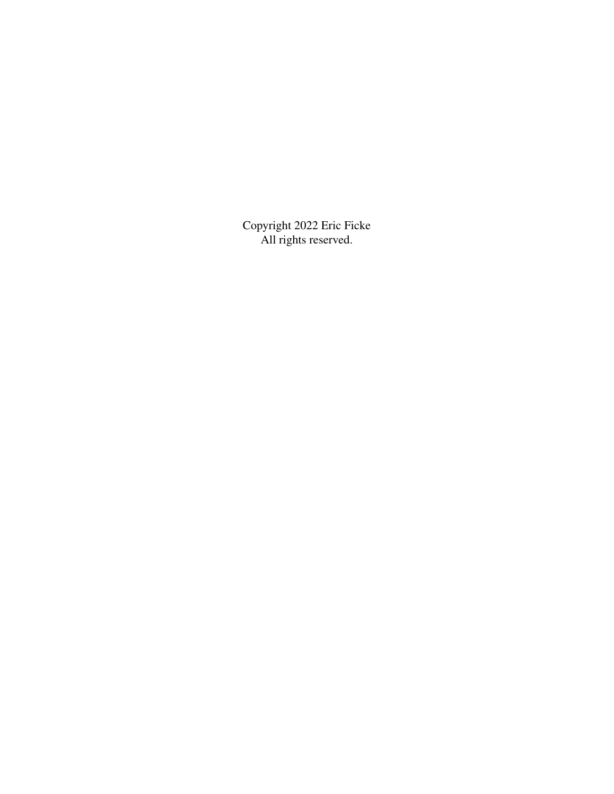Copyright 2022 Eric Ficke All rights reserved.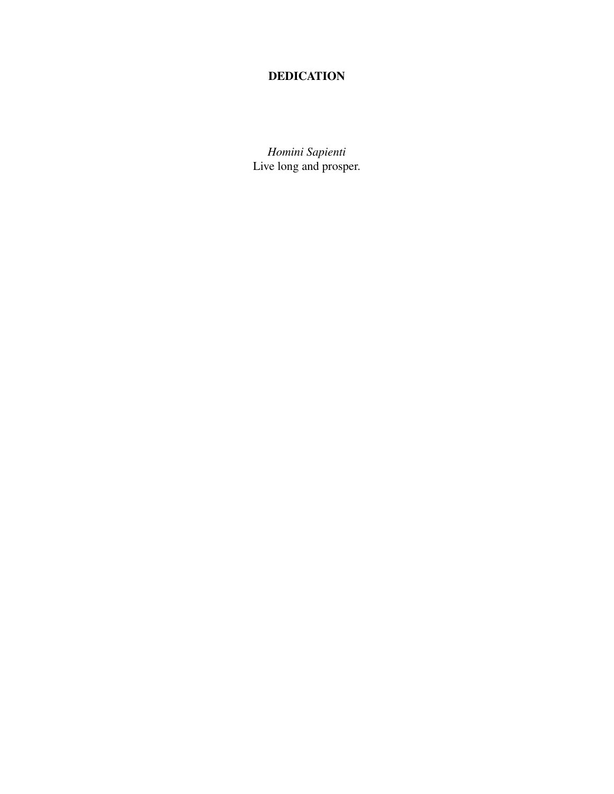# DEDICATION

*Homini Sapienti* Live long and prosper.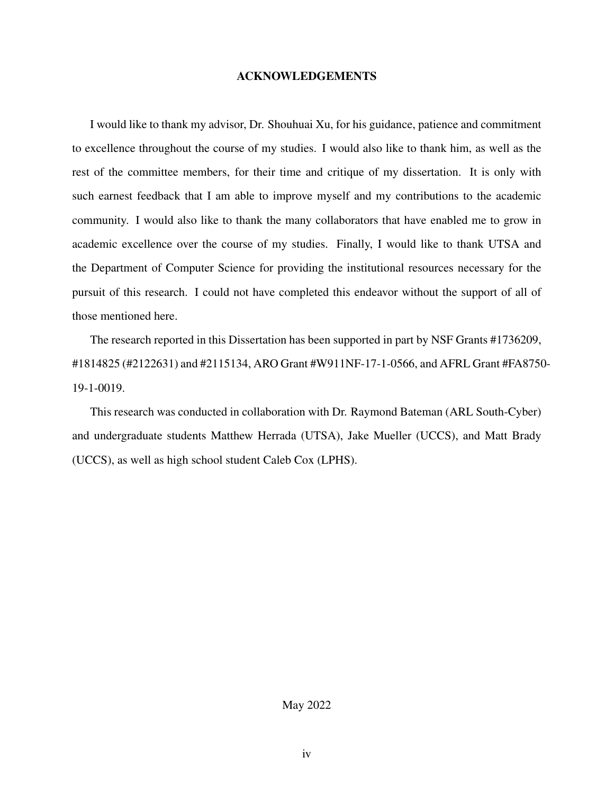#### ACKNOWLEDGEMENTS

I would like to thank my advisor, Dr. Shouhuai Xu, for his guidance, patience and commitment to excellence throughout the course of my studies. I would also like to thank him, as well as the rest of the committee members, for their time and critique of my dissertation. It is only with such earnest feedback that I am able to improve myself and my contributions to the academic community. I would also like to thank the many collaborators that have enabled me to grow in academic excellence over the course of my studies. Finally, I would like to thank UTSA and the Department of Computer Science for providing the institutional resources necessary for the pursuit of this research. I could not have completed this endeavor without the support of all of those mentioned here.

The research reported in this Dissertation has been supported in part by NSF Grants #1736209, #1814825 (#2122631) and #2115134, ARO Grant #W911NF-17-1-0566, and AFRL Grant #FA8750- 19-1-0019.

This research was conducted in collaboration with Dr. Raymond Bateman (ARL South-Cyber) and undergraduate students Matthew Herrada (UTSA), Jake Mueller (UCCS), and Matt Brady (UCCS), as well as high school student Caleb Cox (LPHS).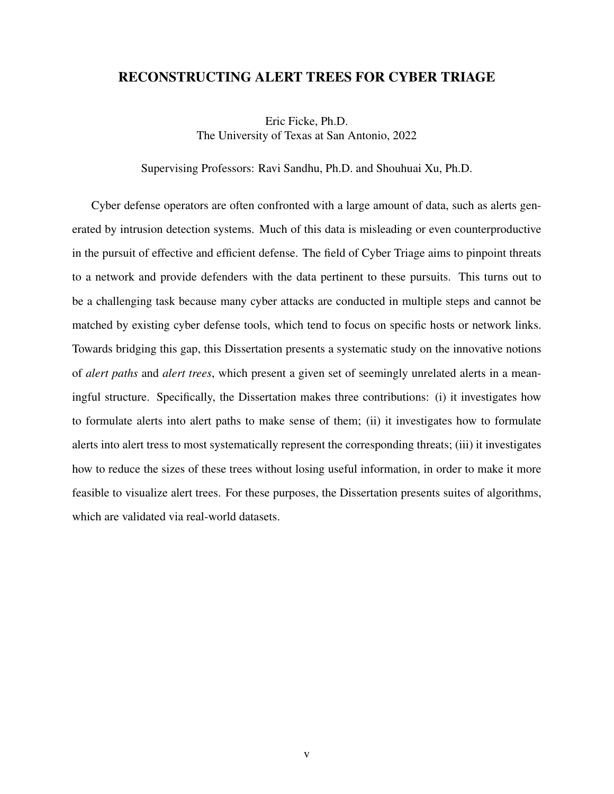## RECONSTRUCTING ALERT TREES FOR CYBER TRIAGE

Eric Ficke, Ph.D. The University of Texas at San Antonio, 2022

Supervising Professors: Ravi Sandhu, Ph.D. and Shouhuai Xu, Ph.D.

Cyber defense operators are often confronted with a large amount of data, such as alerts generated by intrusion detection systems. Much of this data is misleading or even counterproductive in the pursuit of effective and efficient defense. The field of Cyber Triage aims to pinpoint threats to a network and provide defenders with the data pertinent to these pursuits. This turns out to be a challenging task because many cyber attacks are conducted in multiple steps and cannot be matched by existing cyber defense tools, which tend to focus on specific hosts or network links. Towards bridging this gap, this Dissertation presents a systematic study on the innovative notions of *alert paths* and *alert trees*, which present a given set of seemingly unrelated alerts in a meaningful structure. Specifically, the Dissertation makes three contributions: (i) it investigates how to formulate alerts into alert paths to make sense of them; (ii) it investigates how to formulate alerts into alert tress to most systematically represent the corresponding threats; (iii) it investigates how to reduce the sizes of these trees without losing useful information, in order to make it more feasible to visualize alert trees. For these purposes, the Dissertation presents suites of algorithms, which are validated via real-world datasets.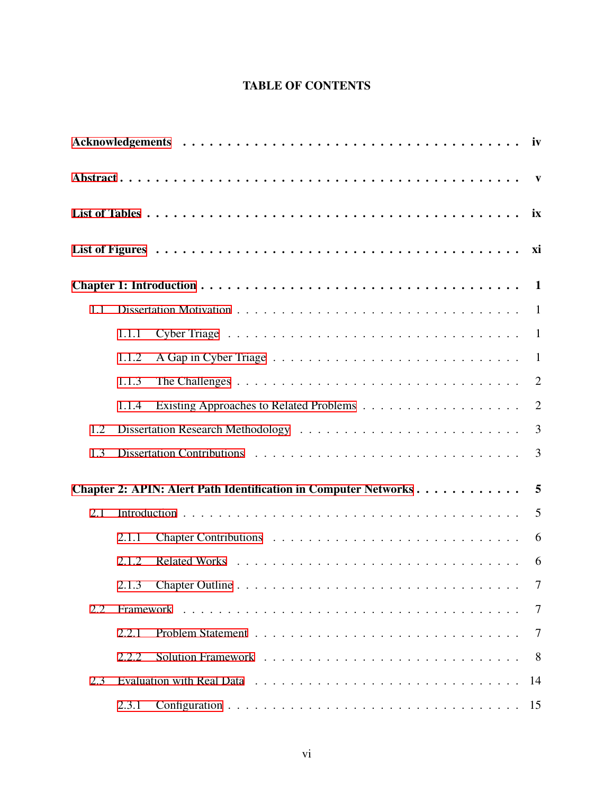# TABLE OF CONTENTS

<span id="page-5-0"></span>

|     |       |                   | ix |
|-----|-------|-------------------|----|
|     |       |                   | xi |
|     |       |                   |    |
| 1.1 |       |                   |    |
|     | 1.1.1 |                   |    |
|     | 1.1.2 |                   |    |
|     | 1.1.3 |                   | 2  |
|     | 1.1.4 |                   | 2  |
| 1.2 |       |                   |    |
| 1.3 |       |                   |    |
|     |       |                   |    |
| 2.1 |       |                   |    |
|     | 2.1.1 |                   | 6  |
|     | 2.1.2 |                   | 6  |
|     |       | $\cdot$ $\cdot$ 7 |    |
| 2.2 |       |                   | 7  |
|     | 2.2.1 |                   | 7  |
|     | 2.2.2 |                   | 8  |
| 2.3 |       |                   | 14 |
|     | 2.3.1 |                   | 15 |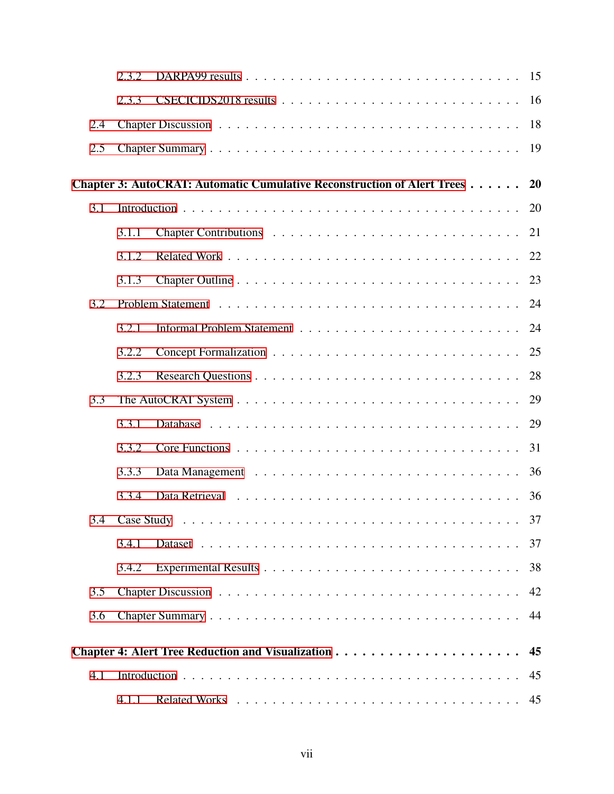|     | 2.3.2 |                                                                         | 15 |
|-----|-------|-------------------------------------------------------------------------|----|
|     | 2.3.3 |                                                                         | 16 |
| 2.4 |       |                                                                         | 18 |
| 2.5 |       |                                                                         | 19 |
|     |       | Chapter 3: AutoCRAT: Automatic Cumulative Reconstruction of Alert Trees | 20 |
| 3.1 |       |                                                                         | 20 |
|     | 3.1.1 |                                                                         | 21 |
|     |       |                                                                         |    |
|     | 3.1.2 |                                                                         | 22 |
|     | 3.1.3 |                                                                         | 23 |
| 3.2 |       |                                                                         | 24 |
|     | 3.2.1 |                                                                         | 24 |
|     | 3.2.2 |                                                                         | 25 |
|     | 3.2.3 |                                                                         | 28 |
| 3.3 |       |                                                                         | 29 |
|     | 3.3.1 |                                                                         | 29 |
|     | 3.3.2 |                                                                         | 31 |
|     | 3.3.3 |                                                                         | 36 |
|     | 3.3.4 |                                                                         | 36 |
|     |       |                                                                         |    |
|     | 3.4.1 |                                                                         | 37 |
|     | 3.4.2 |                                                                         | 38 |
| 3.5 |       |                                                                         | 42 |
| 3.6 |       |                                                                         | 44 |
|     |       |                                                                         |    |
|     |       |                                                                         |    |
| 4.1 |       |                                                                         | 45 |
|     | 4.1.1 |                                                                         |    |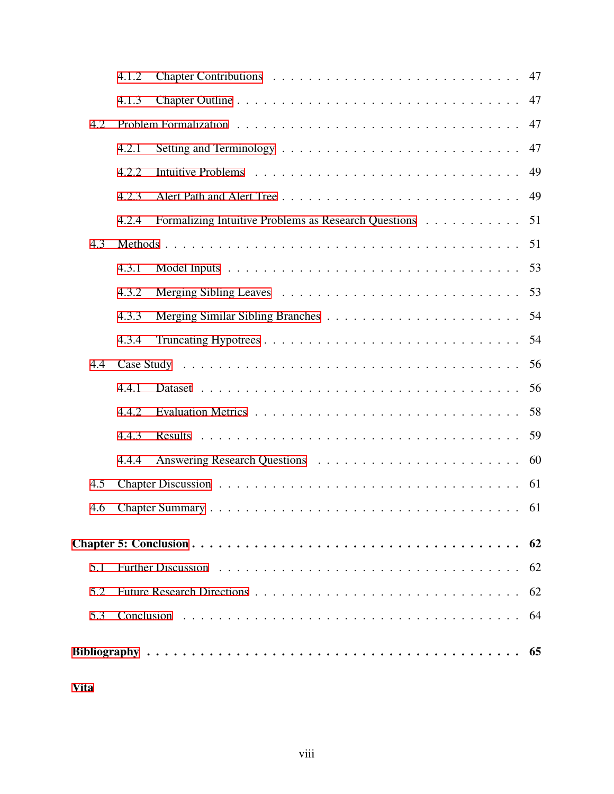|     | 4.1.2 |                                                      | 47  |  |  |
|-----|-------|------------------------------------------------------|-----|--|--|
|     | 4.1.3 |                                                      | 47  |  |  |
| 4.2 | 47    |                                                      |     |  |  |
|     | 4.2.1 |                                                      | 47  |  |  |
|     | 4.2.2 |                                                      | 49  |  |  |
|     | 4.2.3 |                                                      | 49  |  |  |
|     | 4.2.4 | Formalizing Intuitive Problems as Research Questions | 51  |  |  |
| 4.3 |       |                                                      | 51  |  |  |
|     | 4.3.1 |                                                      | 53  |  |  |
|     | 4.3.2 |                                                      | 53  |  |  |
|     | 4.3.3 |                                                      | 54  |  |  |
|     | 4.3.4 |                                                      | 54  |  |  |
| 4.4 |       |                                                      | 56  |  |  |
|     | 4.4.1 |                                                      | 56  |  |  |
|     | 4.4.2 |                                                      |     |  |  |
|     | 4.4.3 |                                                      |     |  |  |
|     | 4.4.4 |                                                      | 60  |  |  |
| 4.5 |       |                                                      |     |  |  |
| 4.6 |       |                                                      |     |  |  |
|     |       |                                                      | 62  |  |  |
| 5.1 |       |                                                      | 62  |  |  |
| 5.2 |       |                                                      | 62  |  |  |
| 5.3 |       |                                                      | -64 |  |  |
|     |       |                                                      | 65  |  |  |

[Vita](#page-75-0)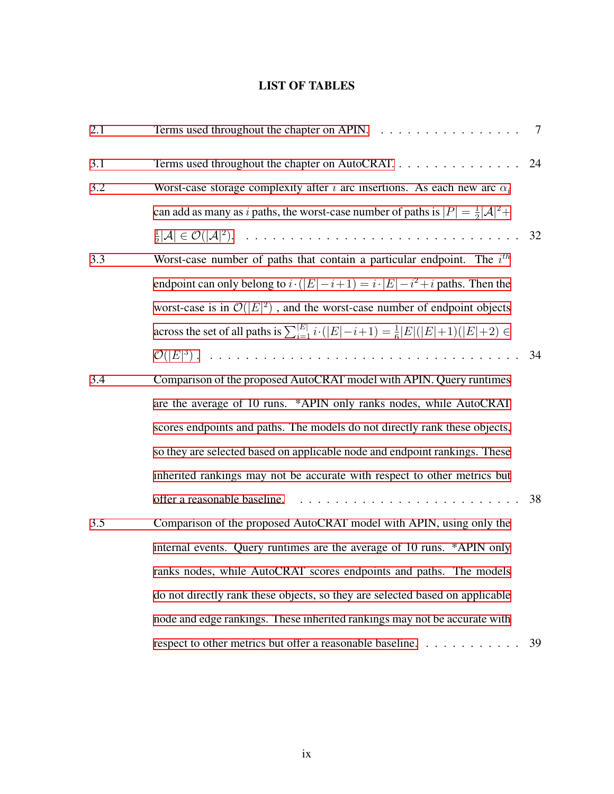# LIST OF TABLES

<span id="page-8-0"></span>

| 2.1 | Terms used throughout the chapter on APIN.                                                                     | $\overline{7}$ |
|-----|----------------------------------------------------------------------------------------------------------------|----------------|
| 3.1 | Terms used throughout the chapter on AutoCRAT.                                                                 | 24             |
| 3.2 | Worst-case storage complexity after i arc insertions. As each new arc $\alpha_i$                               |                |
|     | can add as many as i paths, the worst-case number of paths is $ P  = \frac{1}{2}  \mathcal{A} ^2 +$            |                |
|     |                                                                                                                | 32             |
| 3.3 | Worst-case number of paths that contain a particular endpoint. The $ith$                                       |                |
|     | endpoint can only belong to $i \cdot ( E  - i + 1) = i \cdot  E  - i^2 + i$ paths. Then the                    |                |
|     | worst-case is in $\mathcal{O}( E ^2)$ , and the worst-case number of endpoint objects                          |                |
|     | across the set of all paths is $\sum_{i=1}^{ E } i \cdot ( E  - i + 1) = \frac{1}{6} E ( E  + 1)( E  + 2) \in$ |                |
|     |                                                                                                                | 34             |
| 3.4 | Comparison of the proposed AutoCRAT model with APIN. Query runtimes                                            |                |
|     | are the average of 10 runs. *APIN only ranks nodes, while AutoCRAT                                             |                |
|     | scores endpoints and paths. The models do not directly rank these objects,                                     |                |
|     | so they are selected based on applicable node and endpoint rankings. These                                     |                |
|     | inherited rankings may not be accurate with respect to other metrics but                                       |                |
|     |                                                                                                                | 38             |
| 3.5 | Comparison of the proposed AutoCRAT model with APIN, using only the                                            |                |
|     | internal events. Query runtimes are the average of 10 runs. *APIN only                                         |                |
|     | ranks nodes, while AutoCRAT scores endpoints and paths. The models                                             |                |
|     | do not directly rank these objects, so they are selected based on applicable                                   |                |
|     | node and edge rankings. These inherited rankings may not be accurate with                                      |                |
|     | respect to other metrics but offer a reasonable baseline.                                                      | 39             |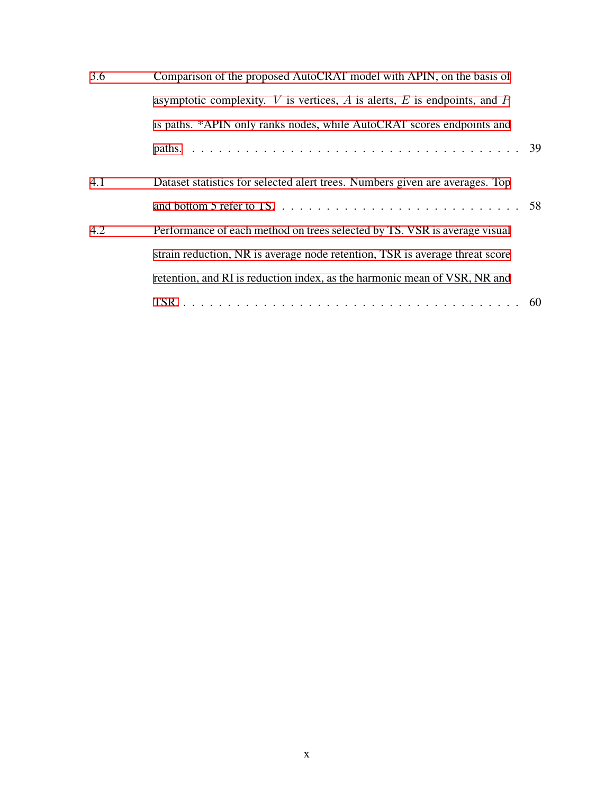| 3.6 | Comparison of the proposed AutoCRAT model with APIN, on the basis of             |  |  |  |  |
|-----|----------------------------------------------------------------------------------|--|--|--|--|
|     | asymptotic complexity. $V$ is vertices, $A$ is alerts, $E$ is endpoints, and $P$ |  |  |  |  |
|     | is paths. *APIN only ranks nodes, while AutoCRAT scores endpoints and            |  |  |  |  |
|     |                                                                                  |  |  |  |  |
| 4.1 | Dataset statistics for selected alert trees. Numbers given are averages. Top     |  |  |  |  |
|     |                                                                                  |  |  |  |  |
| 4.2 | Performance of each method on trees selected by TS. VSR is average visual        |  |  |  |  |
|     | strain reduction, NR is average node retention, TSR is average threat score      |  |  |  |  |
|     | retention, and RI is reduction index, as the harmonic mean of VSR, NR and        |  |  |  |  |
|     |                                                                                  |  |  |  |  |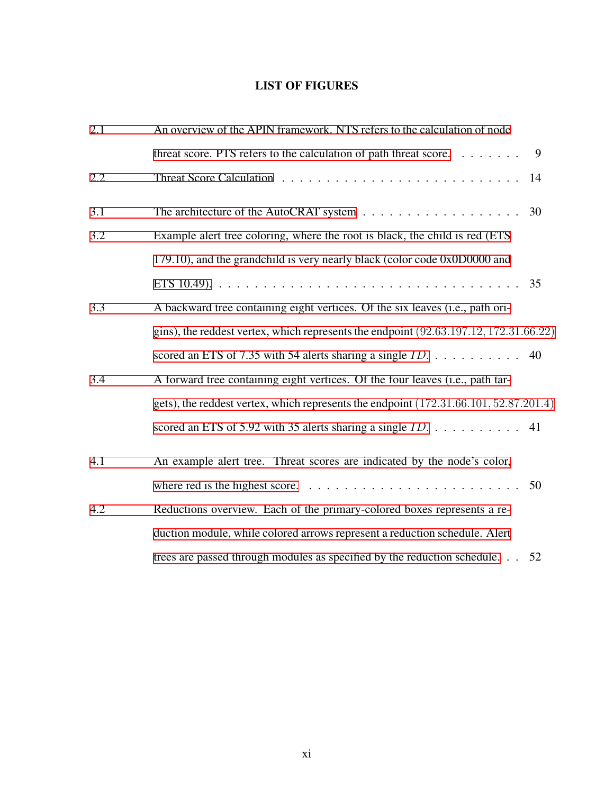# LIST OF FIGURES

| 2.1 | An overview of the APIN framework. NTS refers to the calculation of node                   |  |  |  |  |
|-----|--------------------------------------------------------------------------------------------|--|--|--|--|
|     | threat score. PTS refers to the calculation of path threat score.<br>9                     |  |  |  |  |
| 2.2 | 14                                                                                         |  |  |  |  |
| 3.1 | 30                                                                                         |  |  |  |  |
| 3.2 | Example alert tree coloring, where the root is black, the child is red (ETS)               |  |  |  |  |
|     | 179.10), and the grandchild is very nearly black (color code 0x0D0000 and                  |  |  |  |  |
|     | 35                                                                                         |  |  |  |  |
| 3.3 | A backward tree containing eight vertices. Of the six leaves (i.e., path ori-              |  |  |  |  |
|     | gins), the reddest vertex, which represents the endpoint $(92.63.197.12, 172.31.66.22)$    |  |  |  |  |
|     | scored an ETS of 7.35 with 54 alerts sharing a single $ID. \ldots \ldots \ldots \ldots$ 40 |  |  |  |  |
| 3.4 | A forward tree containing eight vertices. Of the four leaves (i.e., path tar-              |  |  |  |  |
|     | gets), the reddest vertex, which represents the endpoint (172.31.66.101, 52.87.201.4)      |  |  |  |  |
|     | scored an ETS of 5.92 with 35 alerts sharing a single $ID. \ldots \ldots \ldots$ 41        |  |  |  |  |
| 4.1 | An example alert tree. Threat scores are indicated by the node's color,                    |  |  |  |  |
|     | 50                                                                                         |  |  |  |  |
| 4.2 | Reductions overview. Each of the primary-colored boxes represents a re-                    |  |  |  |  |
|     | duction module, while colored arrows represent a reduction schedule. Alert                 |  |  |  |  |
|     | trees are passed through modules as specified by the reduction schedule.<br>52             |  |  |  |  |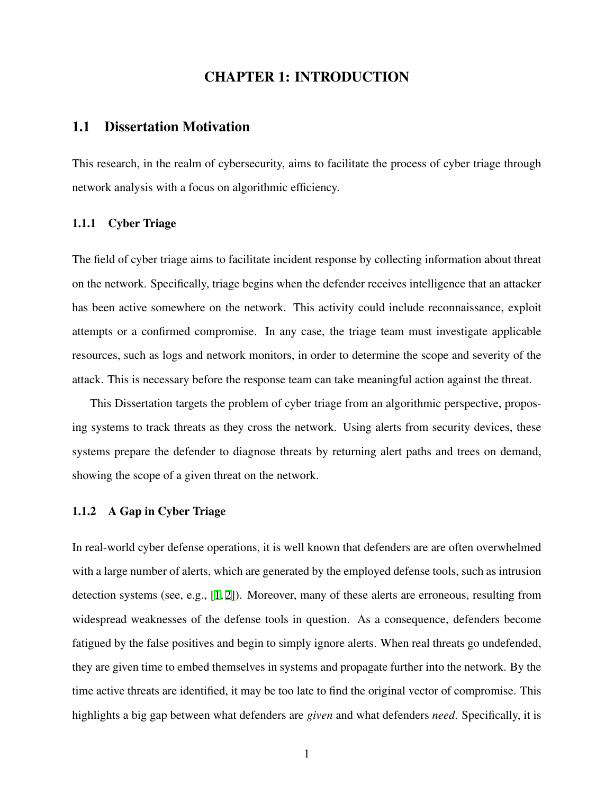## CHAPTER 1: INTRODUCTION

## <span id="page-11-1"></span><span id="page-11-0"></span>1.1 Dissertation Motivation

This research, in the realm of cybersecurity, aims to facilitate the process of cyber triage through network analysis with a focus on algorithmic efficiency.

## <span id="page-11-2"></span>1.1.1 Cyber Triage

The field of cyber triage aims to facilitate incident response by collecting information about threat on the network. Specifically, triage begins when the defender receives intelligence that an attacker has been active somewhere on the network. This activity could include reconnaissance, exploit attempts or a confirmed compromise. In any case, the triage team must investigate applicable resources, such as logs and network monitors, in order to determine the scope and severity of the attack. This is necessary before the response team can take meaningful action against the threat.

This Dissertation targets the problem of cyber triage from an algorithmic perspective, proposing systems to track threats as they cross the network. Using alerts from security devices, these systems prepare the defender to diagnose threats by returning alert paths and trees on demand, showing the scope of a given threat on the network.

#### <span id="page-11-3"></span>1.1.2 A Gap in Cyber Triage

In real-world cyber defense operations, it is well known that defenders are are often overwhelmed with a large number of alerts, which are generated by the employed defense tools, such as intrusion detection systems (see, e.g., [[1,](#page-75-1) [2\]](#page-75-2)). Moreover, many of these alerts are erroneous, resulting from widespread weaknesses of the defense tools in question. As a consequence, defenders become fatigued by the false positives and begin to simply ignore alerts. When real threats go undefended, they are given time to embed themselves in systems and propagate further into the network. By the time active threats are identified, it may be too late to find the original vector of compromise. This highlights a big gap between what defenders are *given* and what defenders *need*. Specifically, it is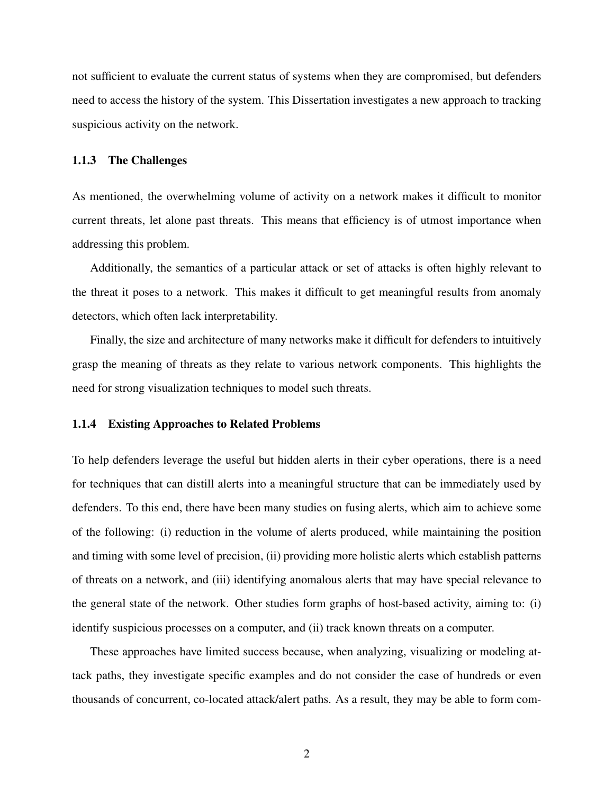not sufficient to evaluate the current status of systems when they are compromised, but defenders need to access the history of the system. This Dissertation investigates a new approach to tracking suspicious activity on the network.

#### <span id="page-12-0"></span>1.1.3 The Challenges

As mentioned, the overwhelming volume of activity on a network makes it difficult to monitor current threats, let alone past threats. This means that efficiency is of utmost importance when addressing this problem.

Additionally, the semantics of a particular attack or set of attacks is often highly relevant to the threat it poses to a network. This makes it difficult to get meaningful results from anomaly detectors, which often lack interpretability.

Finally, the size and architecture of many networks make it difficult for defenders to intuitively grasp the meaning of threats as they relate to various network components. This highlights the need for strong visualization techniques to model such threats.

## <span id="page-12-1"></span>1.1.4 Existing Approaches to Related Problems

To help defenders leverage the useful but hidden alerts in their cyber operations, there is a need for techniques that can distill alerts into a meaningful structure that can be immediately used by defenders. To this end, there have been many studies on fusing alerts, which aim to achieve some of the following: (i) reduction in the volume of alerts produced, while maintaining the position and timing with some level of precision, (ii) providing more holistic alerts which establish patterns of threats on a network, and (iii) identifying anomalous alerts that may have special relevance to the general state of the network. Other studies form graphs of host-based activity, aiming to: (i) identify suspicious processes on a computer, and (ii) track known threats on a computer.

These approaches have limited success because, when analyzing, visualizing or modeling attack paths, they investigate specific examples and do not consider the case of hundreds or even thousands of concurrent, co-located attack/alert paths. As a result, they may be able to form com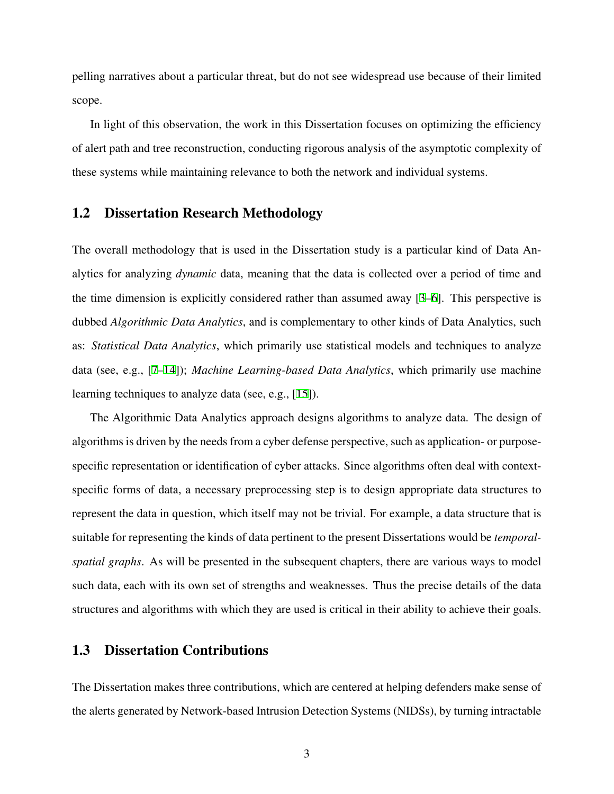pelling narratives about a particular threat, but do not see widespread use because of their limited scope.

In light of this observation, the work in this Dissertation focuses on optimizing the efficiency of alert path and tree reconstruction, conducting rigorous analysis of the asymptotic complexity of these systems while maintaining relevance to both the network and individual systems.

## <span id="page-13-0"></span>1.2 Dissertation Research Methodology

The overall methodology that is used in the Dissertation study is a particular kind of Data Analytics for analyzing *dynamic* data, meaning that the data is collected over a period of time and the time dimension is explicitly considered rather than assumed away [\[3](#page-75-3)[–6](#page-75-4)]. This perspective is dubbed *Algorithmic Data Analytics*, and is complementary to other kinds of Data Analytics, such as: *Statistical Data Analytics*, which primarily use statistical models and techniques to analyze data (see, e.g., [\[7](#page-75-5)[–14](#page-76-0)]); *Machine Learning-based Data Analytics*, which primarily use machine learning techniques to analyze data (see, e.g., [\[15](#page-76-1)]).

The Algorithmic Data Analytics approach designs algorithms to analyze data. The design of algorithms is driven by the needs from a cyber defense perspective, such as application- or purposespecific representation or identification of cyber attacks. Since algorithms often deal with contextspecific forms of data, a necessary preprocessing step is to design appropriate data structures to represent the data in question, which itself may not be trivial. For example, a data structure that is suitable for representing the kinds of data pertinent to the present Dissertations would be *temporalspatial graphs*. As will be presented in the subsequent chapters, there are various ways to model such data, each with its own set of strengths and weaknesses. Thus the precise details of the data structures and algorithms with which they are used is critical in their ability to achieve their goals.

## <span id="page-13-1"></span>1.3 Dissertation Contributions

The Dissertation makes three contributions, which are centered at helping defenders make sense of the alerts generated by Network-based Intrusion Detection Systems (NIDSs), by turning intractable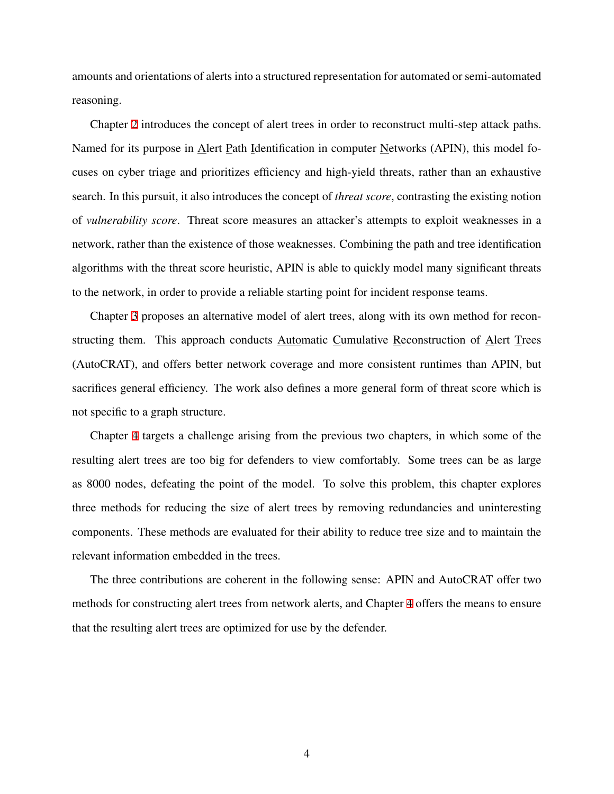amounts and orientations of alerts into a structured representation for automated or semi-automated reasoning.

Chapter [2](#page-15-0) introduces the concept of alert trees in order to reconstruct multi-step attack paths. Named for its purpose in Alert Path Identification in computer Networks (APIN), this model focuses on cyber triage and prioritizes efficiency and high-yield threats, rather than an exhaustive search. In this pursuit, it also introduces the concept of *threat score*, contrasting the existing notion of *vulnerability score*. Threat score measures an attacker's attempts to exploit weaknesses in a network, rather than the existence of those weaknesses. Combining the path and tree identification algorithms with the threat score heuristic, APIN is able to quickly model many significant threats to the network, in order to provide a reliable starting point for incident response teams.

Chapter [3](#page-30-0) proposes an alternative model of alert trees, along with its own method for reconstructing them. This approach conducts Automatic Cumulative Reconstruction of Alert Trees (AutoCRAT), and offers better network coverage and more consistent runtimes than APIN, but sacrifices general efficiency. The work also defines a more general form of threat score which is not specific to a graph structure.

Chapter [4](#page-55-0) targets a challenge arising from the previous two chapters, in which some of the resulting alert trees are too big for defenders to view comfortably. Some trees can be as large as 8000 nodes, defeating the point of the model. To solve this problem, this chapter explores three methods for reducing the size of alert trees by removing redundancies and uninteresting components. These methods are evaluated for their ability to reduce tree size and to maintain the relevant information embedded in the trees.

The three contributions are coherent in the following sense: APIN and AutoCRAT offer two methods for constructing alert trees from network alerts, and Chapter [4](#page-55-0) offers the means to ensure that the resulting alert trees are optimized for use by the defender.

4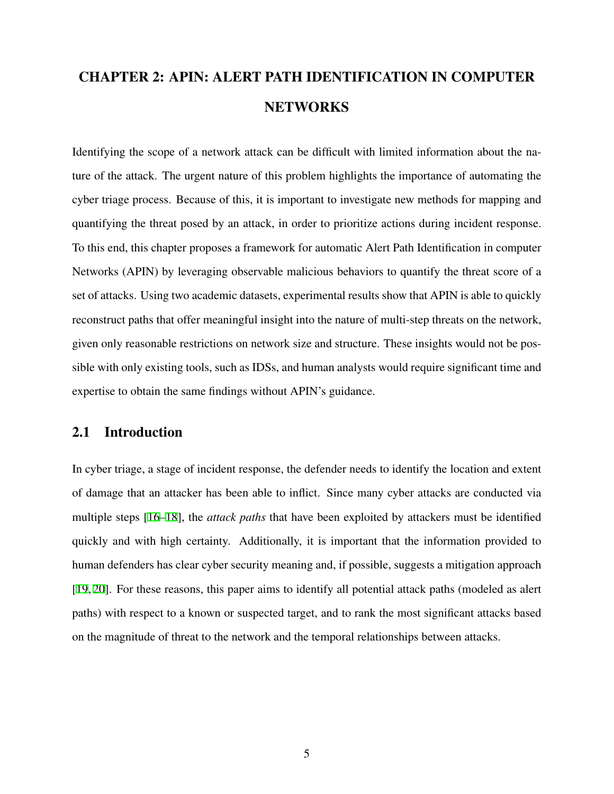# <span id="page-15-0"></span>CHAPTER 2: APIN: ALERT PATH IDENTIFICATION IN COMPUTER NETWORKS

Identifying the scope of a network attack can be difficult with limited information about the nature of the attack. The urgent nature of this problem highlights the importance of automating the cyber triage process. Because of this, it is important to investigate new methods for mapping and quantifying the threat posed by an attack, in order to prioritize actions during incident response. To this end, this chapter proposes a framework for automatic Alert Path Identification in computer Networks (APIN) by leveraging observable malicious behaviors to quantify the threat score of a set of attacks. Using two academic datasets, experimental results show that APIN is able to quickly reconstruct paths that offer meaningful insight into the nature of multi-step threats on the network, given only reasonable restrictions on network size and structure. These insights would not be possible with only existing tools, such as IDSs, and human analysts would require significant time and expertise to obtain the same findings without APIN's guidance.

# <span id="page-15-1"></span>2.1 Introduction

In cyber triage, a stage of incident response, the defender needs to identify the location and extent of damage that an attacker has been able to inflict. Since many cyber attacks are conducted via multiple steps [\[16](#page-76-2)[–18](#page-76-3)], the *attack paths* that have been exploited by attackers must be identified quickly and with high certainty. Additionally, it is important that the information provided to human defenders has clear cyber security meaning and, if possible, suggests a mitigation approach [[19,](#page-76-4) [20\]](#page-77-0). For these reasons, this paper aims to identify all potential attack paths (modeled as alert paths) with respect to a known or suspected target, and to rank the most significant attacks based on the magnitude of threat to the network and the temporal relationships between attacks.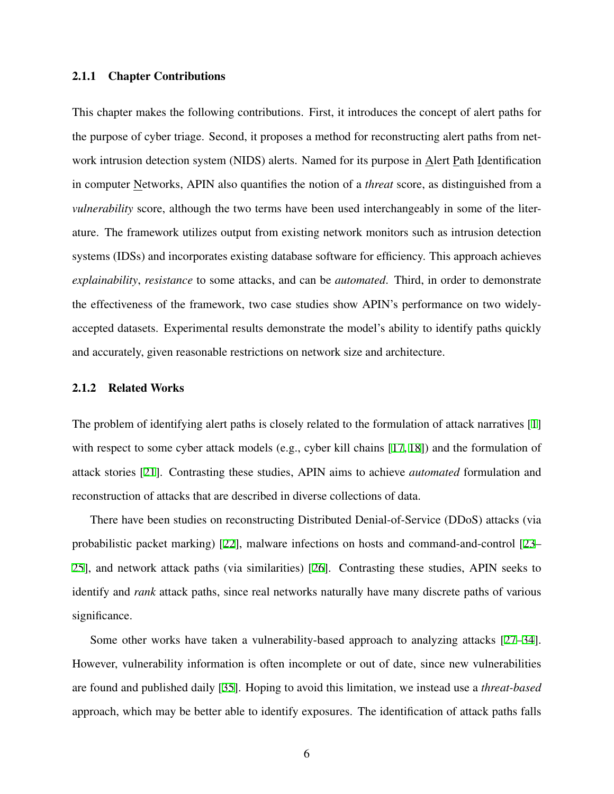### <span id="page-16-0"></span>2.1.1 Chapter Contributions

This chapter makes the following contributions. First, it introduces the concept of alert paths for the purpose of cyber triage. Second, it proposes a method for reconstructing alert paths from network intrusion detection system (NIDS) alerts. Named for its purpose in Alert Path Identification in computer Networks, APIN also quantifies the notion of a *threat* score, as distinguished from a *vulnerability* score, although the two terms have been used interchangeably in some of the literature. The framework utilizes output from existing network monitors such as intrusion detection systems (IDSs) and incorporates existing database software for efficiency. This approach achieves *explainability*, *resistance* to some attacks, and can be *automated*. Third, in order to demonstrate the effectiveness of the framework, two case studies show APIN's performance on two widelyaccepted datasets. Experimental results demonstrate the model's ability to identify paths quickly and accurately, given reasonable restrictions on network size and architecture.

#### <span id="page-16-1"></span>2.1.2 Related Works

The problem of identifying alert paths is closely related to the formulation of attack narratives [\[1](#page-75-1)] with respect to some cyber attack models (e.g., cyber kill chains [[17,](#page-76-5) [18\]](#page-76-3)) and the formulation of attack stories [\[21](#page-77-1)]. Contrasting these studies, APIN aims to achieve *automated* formulation and reconstruction of attacks that are described in diverse collections of data.

There have been studies on reconstructing Distributed Denial-of-Service (DDoS) attacks (via probabilistic packet marking) [[22\]](#page-77-2), malware infections on hosts and command-and-control [\[23](#page-77-3)– [25\]](#page-77-4), and network attack paths (via similarities) [[26](#page-77-5)]. Contrasting these studies, APIN seeks to identify and *rank* attack paths, since real networks naturally have many discrete paths of various significance.

Some other works have taken a vulnerability-based approach to analyzing attacks [\[27](#page-77-6)[–34](#page-78-0)]. However, vulnerability information is often incomplete or out of date, since new vulnerabilities are found and published daily [[35\]](#page-78-1). Hoping to avoid this limitation, we instead use a *threat-based* approach, which may be better able to identify exposures. The identification of attack paths falls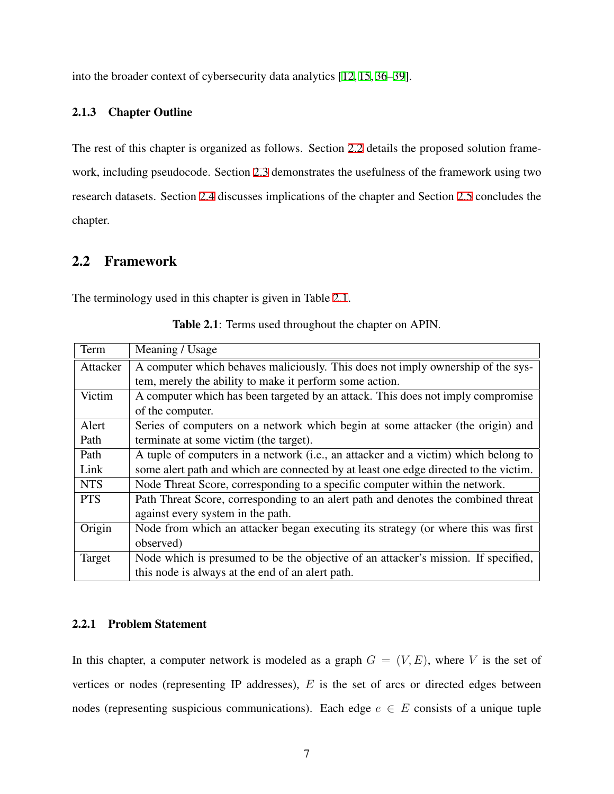into the broader context of cybersecurity data analytics [\[12](#page-76-6), [15,](#page-76-1) [36](#page-78-2)[–39](#page-78-3)].

## <span id="page-17-0"></span>2.1.3 Chapter Outline

The rest of this chapter is organized as follows. Section [2.2](#page-17-1) details the proposed solution framework, including pseudocode. Section [2.3](#page-24-0) demonstrates the usefulness of the framework using two research datasets. Section [2.4](#page-28-0) discusses implications of the chapter and Section [2.5](#page-29-0) concludes the chapter.

# <span id="page-17-1"></span>2.2 Framework

<span id="page-17-3"></span>The terminology used in this chapter is given in Table [2.1](#page-17-3).

| Term       | Meaning / Usage                                                                      |  |  |  |  |
|------------|--------------------------------------------------------------------------------------|--|--|--|--|
| Attacker   | A computer which behaves maliciously. This does not imply ownership of the sys-      |  |  |  |  |
|            | tem, merely the ability to make it perform some action.                              |  |  |  |  |
| Victim     | A computer which has been targeted by an attack. This does not imply compromise      |  |  |  |  |
|            | of the computer.                                                                     |  |  |  |  |
| Alert      | Series of computers on a network which begin at some attacker (the origin) and       |  |  |  |  |
| Path       | terminate at some victim (the target).                                               |  |  |  |  |
| Path       | A tuple of computers in a network (i.e., an attacker and a victim) which belong to   |  |  |  |  |
| Link       | some alert path and which are connected by at least one edge directed to the victim. |  |  |  |  |
| <b>NTS</b> | Node Threat Score, corresponding to a specific computer within the network.          |  |  |  |  |
| <b>PTS</b> | Path Threat Score, corresponding to an alert path and denotes the combined threat    |  |  |  |  |
|            | against every system in the path.                                                    |  |  |  |  |
| Origin     | Node from which an attacker began executing its strategy (or where this was first    |  |  |  |  |
|            | observed)                                                                            |  |  |  |  |
| Target     | Node which is presumed to be the objective of an attacker's mission. If specified,   |  |  |  |  |
|            | this node is always at the end of an alert path.                                     |  |  |  |  |

Table 2.1: Terms used throughout the chapter on APIN.

## <span id="page-17-2"></span>2.2.1 Problem Statement

In this chapter, a computer network is modeled as a graph  $G = (V, E)$ , where V is the set of vertices or nodes (representing IP addresses), *E* is the set of arcs or directed edges between nodes (representing suspicious communications). Each edge  $e \in E$  consists of a unique tuple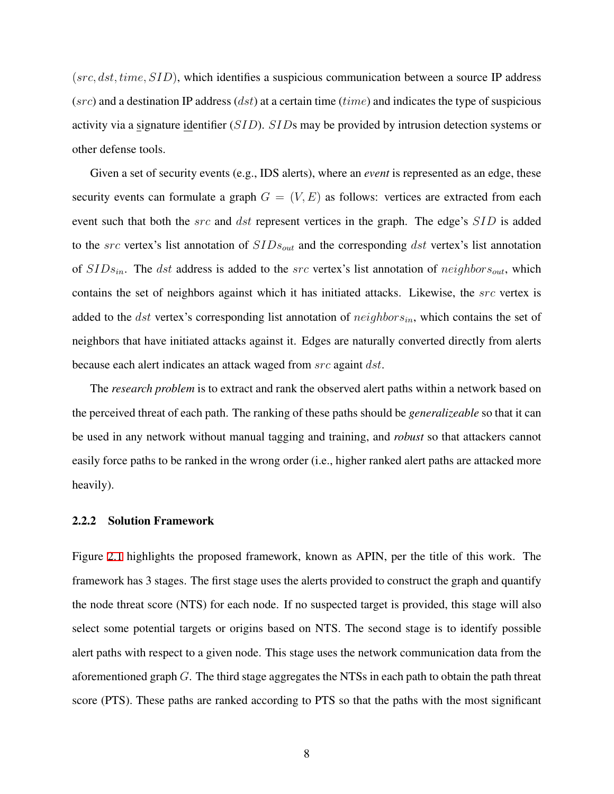(*src, dst, time, SID*), which identifies a suspicious communication between a source IP address (*src*) and a destination IP address (*dst*) at a certain time (*time*) and indicates the type of suspicious activity via a signature identifier (*SID*). *SID*s may be provided by intrusion detection systems or other defense tools.

Given a set of security events (e.g., IDS alerts), where an *event* is represented as an edge, these security events can formulate a graph  $G = (V, E)$  as follows: vertices are extracted from each event such that both the *src* and *dst* represent vertices in the graph. The edge's *SID* is added to the *src* vertex's list annotation of *SIDsout* and the corresponding *dst* vertex's list annotation of *SIDsin*. The *dst* address is added to the *src* vertex's list annotation of *neighborsout*, which contains the set of neighbors against which it has initiated attacks. Likewise, the *src* vertex is added to the *dst* vertex's corresponding list annotation of *neighborsin*, which contains the set of neighbors that have initiated attacks against it. Edges are naturally converted directly from alerts because each alert indicates an attack waged from *src* againt *dst*.

The *research problem* is to extract and rank the observed alert paths within a network based on the perceived threat of each path. The ranking of these paths should be *generalizeable* so that it can be used in any network without manual tagging and training, and *robust* so that attackers cannot easily force paths to be ranked in the wrong order (i.e., higher ranked alert paths are attacked more heavily).

#### <span id="page-18-0"></span>2.2.2 Solution Framework

Figure [2.1](#page-19-0) highlights the proposed framework, known as APIN, per the title of this work. The framework has 3 stages. The first stage uses the alerts provided to construct the graph and quantify the node threat score (NTS) for each node. If no suspected target is provided, this stage will also select some potential targets or origins based on NTS. The second stage is to identify possible alert paths with respect to a given node. This stage uses the network communication data from the aforementioned graph *G*. The third stage aggregates the NTSs in each path to obtain the path threat score (PTS). These paths are ranked according to PTS so that the paths with the most significant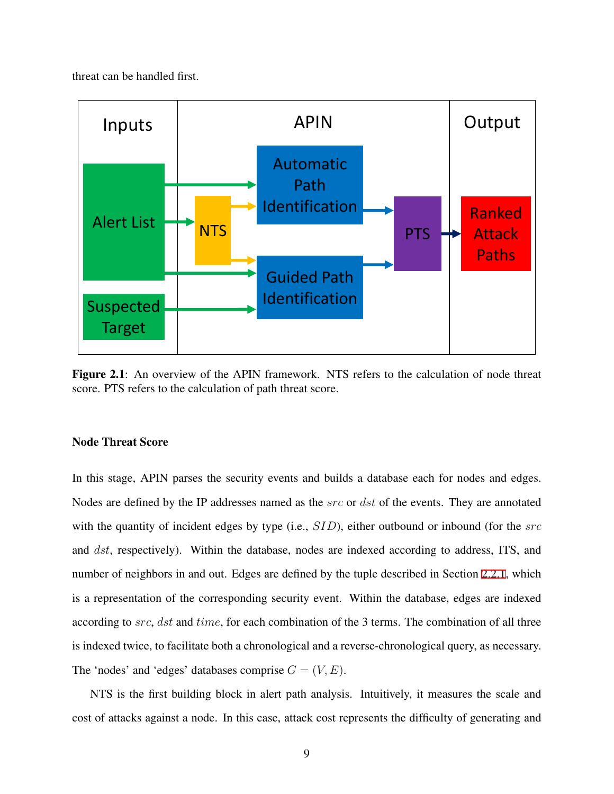threat can be handled first.

<span id="page-19-0"></span>

Figure 2.1: An overview of the APIN framework. NTS refers to the calculation of node threat score. PTS refers to the calculation of path threat score.

## Node Threat Score

In this stage, APIN parses the security events and builds a database each for nodes and edges. Nodes are defined by the IP addresses named as the *src* or *dst* of the events. They are annotated with the quantity of incident edges by type (i.e., *SID*), either outbound or inbound (for the *src* and *dst*, respectively). Within the database, nodes are indexed according to address, ITS, and number of neighbors in and out. Edges are defined by the tuple described in Section [2.2.1,](#page-17-2) which is a representation of the corresponding security event. Within the database, edges are indexed according to *src*, *dst* and *time*, for each combination of the 3 terms. The combination of all three is indexed twice, to facilitate both a chronological and a reverse-chronological query, as necessary. The 'nodes' and 'edges' databases comprise  $G = (V, E)$ .

NTS is the first building block in alert path analysis. Intuitively, it measures the scale and cost of attacks against a node. In this case, attack cost represents the difficulty of generating and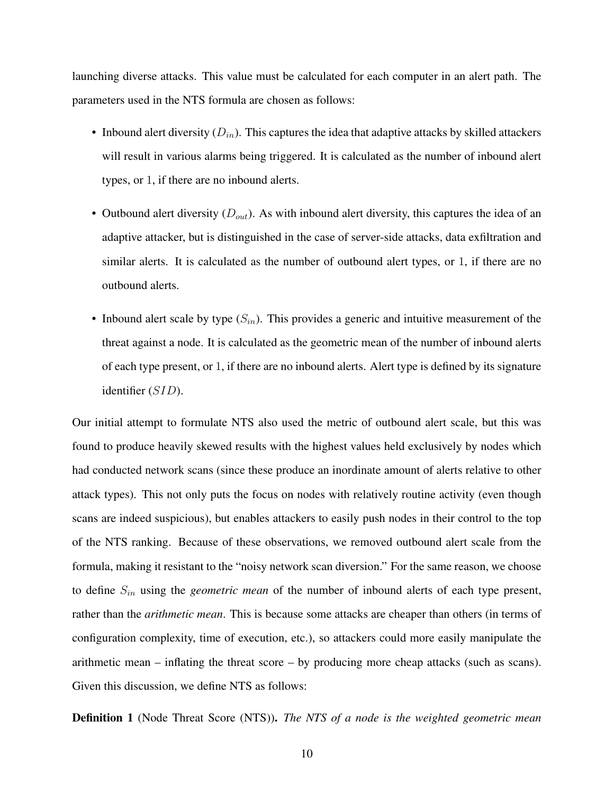launching diverse attacks. This value must be calculated for each computer in an alert path. The parameters used in the NTS formula are chosen as follows:

- Inbound alert diversity  $(D_{in})$ . This captures the idea that adaptive attacks by skilled attackers will result in various alarms being triggered. It is calculated as the number of inbound alert types, or 1, if there are no inbound alerts.
- Outbound alert diversity (*Dout*). As with inbound alert diversity, this captures the idea of an adaptive attacker, but is distinguished in the case of server-side attacks, data exfiltration and similar alerts. It is calculated as the number of outbound alert types, or 1, if there are no outbound alerts.
- Inbound alert scale by type (*Sin*). This provides a generic and intuitive measurement of the threat against a node. It is calculated as the geometric mean of the number of inbound alerts of each type present, or 1, if there are no inbound alerts. Alert type is defined by its signature identifier (*SID*).

Our initial attempt to formulate NTS also used the metric of outbound alert scale, but this was found to produce heavily skewed results with the highest values held exclusively by nodes which had conducted network scans (since these produce an inordinate amount of alerts relative to other attack types). This not only puts the focus on nodes with relatively routine activity (even though scans are indeed suspicious), but enables attackers to easily push nodes in their control to the top of the NTS ranking. Because of these observations, we removed outbound alert scale from the formula, making it resistant to the "noisy network scan diversion." For the same reason, we choose to define *Sin* using the *geometric mean* of the number of inbound alerts of each type present, rather than the *arithmetic mean*. This is because some attacks are cheaper than others (in terms of configuration complexity, time of execution, etc.), so attackers could more easily manipulate the arithmetic mean – inflating the threat score – by producing more cheap attacks (such as scans). Given this discussion, we define NTS as follows:

Definition 1 (Node Threat Score (NTS)). *The NTS of a node is the weighted geometric mean*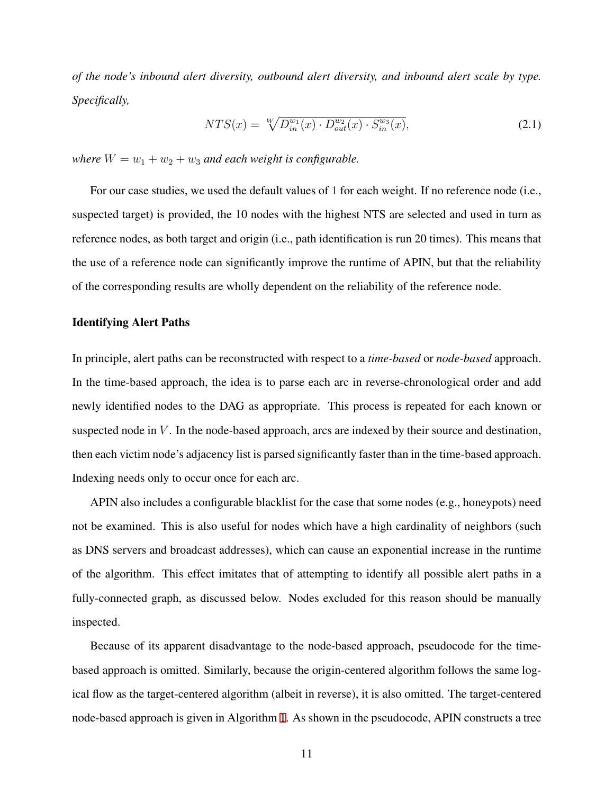*of the node's inbound alert diversity, outbound alert diversity, and inbound alert scale by type. Specifically,*

$$
NTS(x) = \sqrt[W]{D_{in}^{w_1}(x) \cdot D_{out}^{w_2}(x) \cdot S_{in}^{w_3}(x)},
$$
\n(2.1)

*where*  $W = w_1 + w_2 + w_3$  *and each weight is configurable.* 

For our case studies, we used the default values of 1 for each weight. If no reference node (i.e., suspected target) is provided, the 10 nodes with the highest NTS are selected and used in turn as reference nodes, as both target and origin (i.e., path identification is run 20 times). This means that the use of a reference node can significantly improve the runtime of APIN, but that the reliability of the corresponding results are wholly dependent on the reliability of the reference node.

#### Identifying Alert Paths

In principle, alert paths can be reconstructed with respect to a *time-based* or *node-based* approach. In the time-based approach, the idea is to parse each arc in reverse-chronological order and add newly identified nodes to the DAG as appropriate. This process is repeated for each known or suspected node in *V*. In the node-based approach, arcs are indexed by their source and destination, then each victim node's adjacency list is parsed significantly faster than in the time-based approach. Indexing needs only to occur once for each arc.

APIN also includes a configurable blacklist for the case that some nodes (e.g., honeypots) need not be examined. This is also useful for nodes which have a high cardinality of neighbors (such as DNS servers and broadcast addresses), which can cause an exponential increase in the runtime of the algorithm. This effect imitates that of attempting to identify all possible alert paths in a fully-connected graph, as discussed below. Nodes excluded for this reason should be manually inspected.

Because of its apparent disadvantage to the node-based approach, pseudocode for the timebased approach is omitted. Similarly, because the origin-centered algorithm follows the same logical flow as the target-centered algorithm (albeit in reverse), it is also omitted. The target-centered node-based approach is given in Algorithm [1](#page-22-0). As shown in the pseudocode, APIN constructs a tree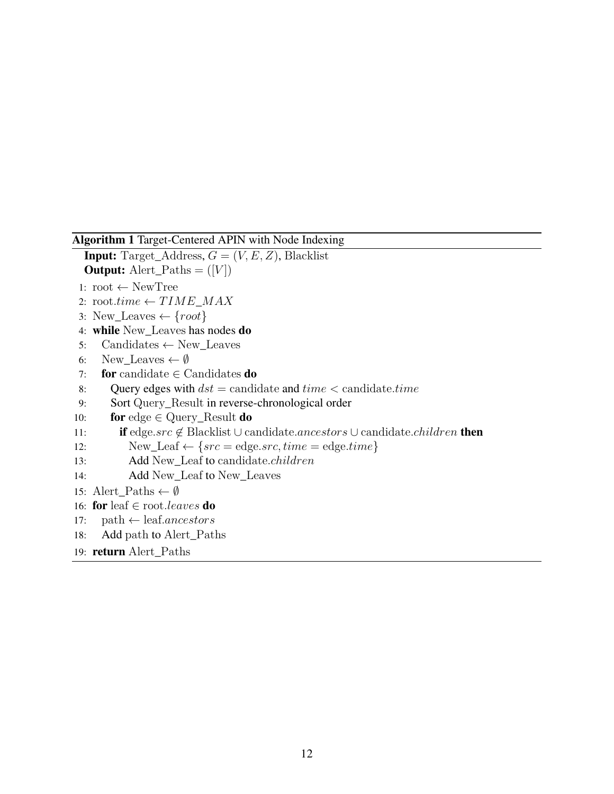### <span id="page-22-0"></span>Algorithm 1 Target-Centered APIN with Node Indexing

**Input:** Target\_Address,  $G = (V, E, Z)$ , Blacklist **Output:** Alert\_Paths  $= (V)$ 

- 1: root *←* NewTree
- 2:  $\text{root}.\text{time} \leftarrow TIME\_MAX$
- 3: New\_Leaves *← {root}*
- 4: while New\_Leaves has nodes do
- 5: Candidates *←* New\_Leaves
- 6: New\_Leaves  $\leftarrow \emptyset$
- 7: for candidate *∈* Candidates do
- 8: Query edges with *dst* = candidate and *time <* candidate*.time*
- 9: Sort Query\_Result in reverse-chronological order
- 10: for edge *∈* Query\_Result do

```
11: if edge.src ̸∈ Blacklist ∪ candidate.ancestors ∪ candidate.children then
```
- 12: New\_Leaf  $\leftarrow \{src = \text{edge} \cdot src, \text{time} = \text{edge} \cdot \text{time}\}$
- 13: Add New\_Leaf to candidate*.children*
- 14: Add New\_Leaf to New\_Leaves

```
15: Alert_Paths ← ∅
```

```
16: for leaf ∈ root.leaves do
```
- 17: path *←* leaf*.ancestors*
- 18: Add path to Alert\_Paths

```
19: return Alert_Paths
```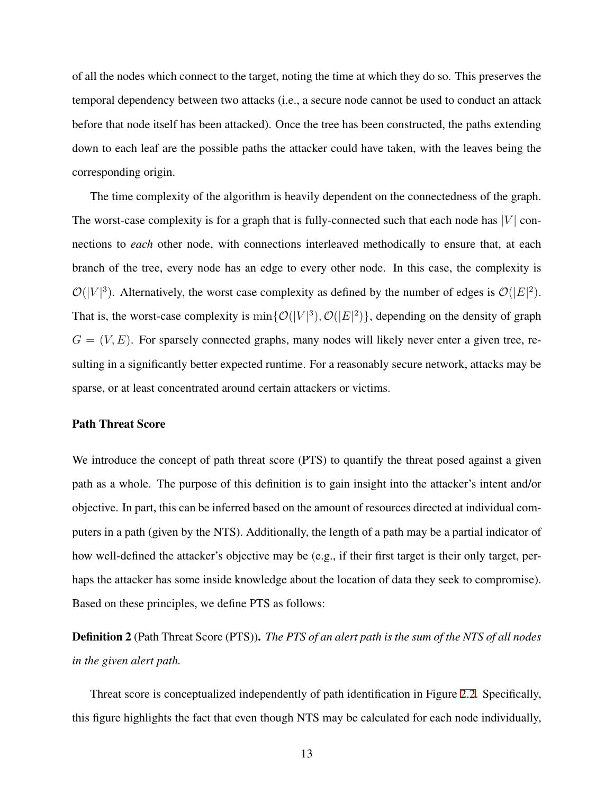of all the nodes which connect to the target, noting the time at which they do so. This preserves the temporal dependency between two attacks (i.e., a secure node cannot be used to conduct an attack before that node itself has been attacked). Once the tree has been constructed, the paths extending down to each leaf are the possible paths the attacker could have taken, with the leaves being the corresponding origin.

The time complexity of the algorithm is heavily dependent on the connectedness of the graph. The worst-case complexity is for a graph that is fully-connected such that each node has  $|V|$  connections to *each* other node, with connections interleaved methodically to ensure that, at each branch of the tree, every node has an edge to every other node. In this case, the complexity is  $\mathcal{O}(|V|^3)$ . Alternatively, the worst case complexity as defined by the number of edges is  $\mathcal{O}(|E|^2)$ . That is, the worst-case complexity is  $\min{\{\mathcal{O}(|V|^3), \mathcal{O}(|E|^2)\}}$ , depending on the density of graph  $G = (V, E)$ . For sparsely connected graphs, many nodes will likely never enter a given tree, resulting in a significantly better expected runtime. For a reasonably secure network, attacks may be sparse, or at least concentrated around certain attackers or victims.

## Path Threat Score

We introduce the concept of path threat score (PTS) to quantify the threat posed against a given path as a whole. The purpose of this definition is to gain insight into the attacker's intent and/or objective. In part, this can be inferred based on the amount of resources directed at individual computers in a path (given by the NTS). Additionally, the length of a path may be a partial indicator of how well-defined the attacker's objective may be (e.g., if their first target is their only target, perhaps the attacker has some inside knowledge about the location of data they seek to compromise). Based on these principles, we define PTS as follows:

Definition 2 (Path Threat Score (PTS)). *The PTS of an alert path is the sum of the NTS of all nodes in the given alert path.*

Threat score is conceptualized independently of path identification in Figure [2.2](#page-24-1). Specifically, this figure highlights the fact that even though NTS may be calculated for each node individually,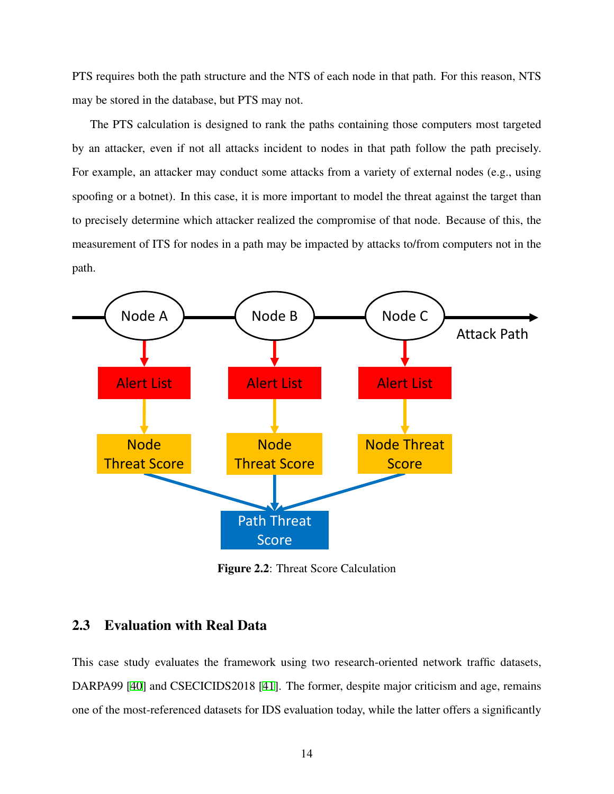PTS requires both the path structure and the NTS of each node in that path. For this reason, NTS may be stored in the database, but PTS may not.

The PTS calculation is designed to rank the paths containing those computers most targeted by an attacker, even if not all attacks incident to nodes in that path follow the path precisely. For example, an attacker may conduct some attacks from a variety of external nodes (e.g., using spoofing or a botnet). In this case, it is more important to model the threat against the target than to precisely determine which attacker realized the compromise of that node. Because of this, the measurement of ITS for nodes in a path may be impacted by attacks to/from computers not in the path.

<span id="page-24-1"></span>

Figure 2.2: Threat Score Calculation

# <span id="page-24-0"></span>2.3 Evaluation with Real Data

This case study evaluates the framework using two research-oriented network traffic datasets, DARPA99 [\[40](#page-79-0)] and CSECICIDS2018 [[41\]](#page-79-1). The former, despite major criticism and age, remains one of the most-referenced datasets for IDS evaluation today, while the latter offers a significantly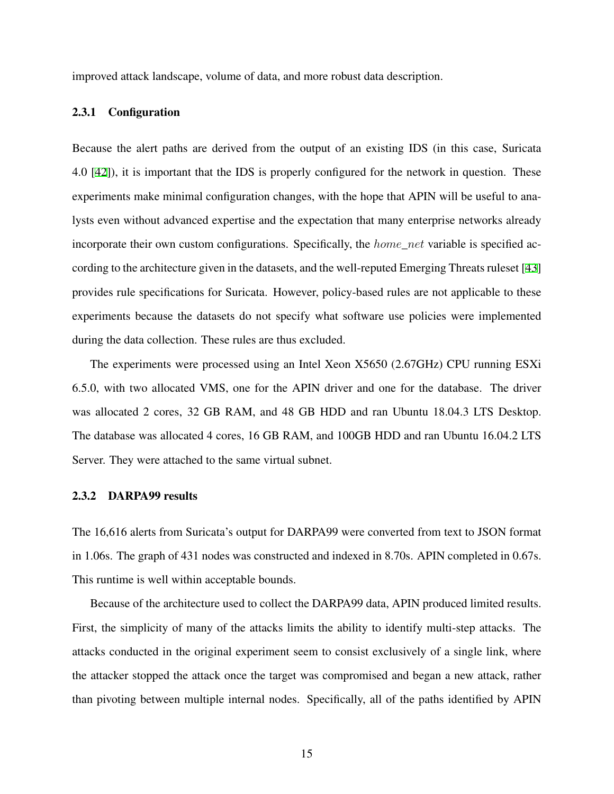improved attack landscape, volume of data, and more robust data description.

## <span id="page-25-0"></span>2.3.1 Configuration

Because the alert paths are derived from the output of an existing IDS (in this case, Suricata 4.0 [[42\]](#page-79-2)), it is important that the IDS is properly configured for the network in question. These experiments make minimal configuration changes, with the hope that APIN will be useful to analysts even without advanced expertise and the expectation that many enterprise networks already incorporate their own custom configurations. Specifically, the *home*\_*net* variable is specified according to the architecture given in the datasets, and the well-reputed Emerging Threats ruleset [\[43](#page-79-3)] provides rule specifications for Suricata. However, policy-based rules are not applicable to these experiments because the datasets do not specify what software use policies were implemented during the data collection. These rules are thus excluded.

The experiments were processed using an Intel Xeon X5650 (2.67GHz) CPU running ESXi 6.5.0, with two allocated VMS, one for the APIN driver and one for the database. The driver was allocated 2 cores, 32 GB RAM, and 48 GB HDD and ran Ubuntu 18.04.3 LTS Desktop. The database was allocated 4 cores, 16 GB RAM, and 100GB HDD and ran Ubuntu 16.04.2 LTS Server. They were attached to the same virtual subnet.

## <span id="page-25-1"></span>2.3.2 DARPA99 results

The 16,616 alerts from Suricata's output for DARPA99 were converted from text to JSON format in 1.06s. The graph of 431 nodes was constructed and indexed in 8.70s. APIN completed in 0.67s. This runtime is well within acceptable bounds.

Because of the architecture used to collect the DARPA99 data, APIN produced limited results. First, the simplicity of many of the attacks limits the ability to identify multi-step attacks. The attacks conducted in the original experiment seem to consist exclusively of a single link, where the attacker stopped the attack once the target was compromised and began a new attack, rather than pivoting between multiple internal nodes. Specifically, all of the paths identified by APIN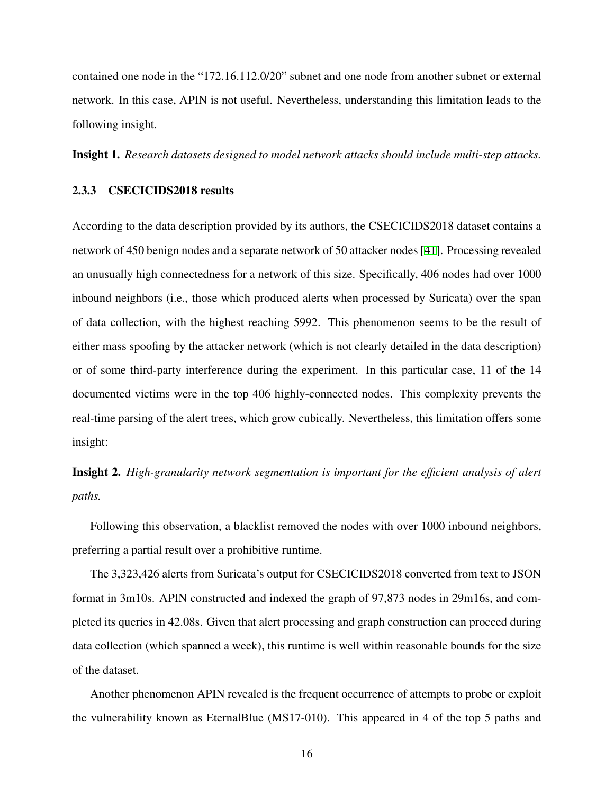contained one node in the "172.16.112.0/20" subnet and one node from another subnet or external network. In this case, APIN is not useful. Nevertheless, understanding this limitation leads to the following insight.

Insight 1. *Research datasets designed to model network attacks should include multi-step attacks.*

### <span id="page-26-0"></span>2.3.3 CSECICIDS2018 results

According to the data description provided by its authors, the CSECICIDS2018 dataset contains a network of 450 benign nodes and a separate network of 50 attacker nodes [\[41](#page-79-1)]. Processing revealed an unusually high connectedness for a network of this size. Specifically, 406 nodes had over 1000 inbound neighbors (i.e., those which produced alerts when processed by Suricata) over the span of data collection, with the highest reaching 5992. This phenomenon seems to be the result of either mass spoofing by the attacker network (which is not clearly detailed in the data description) or of some third-party interference during the experiment. In this particular case, 11 of the 14 documented victims were in the top 406 highly-connected nodes. This complexity prevents the real-time parsing of the alert trees, which grow cubically. Nevertheless, this limitation offers some insight:

Insight 2. *High-granularity network segmentation is important for the efficient analysis of alert paths.*

Following this observation, a blacklist removed the nodes with over 1000 inbound neighbors, preferring a partial result over a prohibitive runtime.

The 3,323,426 alerts from Suricata's output for CSECICIDS2018 converted from text to JSON format in 3m10s. APIN constructed and indexed the graph of 97,873 nodes in 29m16s, and completed its queries in 42.08s. Given that alert processing and graph construction can proceed during data collection (which spanned a week), this runtime is well within reasonable bounds for the size of the dataset.

Another phenomenon APIN revealed is the frequent occurrence of attempts to probe or exploit the vulnerability known as EternalBlue (MS17-010). This appeared in 4 of the top 5 paths and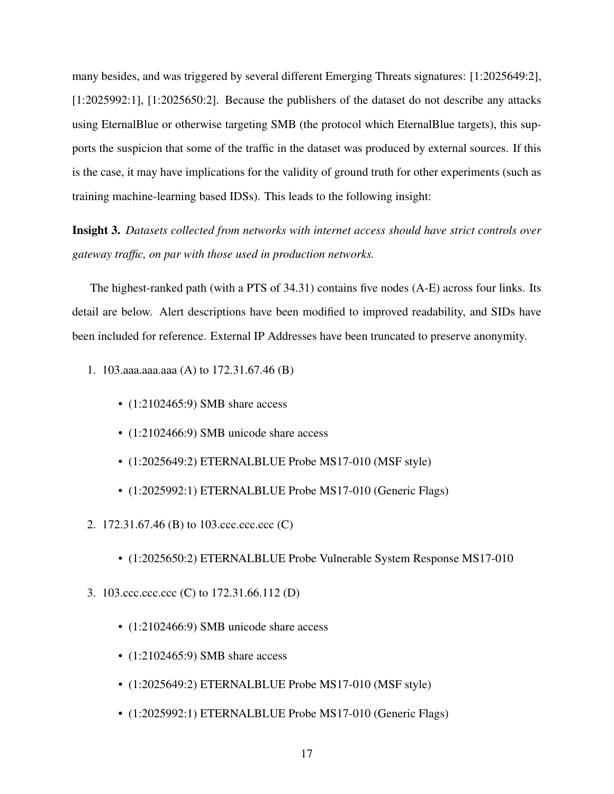many besides, and was triggered by several different Emerging Threats signatures: [1:2025649:2], [1:2025992:1], [1:2025650:2]. Because the publishers of the dataset do not describe any attacks using EternalBlue or otherwise targeting SMB (the protocol which EternalBlue targets), this supports the suspicion that some of the traffic in the dataset was produced by external sources. If this is the case, it may have implications for the validity of ground truth for other experiments (such as training machine-learning based IDSs). This leads to the following insight:

Insight 3. *Datasets collected from networks with internet access should have strict controls over gateway traffic, on par with those used in production networks.*

The highest-ranked path (with a PTS of 34.31) contains five nodes (A-E) across four links. Its detail are below. Alert descriptions have been modified to improved readability, and SIDs have been included for reference. External IP Addresses have been truncated to preserve anonymity.

- 1. 103.aaa.aaa.aaa (A) to 172.31.67.46 (B)
	- $\cdot$  (1:2102465:9) SMB share access
	- (1:2102466:9) SMB unicode share access
	- (1:2025649:2) ETERNALBLUE Probe MS17-010 (MSF style)
	- (1:2025992:1) ETERNALBLUE Probe MS17-010 (Generic Flags)
- 2. 172.31.67.46 (B) to 103.ccc.ccc.ccc (C)
	- (1:2025650:2) ETERNALBLUE Probe Vulnerable System Response MS17-010
- 3. 103.ccc.ccc.ccc (C) to 172.31.66.112 (D)
	- $(1:2102466:9)$  SMB unicode share access
	- (1:2102465:9) SMB share access
	- (1:2025649:2) ETERNALBLUE Probe MS17-010 (MSF style)
	- (1:2025992:1) ETERNALBLUE Probe MS17-010 (Generic Flags)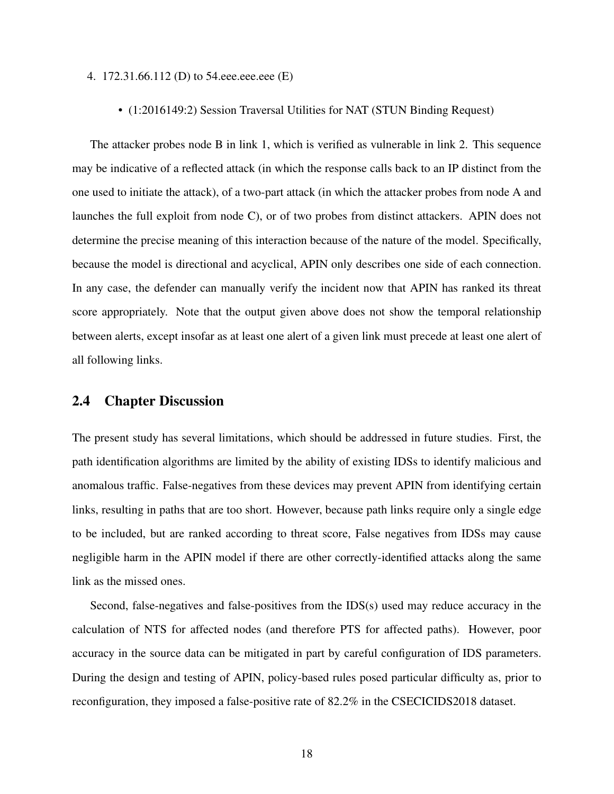#### 4. 172.31.66.112 (D) to 54.eee.eee.eee (E)

• (1:2016149:2) Session Traversal Utilities for NAT (STUN Binding Request)

The attacker probes node B in link 1, which is verified as vulnerable in link 2. This sequence may be indicative of a reflected attack (in which the response calls back to an IP distinct from the one used to initiate the attack), of a two-part attack (in which the attacker probes from node A and launches the full exploit from node C), or of two probes from distinct attackers. APIN does not determine the precise meaning of this interaction because of the nature of the model. Specifically, because the model is directional and acyclical, APIN only describes one side of each connection. In any case, the defender can manually verify the incident now that APIN has ranked its threat score appropriately. Note that the output given above does not show the temporal relationship between alerts, except insofar as at least one alert of a given link must precede at least one alert of all following links.

## <span id="page-28-0"></span>2.4 Chapter Discussion

The present study has several limitations, which should be addressed in future studies. First, the path identification algorithms are limited by the ability of existing IDSs to identify malicious and anomalous traffic. False-negatives from these devices may prevent APIN from identifying certain links, resulting in paths that are too short. However, because path links require only a single edge to be included, but are ranked according to threat score, False negatives from IDSs may cause negligible harm in the APIN model if there are other correctly-identified attacks along the same link as the missed ones.

Second, false-negatives and false-positives from the IDS(s) used may reduce accuracy in the calculation of NTS for affected nodes (and therefore PTS for affected paths). However, poor accuracy in the source data can be mitigated in part by careful configuration of IDS parameters. During the design and testing of APIN, policy-based rules posed particular difficulty as, prior to reconfiguration, they imposed a false-positive rate of 82.2% in the CSECICIDS2018 dataset.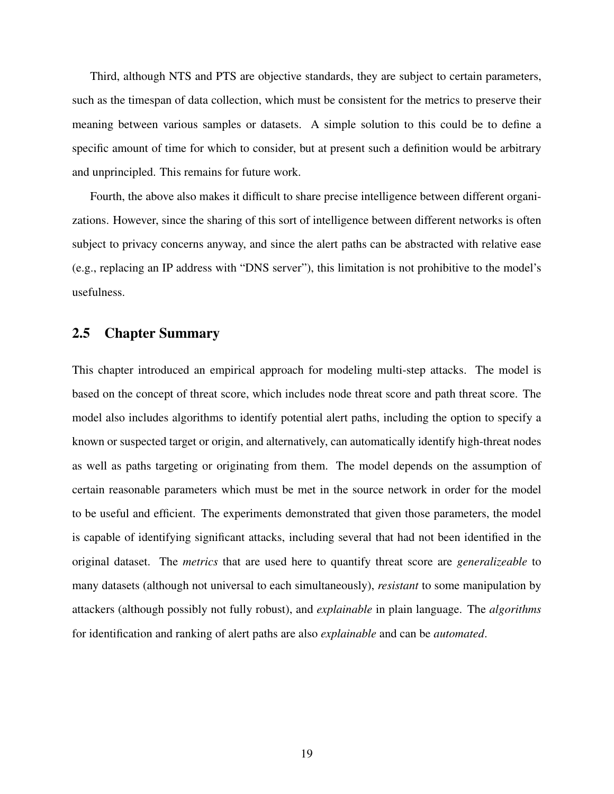Third, although NTS and PTS are objective standards, they are subject to certain parameters, such as the timespan of data collection, which must be consistent for the metrics to preserve their meaning between various samples or datasets. A simple solution to this could be to define a specific amount of time for which to consider, but at present such a definition would be arbitrary and unprincipled. This remains for future work.

Fourth, the above also makes it difficult to share precise intelligence between different organizations. However, since the sharing of this sort of intelligence between different networks is often subject to privacy concerns anyway, and since the alert paths can be abstracted with relative ease (e.g., replacing an IP address with "DNS server"), this limitation is not prohibitive to the model's usefulness.

## <span id="page-29-0"></span>2.5 Chapter Summary

This chapter introduced an empirical approach for modeling multi-step attacks. The model is based on the concept of threat score, which includes node threat score and path threat score. The model also includes algorithms to identify potential alert paths, including the option to specify a known or suspected target or origin, and alternatively, can automatically identify high-threat nodes as well as paths targeting or originating from them. The model depends on the assumption of certain reasonable parameters which must be met in the source network in order for the model to be useful and efficient. The experiments demonstrated that given those parameters, the model is capable of identifying significant attacks, including several that had not been identified in the original dataset. The *metrics* that are used here to quantify threat score are *generalizeable* to many datasets (although not universal to each simultaneously), *resistant* to some manipulation by attackers (although possibly not fully robust), and *explainable* in plain language. The *algorithms* for identification and ranking of alert paths are also *explainable* and can be *automated*.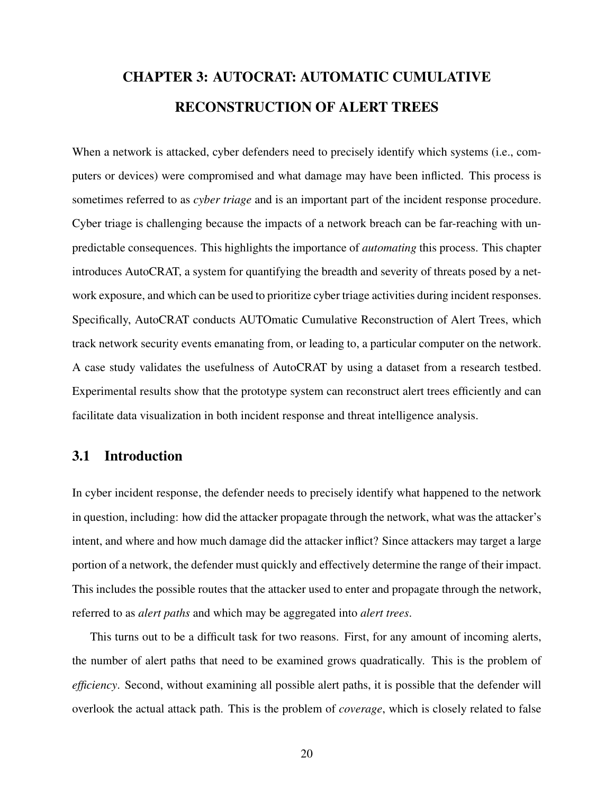# <span id="page-30-0"></span>CHAPTER 3: AUTOCRAT: AUTOMATIC CUMULATIVE RECONSTRUCTION OF ALERT TREES

When a network is attacked, cyber defenders need to precisely identify which systems (i.e., computers or devices) were compromised and what damage may have been inflicted. This process is sometimes referred to as *cyber triage* and is an important part of the incident response procedure. Cyber triage is challenging because the impacts of a network breach can be far-reaching with unpredictable consequences. This highlights the importance of *automating* this process. This chapter introduces AutoCRAT, a system for quantifying the breadth and severity of threats posed by a network exposure, and which can be used to prioritize cyber triage activities during incident responses. Specifically, AutoCRAT conducts AUTOmatic Cumulative Reconstruction of Alert Trees, which track network security events emanating from, or leading to, a particular computer on the network. A case study validates the usefulness of AutoCRAT by using a dataset from a research testbed. Experimental results show that the prototype system can reconstruct alert trees efficiently and can facilitate data visualization in both incident response and threat intelligence analysis.

## <span id="page-30-1"></span>3.1 Introduction

In cyber incident response, the defender needs to precisely identify what happened to the network in question, including: how did the attacker propagate through the network, what was the attacker's intent, and where and how much damage did the attacker inflict? Since attackers may target a large portion of a network, the defender must quickly and effectively determine the range of their impact. This includes the possible routes that the attacker used to enter and propagate through the network, referred to as *alert paths* and which may be aggregated into *alert trees*.

This turns out to be a difficult task for two reasons. First, for any amount of incoming alerts, the number of alert paths that need to be examined grows quadratically. This is the problem of *efficiency*. Second, without examining all possible alert paths, it is possible that the defender will overlook the actual attack path. This is the problem of *coverage*, which is closely related to false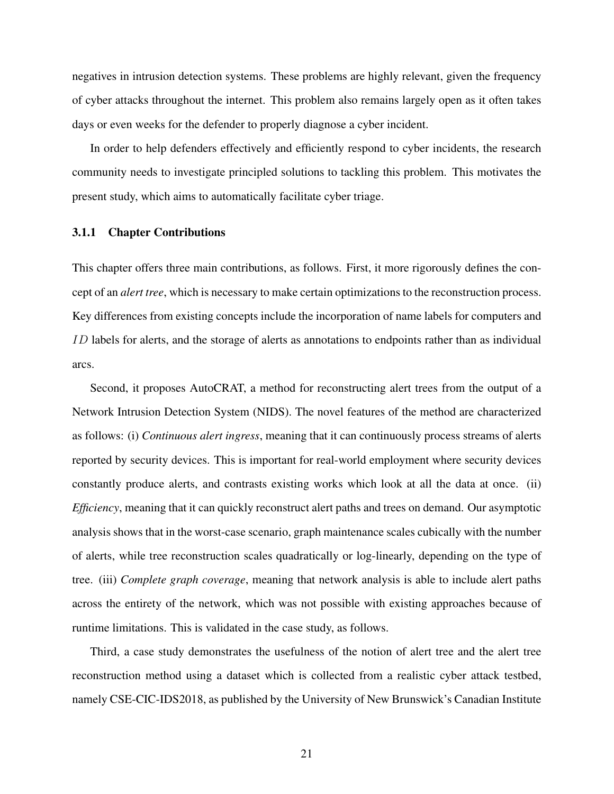negatives in intrusion detection systems. These problems are highly relevant, given the frequency of cyber attacks throughout the internet. This problem also remains largely open as it often takes days or even weeks for the defender to properly diagnose a cyber incident.

In order to help defenders effectively and efficiently respond to cyber incidents, the research community needs to investigate principled solutions to tackling this problem. This motivates the present study, which aims to automatically facilitate cyber triage.

#### <span id="page-31-0"></span>3.1.1 Chapter Contributions

This chapter offers three main contributions, as follows. First, it more rigorously defines the concept of an *alert tree*, which is necessary to make certain optimizations to the reconstruction process. Key differences from existing concepts include the incorporation of name labels for computers and *ID* labels for alerts, and the storage of alerts as annotations to endpoints rather than as individual arcs.

Second, it proposes AutoCRAT, a method for reconstructing alert trees from the output of a Network Intrusion Detection System (NIDS). The novel features of the method are characterized as follows: (i) *Continuous alert ingress*, meaning that it can continuously process streams of alerts reported by security devices. This is important for real-world employment where security devices constantly produce alerts, and contrasts existing works which look at all the data at once. (ii) *Efficiency*, meaning that it can quickly reconstruct alert paths and trees on demand. Our asymptotic analysis shows that in the worst-case scenario, graph maintenance scales cubically with the number of alerts, while tree reconstruction scales quadratically or log-linearly, depending on the type of tree. (iii) *Complete graph coverage*, meaning that network analysis is able to include alert paths across the entirety of the network, which was not possible with existing approaches because of runtime limitations. This is validated in the case study, as follows.

Third, a case study demonstrates the usefulness of the notion of alert tree and the alert tree reconstruction method using a dataset which is collected from a realistic cyber attack testbed, namely CSE-CIC-IDS2018, as published by the University of New Brunswick's Canadian Institute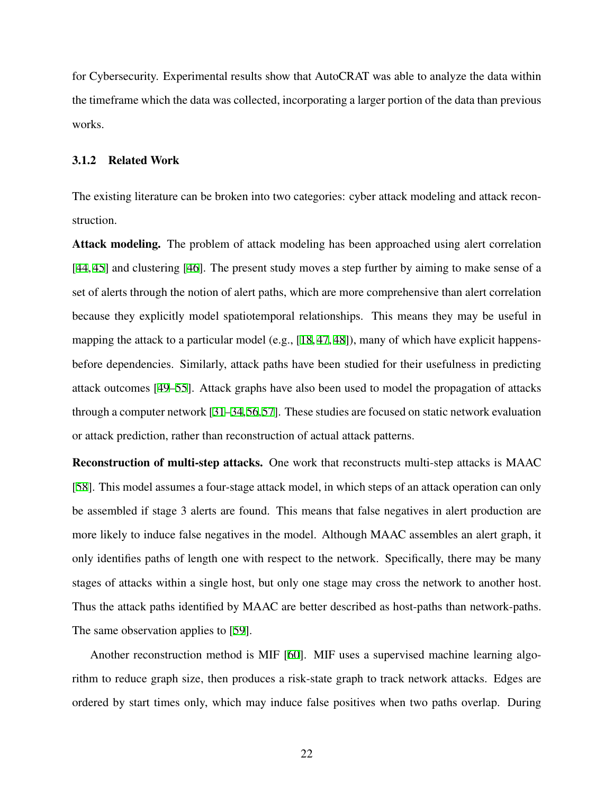for Cybersecurity. Experimental results show that AutoCRAT was able to analyze the data within the timeframe which the data was collected, incorporating a larger portion of the data than previous works.

## <span id="page-32-0"></span>3.1.2 Related Work

The existing literature can be broken into two categories: cyber attack modeling and attack reconstruction.

Attack modeling. The problem of attack modeling has been approached using alert correlation [[44,](#page-79-4) [45\]](#page-79-5) and clustering [[46\]](#page-79-6). The present study moves a step further by aiming to make sense of a set of alerts through the notion of alert paths, which are more comprehensive than alert correlation because they explicitly model spatiotemporal relationships. This means they may be useful in mapping the attack to a particular model (e.g., [[18](#page-76-3), [47,](#page-79-7) [48](#page-79-8)]), many of which have explicit happensbefore dependencies. Similarly, attack paths have been studied for their usefulness in predicting attack outcomes [\[49](#page-79-9)[–55](#page-80-0)]. Attack graphs have also been used to model the propagation of attacks through a computer network [\[31](#page-78-4)[–34](#page-78-0),[56,](#page-80-1)[57](#page-80-2)]. These studies are focused on static network evaluation or attack prediction, rather than reconstruction of actual attack patterns.

Reconstruction of multi-step attacks. One work that reconstructs multi-step attacks is MAAC [[58\]](#page-80-3). This model assumes a four-stage attack model, in which steps of an attack operation can only be assembled if stage 3 alerts are found. This means that false negatives in alert production are more likely to induce false negatives in the model. Although MAAC assembles an alert graph, it only identifies paths of length one with respect to the network. Specifically, there may be many stages of attacks within a single host, but only one stage may cross the network to another host. Thus the attack paths identified by MAAC are better described as host-paths than network-paths. The same observation applies to [[59\]](#page-81-0).

Another reconstruction method is MIF [\[60\]](#page-81-1). MIF uses a supervised machine learning algorithm to reduce graph size, then produces a risk-state graph to track network attacks. Edges are ordered by start times only, which may induce false positives when two paths overlap. During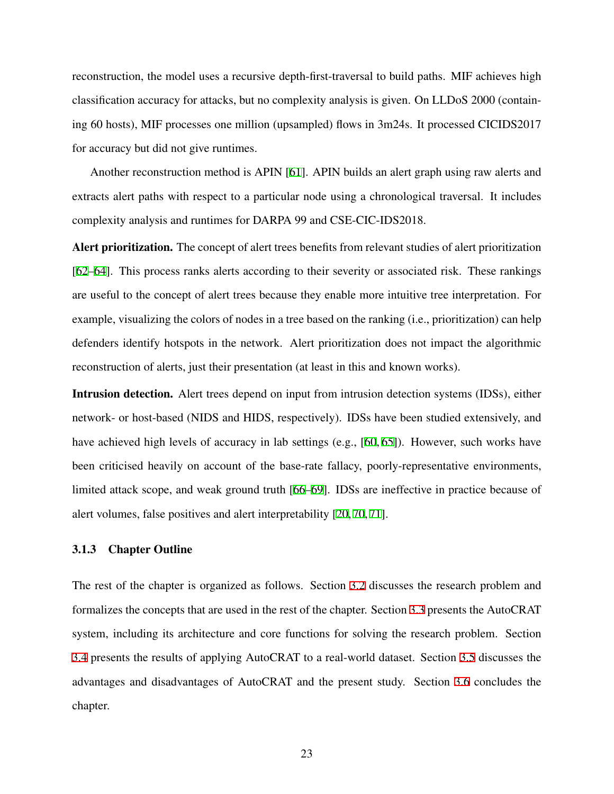reconstruction, the model uses a recursive depth-first-traversal to build paths. MIF achieves high classification accuracy for attacks, but no complexity analysis is given. On LLDoS 2000 (containing 60 hosts), MIF processes one million (upsampled) flows in 3m24s. It processed CICIDS2017 for accuracy but did not give runtimes.

Another reconstruction method is APIN [[61\]](#page-81-2). APIN builds an alert graph using raw alerts and extracts alert paths with respect to a particular node using a chronological traversal. It includes complexity analysis and runtimes for DARPA 99 and CSE-CIC-IDS2018.

Alert prioritization. The concept of alert trees benefits from relevant studies of alert prioritization [[62–](#page-81-3)[64\]](#page-81-4). This process ranks alerts according to their severity or associated risk. These rankings are useful to the concept of alert trees because they enable more intuitive tree interpretation. For example, visualizing the colors of nodes in a tree based on the ranking (i.e., prioritization) can help defenders identify hotspots in the network. Alert prioritization does not impact the algorithmic reconstruction of alerts, just their presentation (at least in this and known works).

Intrusion detection. Alert trees depend on input from intrusion detection systems (IDSs), either network- or host-based (NIDS and HIDS, respectively). IDSs have been studied extensively, and have achieved high levels of accuracy in lab settings (e.g., [[60,](#page-81-1) [65\]](#page-81-5)). However, such works have been criticised heavily on account of the base-rate fallacy, poorly-representative environments, limited attack scope, and weak ground truth [[66–](#page-81-6)[69](#page-82-0)]. IDSs are ineffective in practice because of alert volumes, false positives and alert interpretability [\[20](#page-77-0), [70,](#page-82-1) [71](#page-82-2)].

#### <span id="page-33-0"></span>3.1.3 Chapter Outline

The rest of the chapter is organized as follows. Section [3.2](#page-34-0) discusses the research problem and formalizes the concepts that are used in the rest of the chapter. Section [3.3](#page-39-0) presents the AutoCRAT system, including its architecture and core functions for solving the research problem. Section [3.4](#page-47-0) presents the results of applying AutoCRAT to a real-world dataset. Section [3.5](#page-52-0) discusses the advantages and disadvantages of AutoCRAT and the present study. Section [3.6](#page-54-0) concludes the chapter.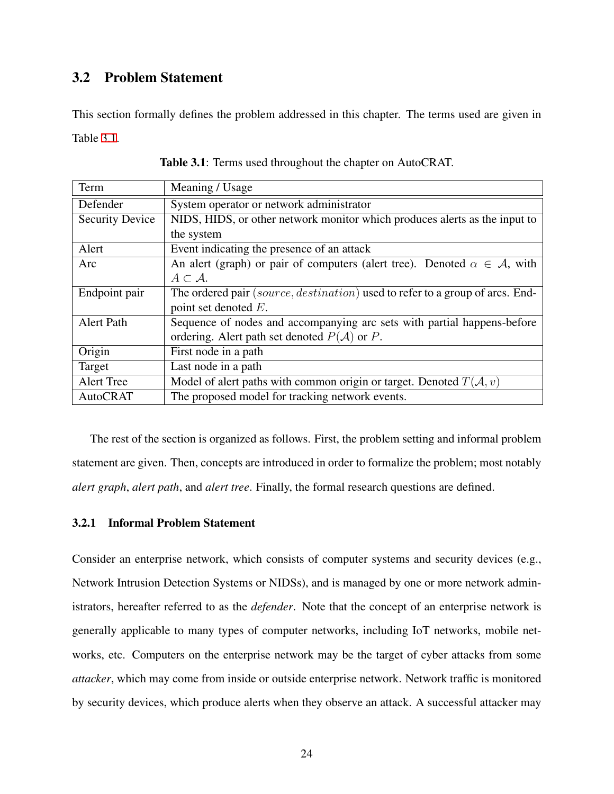## <span id="page-34-0"></span>3.2 Problem Statement

This section formally defines the problem addressed in this chapter. The terms used are given in Table [3.1](#page-34-2).

<span id="page-34-2"></span>

| Term                                                                                     | Meaning / Usage                                                               |  |  |  |
|------------------------------------------------------------------------------------------|-------------------------------------------------------------------------------|--|--|--|
| Defender                                                                                 | System operator or network administrator                                      |  |  |  |
| <b>Security Device</b>                                                                   | NIDS, HIDS, or other network monitor which produces alerts as the input to    |  |  |  |
|                                                                                          | the system                                                                    |  |  |  |
| Alert                                                                                    | Event indicating the presence of an attack                                    |  |  |  |
| An alert (graph) or pair of computers (alert tree). Denoted $\alpha \in A$ , with<br>Arc |                                                                               |  |  |  |
|                                                                                          | $A\subset \mathcal{A}.$                                                       |  |  |  |
| Endpoint pair                                                                            | The ordered pair (source, destination) used to refer to a group of arcs. End- |  |  |  |
|                                                                                          | point set denoted $E$ .                                                       |  |  |  |
| <b>Alert Path</b>                                                                        | Sequence of nodes and accompanying arc sets with partial happens-before       |  |  |  |
|                                                                                          | ordering. Alert path set denoted $P(A)$ or P.                                 |  |  |  |
| Origin                                                                                   | First node in a path                                                          |  |  |  |
| Target                                                                                   | Last node in a path                                                           |  |  |  |
| <b>Alert Tree</b>                                                                        | Model of alert paths with common origin or target. Denoted $T(A, v)$          |  |  |  |
| <b>AutoCRAT</b>                                                                          | The proposed model for tracking network events.                               |  |  |  |

|  |  |  |  | Table 3.1: Terms used throughout the chapter on AutoCRAT. |
|--|--|--|--|-----------------------------------------------------------|
|--|--|--|--|-----------------------------------------------------------|

The rest of the section is organized as follows. First, the problem setting and informal problem statement are given. Then, concepts are introduced in order to formalize the problem; most notably *alert graph*, *alert path*, and *alert tree*. Finally, the formal research questions are defined.

## <span id="page-34-1"></span>3.2.1 Informal Problem Statement

Consider an enterprise network, which consists of computer systems and security devices (e.g., Network Intrusion Detection Systems or NIDSs), and is managed by one or more network administrators, hereafter referred to as the *defender*. Note that the concept of an enterprise network is generally applicable to many types of computer networks, including IoT networks, mobile networks, etc. Computers on the enterprise network may be the target of cyber attacks from some *attacker*, which may come from inside or outside enterprise network. Network traffic is monitored by security devices, which produce alerts when they observe an attack. A successful attacker may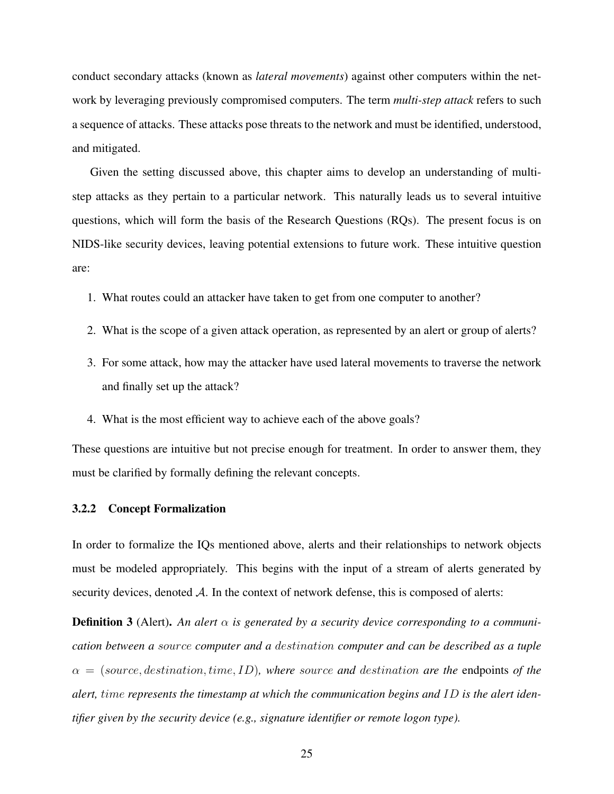conduct secondary attacks (known as *lateral movements*) against other computers within the network by leveraging previously compromised computers. The term *multi-step attack* refers to such a sequence of attacks. These attacks pose threats to the network and must be identified, understood, and mitigated.

Given the setting discussed above, this chapter aims to develop an understanding of multistep attacks as they pertain to a particular network. This naturally leads us to several intuitive questions, which will form the basis of the Research Questions (RQs). The present focus is on NIDS-like security devices, leaving potential extensions to future work. These intuitive question are:

- 1. What routes could an attacker have taken to get from one computer to another?
- 2. What is the scope of a given attack operation, as represented by an alert or group of alerts?
- 3. For some attack, how may the attacker have used lateral movements to traverse the network and finally set up the attack?
- 4. What is the most efficient way to achieve each of the above goals?

These questions are intuitive but not precise enough for treatment. In order to answer them, they must be clarified by formally defining the relevant concepts.

#### <span id="page-35-0"></span>3.2.2 Concept Formalization

In order to formalize the IQs mentioned above, alerts and their relationships to network objects must be modeled appropriately. This begins with the input of a stream of alerts generated by security devices, denoted  $A$ . In the context of network defense, this is composed of alerts:

**Definition 3** (Alert). An alert  $\alpha$  is generated by a security device corresponding to a communi*cation between a source computer and a destination computer and can be described as a tuple α* = (*source, destination, time, ID*)*, where source and destination are the* endpoints *of the alert, time represents the timestamp at which the communication begins and ID is the alert identifier given by the security device (e.g., signature identifier or remote logon type).*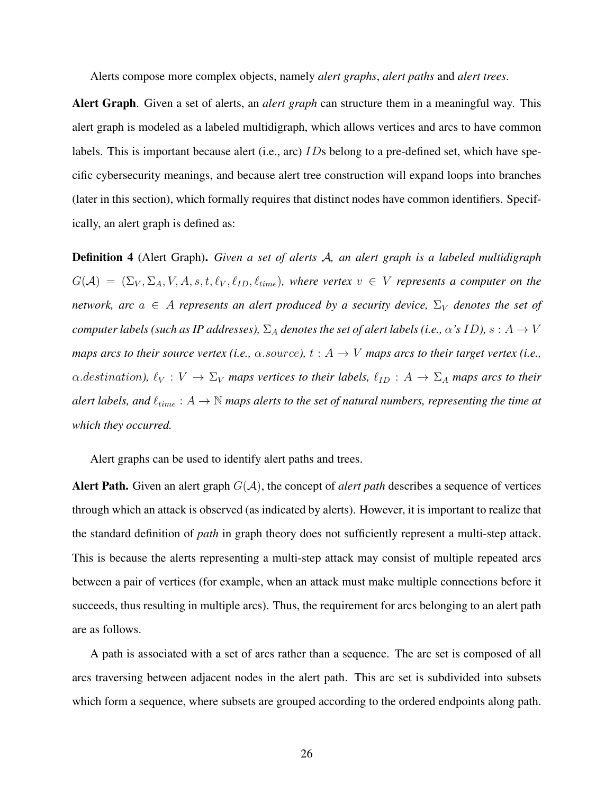Alerts compose more complex objects, namely *alert graphs*, *alert paths* and *alert trees*.

Alert Graph. Given a set of alerts, an *alert graph* can structure them in a meaningful way. This alert graph is modeled as a labeled multidigraph, which allows vertices and arcs to have common labels. This is important because alert (i.e., arc) *ID*s belong to a pre-defined set, which have specific cybersecurity meanings, and because alert tree construction will expand loops into branches (later in this section), which formally requires that distinct nodes have common identifiers. Specifically, an alert graph is defined as:

Definition 4 (Alert Graph). *Given a set of alerts A, an alert graph is a labeled multidigraph*  $G(A) = (\Sigma_V, \Sigma_A, V, A, s, t, \ell_V, \ell_{ID}, \ell_{time})$ , where vertex  $v \in V$  represents a computer on the *network, arc*  $a \in A$  *represents an alert produced by a security device,*  $\Sigma_V$  *denotes the set of computer labels (such as IP addresses),*  $\Sigma_A$  *denotes the set of alert labels (i.e.,*  $\alpha$ 's *ID),*  $s: A \rightarrow V$ *maps arcs to their source vertex (i.e.,*  $\alpha$ *.source),*  $t : A \rightarrow V$  *maps arcs to their target vertex (i.e.,*  $\alpha$ *.destination*),  $\ell_V : V \to \Sigma_V$  *maps vertices to their labels,*  $\ell_{ID} : A \to \Sigma_A$  *maps arcs to their alert labels, and*  $\ell_{time}: A \rightarrow \mathbb{N}$  *maps alerts to the set of natural numbers, representing the time at which they occurred.*

Alert graphs can be used to identify alert paths and trees.

Alert Path. Given an alert graph  $G(A)$ , the concept of *alert path* describes a sequence of vertices through which an attack is observed (as indicated by alerts). However, it is important to realize that the standard definition of *path* in graph theory does not sufficiently represent a multi-step attack. This is because the alerts representing a multi-step attack may consist of multiple repeated arcs between a pair of vertices (for example, when an attack must make multiple connections before it succeeds, thus resulting in multiple arcs). Thus, the requirement for arcs belonging to an alert path are as follows.

A path is associated with a set of arcs rather than a sequence. The arc set is composed of all arcs traversing between adjacent nodes in the alert path. This arc set is subdivided into subsets which form a sequence, where subsets are grouped according to the ordered endpoints along path.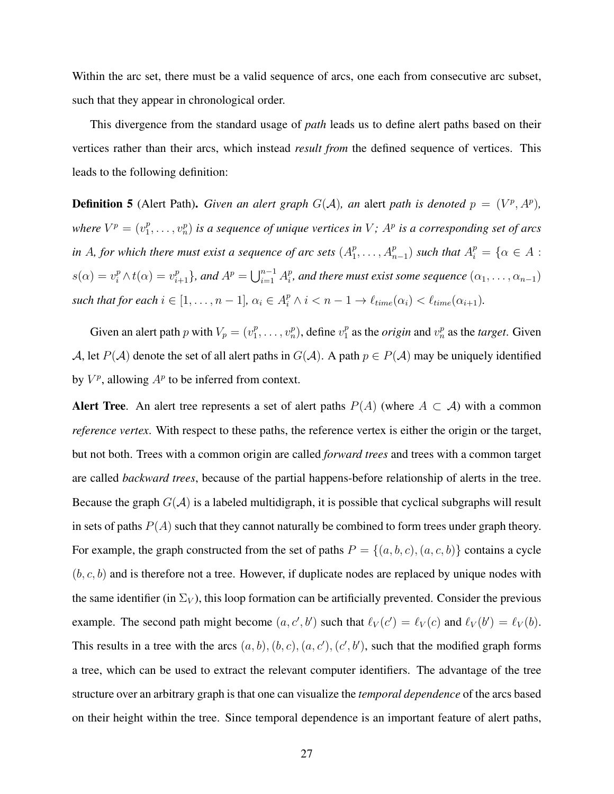Within the arc set, there must be a valid sequence of arcs, one each from consecutive arc subset, such that they appear in chronological order.

This divergence from the standard usage of *path* leads us to define alert paths based on their vertices rather than their arcs, which instead *result from* the defined sequence of vertices. This leads to the following definition:

**Definition 5** (Alert Path). *Given an alert graph*  $G(A)$ *, an alert path is denoted*  $p = (V^p, A^p)$ *, where*  $V^p = (v_1^p)$  $\{v_1^p, \ldots, v_n^p\}$  is a sequence of unique vertices in  $V$ ;  $A^p$  is a corresponding set of arcs *in A*, for which there must exist a sequence of arc sets  $(A_1^p)$  $A_1^p, \ldots, A_{n-1}^p$  *such that*  $A_i^p = \{ \alpha \in A :$  $s(\alpha) = v_i^p \wedge t(\alpha) = v_{i+1}^p$ , and  $A^p = \bigcup_{i=1}^{n-1} A_i^p$  $P_i^p$ , and there must exist some sequence  $(\alpha_1, \ldots, \alpha_{n-1})$ such that for each  $i \in [1, ..., n-1]$ ,  $\alpha_i \in A_i^p \wedge i < n-1 \rightarrow \ell_{time}(\alpha_i) < \ell_{time}(\alpha_{i+1})$ .

Given an alert path *p* with  $V_p = (v_1^p)$  $v_1^p, \ldots, v_n^p$ ), define  $v_1^p$  $\int_{1}^{p}$  as the *origin* and  $v_n^p$  as the *target*. Given *A*, let  $P(A)$  denote the set of all alert paths in  $G(A)$ . A path  $p \in P(A)$  may be uniquely identified by  $V^p$ , allowing  $A^p$  to be inferred from context.

Alert Tree. An alert tree represents a set of alert paths  $P(A)$  (where  $A \subset A$ ) with a common *reference vertex*. With respect to these paths, the reference vertex is either the origin or the target, but not both. Trees with a common origin are called *forward trees* and trees with a common target are called *backward trees*, because of the partial happens-before relationship of alerts in the tree. Because the graph  $G(\mathcal{A})$  is a labeled multidigraph, it is possible that cyclical subgraphs will result in sets of paths  $P(A)$  such that they cannot naturally be combined to form trees under graph theory. For example, the graph constructed from the set of paths  $P = \{(a, b, c), (a, c, b)\}$  contains a cycle  $(b, c, b)$  and is therefore not a tree. However, if duplicate nodes are replaced by unique nodes with the same identifier (in  $\Sigma_V$ ), this loop formation can be artificially prevented. Consider the previous example. The second path might become  $(a, c', b')$  such that  $\ell_V(c') = \ell_V(c)$  and  $\ell_V(b') = \ell_V(b)$ . This results in a tree with the arcs  $(a, b), (b, c), (a, c'), (c', b')$ , such that the modified graph forms a tree, which can be used to extract the relevant computer identifiers. The advantage of the tree structure over an arbitrary graph is that one can visualize the *temporal dependence* of the arcs based on their height within the tree. Since temporal dependence is an important feature of alert paths,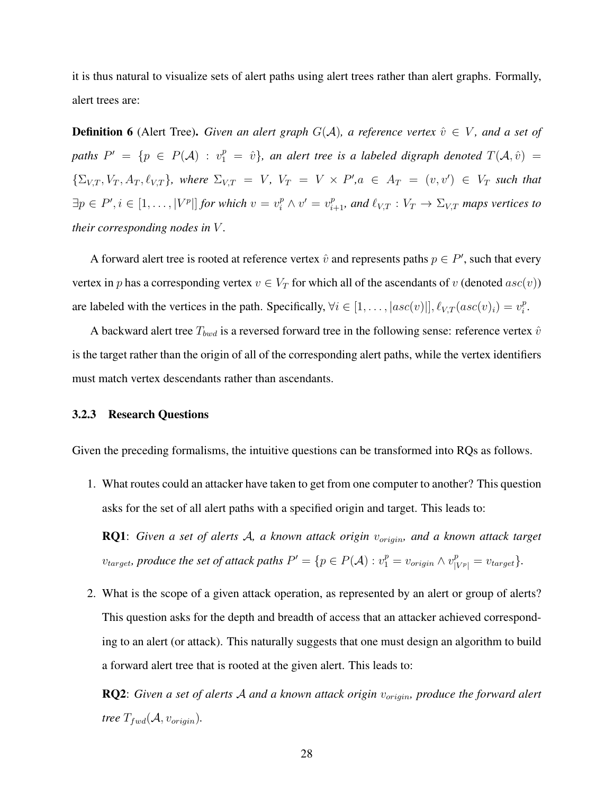it is thus natural to visualize sets of alert paths using alert trees rather than alert graphs. Formally, alert trees are:

**Definition 6** (Alert Tree). *Given an alert graph*  $G(A)$ *, a reference vertex*  $\hat{v} \in V$ *, and a set of paths*  $P' = \{p \in P(\mathcal{A}) : v_1^p = \hat{v}\}$ , an alert tree is a labeled digraph denoted  $T(\mathcal{A}, \hat{v}) =$  $\{\Sigma_{V,T}, V_T, A_T, \ell_{V,T}\}\$ , where  $\Sigma_{V,T} = V$ ,  $V_T = V \times P'$ ,  $a \in A_T = (v, v') \in V_T$  such that  $\exists p \in P', i \in [1, \ldots, |V^p|]$  for which  $v = v_i^p \wedge v' = v_{i+1}^p$ , and  $\ell_{V,T} : V_T \to \Sigma_{V,T}$  maps vertices to *their corresponding nodes in V .*

A forward alert tree is rooted at reference vertex  $\hat{v}$  and represents paths  $p \in P'$ , such that every vertex in *p* has a corresponding vertex  $v \in V_T$  for which all of the ascendants of *v* (denoted  $asc(v)$ ) are labeled with the vertices in the path. Specifically,  $\forall i \in [1, \ldots, |asc(v)|, \ell_{V,T}(asc(v)_i) = v_i^p$  $\frac{p}{i}$ .

A backward alert tree  $T_{bwd}$  is a reversed forward tree in the following sense: reference vertex  $\hat{v}$ is the target rather than the origin of all of the corresponding alert paths, while the vertex identifiers must match vertex descendants rather than ascendants.

#### <span id="page-38-0"></span>3.2.3 Research Questions

Given the preceding formalisms, the intuitive questions can be transformed into RQs as follows.

1. What routes could an attacker have taken to get from one computer to another? This question asks for the set of all alert paths with a specified origin and target. This leads to:

RQ1: *Given a set of alerts A, a known attack origin vorigin, and a known attack target*  $v_{target}$ , produce the set of attack paths  $P' = \{p \in P(\mathcal{A}) : v_1^p = v_{origin} \wedge v_{|V^p|}^p = v_{target}\}.$ 

2. What is the scope of a given attack operation, as represented by an alert or group of alerts? This question asks for the depth and breadth of access that an attacker achieved corresponding to an alert (or attack). This naturally suggests that one must design an algorithm to build a forward alert tree that is rooted at the given alert. This leads to:

RQ2: *Given a set of alerts A and a known attack origin vorigin, produce the forward alert tree*  $T_{fwd}(A, v_{origin})$ .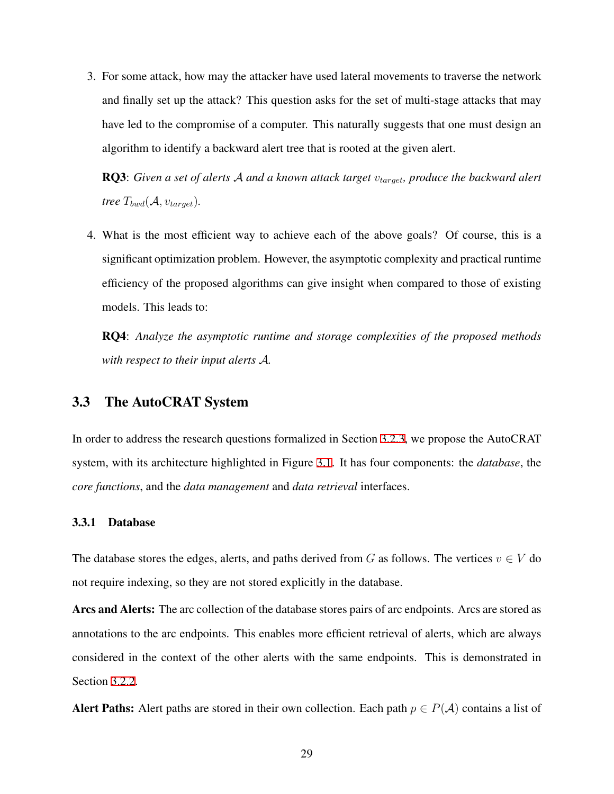3. For some attack, how may the attacker have used lateral movements to traverse the network and finally set up the attack? This question asks for the set of multi-stage attacks that may have led to the compromise of a computer. This naturally suggests that one must design an algorithm to identify a backward alert tree that is rooted at the given alert.

RQ3: *Given a set of alerts A and a known attack target vtarget, produce the backward alert tree*  $T_{bwd}(A, v_{target})$ .

4. What is the most efficient way to achieve each of the above goals? Of course, this is a significant optimization problem. However, the asymptotic complexity and practical runtime efficiency of the proposed algorithms can give insight when compared to those of existing models. This leads to:

RQ4: *Analyze the asymptotic runtime and storage complexities of the proposed methods with respect to their input alerts A.*

# <span id="page-39-0"></span>3.3 The AutoCRAT System

In order to address the research questions formalized in Section [3.2.3,](#page-38-0) we propose the AutoCRAT system, with its architecture highlighted in Figure [3.1.](#page-40-0) It has four components: the *database*, the *core functions*, and the *data management* and *data retrieval* interfaces.

### 3.3.1 Database

The database stores the edges, alerts, and paths derived from *G* as follows. The vertices  $v \in V$  do not require indexing, so they are not stored explicitly in the database.

Arcs and Alerts: The arc collection of the database stores pairs of arc endpoints. Arcs are stored as annotations to the arc endpoints. This enables more efficient retrieval of alerts, which are always considered in the context of the other alerts with the same endpoints. This is demonstrated in Section [3.2.2.](#page-35-0)

Alert Paths: Alert paths are stored in their own collection. Each path  $p \in P(\mathcal{A})$  contains a list of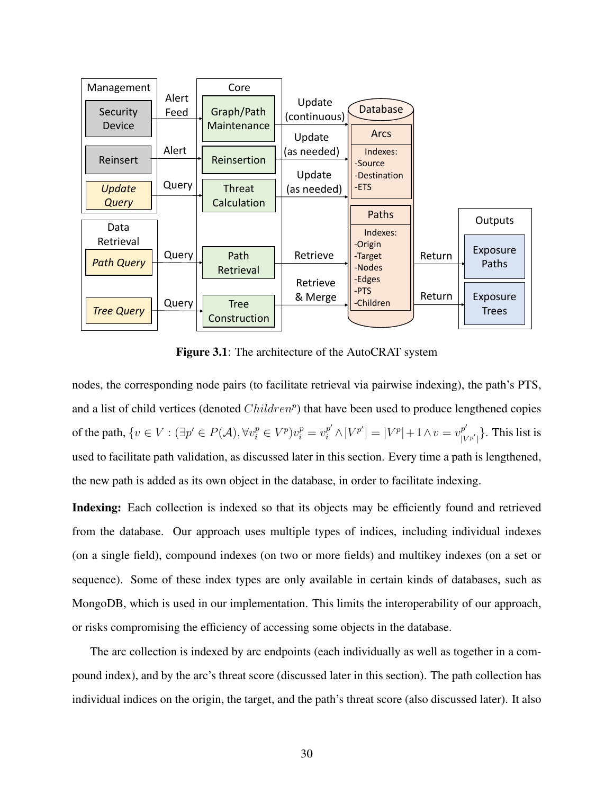<span id="page-40-0"></span>

Figure 3.1: The architecture of the AutoCRAT system

nodes, the corresponding node pairs (to facilitate retrieval via pairwise indexing), the path's PTS, and a list of child vertices (denoted *Children<sup>p</sup>* ) that have been used to produce lengthened copies of the path,  $\{v \in V : (\exists p' \in P(\mathcal{A}), \forall v_i^p \in V^p)v_i^p = v_i^{p'} \wedge |V^{p'}| = |V^p| + 1 \wedge v = v_{|V|}^{p'}\}$  $\binom{p}{|V^{p'}|}$ . This list is used to facilitate path validation, as discussed later in this section. Every time a path is lengthened, the new path is added as its own object in the database, in order to facilitate indexing.

Indexing: Each collection is indexed so that its objects may be efficiently found and retrieved from the database. Our approach uses multiple types of indices, including individual indexes (on a single field), compound indexes (on two or more fields) and multikey indexes (on a set or sequence). Some of these index types are only available in certain kinds of databases, such as MongoDB, which is used in our implementation. This limits the interoperability of our approach, or risks compromising the efficiency of accessing some objects in the database.

The arc collection is indexed by arc endpoints (each individually as well as together in a compound index), and by the arc's threat score (discussed later in this section). The path collection has individual indices on the origin, the target, and the path's threat score (also discussed later). It also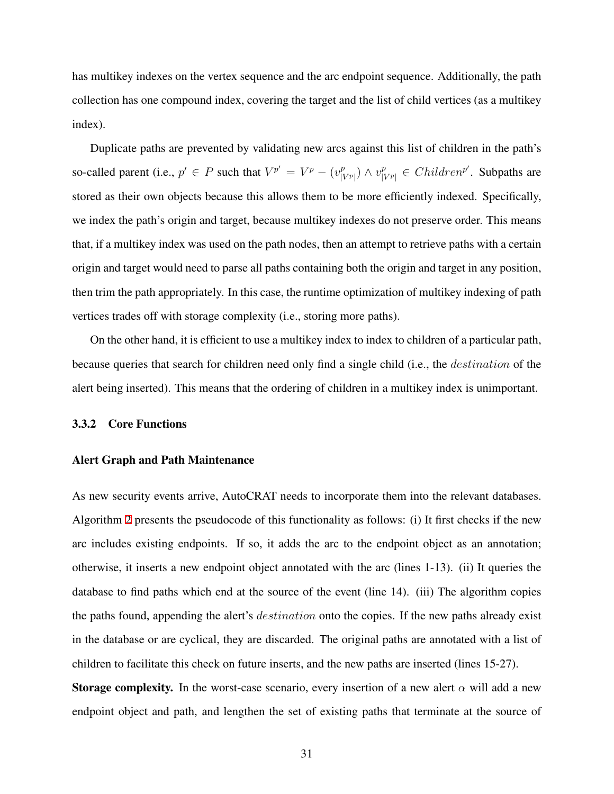has multikey indexes on the vertex sequence and the arc endpoint sequence. Additionally, the path collection has one compound index, covering the target and the list of child vertices (as a multikey index).

Duplicate paths are prevented by validating new arcs against this list of children in the path's so-called parent (i.e.,  $p' \in P$  such that  $V^{p'} = V^p - (v_{\text{in}}^p)$ *p*<sup>*p*</sup></sup> *N v*<sup>*p*</sup><sub>*[VP|*</sub>  $\in$  *Children<sup>p'</sup>. Subpaths are* stored as their own objects because this allows them to be more efficiently indexed. Specifically, we index the path's origin and target, because multikey indexes do not preserve order. This means that, if a multikey index was used on the path nodes, then an attempt to retrieve paths with a certain origin and target would need to parse all paths containing both the origin and target in any position, then trim the path appropriately. In this case, the runtime optimization of multikey indexing of path vertices trades off with storage complexity (i.e., storing more paths).

On the other hand, it is efficient to use a multikey index to index to children of a particular path, because queries that search for children need only find a single child (i.e., the *destination* of the alert being inserted). This means that the ordering of children in a multikey index is unimportant.

#### 3.3.2 Core Functions

#### <span id="page-41-0"></span>Alert Graph and Path Maintenance

As new security events arrive, AutoCRAT needs to incorporate them into the relevant databases. Algorithm [2](#page-42-0) presents the pseudocode of this functionality as follows: (i) It first checks if the new arc includes existing endpoints. If so, it adds the arc to the endpoint object as an annotation; otherwise, it inserts a new endpoint object annotated with the arc (lines 1-13). (ii) It queries the database to find paths which end at the source of the event (line 14). (iii) The algorithm copies the paths found, appending the alert's *destination* onto the copies. If the new paths already exist in the database or are cyclical, they are discarded. The original paths are annotated with a list of children to facilitate this check on future inserts, and the new paths are inserted (lines 15-27).

**Storage complexity.** In the worst-case scenario, every insertion of a new alert  $\alpha$  will add a new endpoint object and path, and lengthen the set of existing paths that terminate at the source of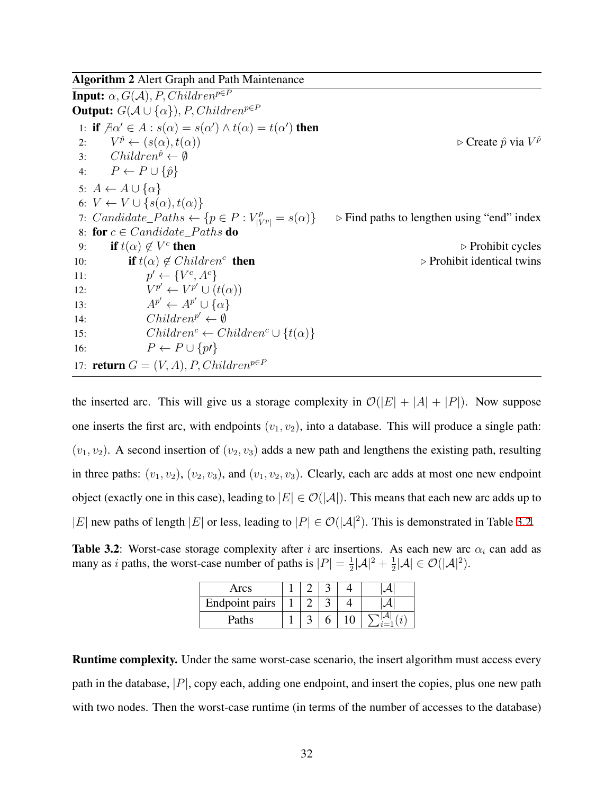<span id="page-42-0"></span>Algorithm 2 Alert Graph and Path Maintenance

**Input:**  $\alpha$ *,*  $G(A)$ *, P, Children*<sup>*p*∈*P*</sup> **Output:**  $G(A \cup \{\alpha\})$ *, P, Children*<sup>*p*∈*P*</sup> 1: if  $\exists \alpha' \in A : s(\alpha) = s(\alpha') \land t(\alpha) = t(\alpha')$  then  $2:$  $V^{\hat{p}} \leftarrow (s(\alpha), t(\alpha))$  $\rhd$  Create  $\hat{p}$  via  $V^{\hat{p}}$ 3:  $Children^{\hat{p}} \leftarrow \emptyset$ 4:  $P \leftarrow P \cup \{\hat{p}\}$  $5: A \leftarrow A \cup \{\alpha\}$ 6:  $V \leftarrow V \cup \{s(\alpha), t(\alpha)\}\$ 7: *Candidate\_Paths*  $\leftarrow \{p \in P : V_{\mid V}^{p}\}$ *<sup>|</sup><sup>V</sup> <sup>p</sup><sup>|</sup>* <sup>=</sup> *<sup>s</sup>*(*α*)*} <sup>▷</sup>* Find paths to lengthen using "end" index 8: for  $c \in Candidate\_Paths$  do 9: **if**  $t(\alpha) \notin V^c$ **▷ Prohibit cycles** 10: **if**  $t(\alpha) \notin Children^c$  **then ▷ Prohibit identical twins** 11: *p*  $\mathcal{V} \leftarrow \{V^c, A^c\}$  $12:$  $p' \leftarrow V^{p'} \cup (t(\alpha))$ 13:  $A^{p'} \leftarrow A^{p'} \cup \{\alpha\}$ 14:  $Children^{p'} \leftarrow \emptyset$ 15:  $Children^c \leftarrow Children^c \cup \{t(\alpha)\}$ 16:  $P \leftarrow P \cup \{p\}$ 17: **return**  $G = (V, A), P, Children^{p \in P}$ 

the inserted arc. This will give us a storage complexity in  $\mathcal{O}(|E| + |A| + |P|)$ . Now suppose one inserts the first arc, with endpoints  $(v_1, v_2)$ , into a database. This will produce a single path:  $(v_1, v_2)$ . A second insertion of  $(v_2, v_3)$  adds a new path and lengthens the existing path, resulting in three paths:  $(v_1, v_2)$ ,  $(v_2, v_3)$ , and  $(v_1, v_2, v_3)$ . Clearly, each arc adds at most one new endpoint object (exactly one in this case), leading to  $|E| \in \mathcal{O}(|A|)$ . This means that each new arc adds up to *|E*| new paths of length *|E*| or less, leading to  $|P| \in \mathcal{O}(|A|^2)$ . This is demonstrated in Table [3.2](#page-42-1).

<span id="page-42-1"></span>Table 3.2: Worst-case storage complexity after *i* arc insertions. As each new arc  $\alpha_i$  can add as many as *i* paths, the worst-case number of paths is  $|P| = \frac{1}{2}$  $\frac{1}{2}|A|^{2}+\frac{1}{2}$  $\frac{1}{2}|\mathcal{A}| \in \mathcal{O}(|\mathcal{A}|^2).$ 

| Arcs                  |  |  |  |
|-----------------------|--|--|--|
| <b>Endpoint pairs</b> |  |  |  |
| Paths                 |  |  |  |

Runtime complexity. Under the same worst-case scenario, the insert algorithm must access every path in the database, *|P|*, copy each, adding one endpoint, and insert the copies, plus one new path with two nodes. Then the worst-case runtime (in terms of the number of accesses to the database)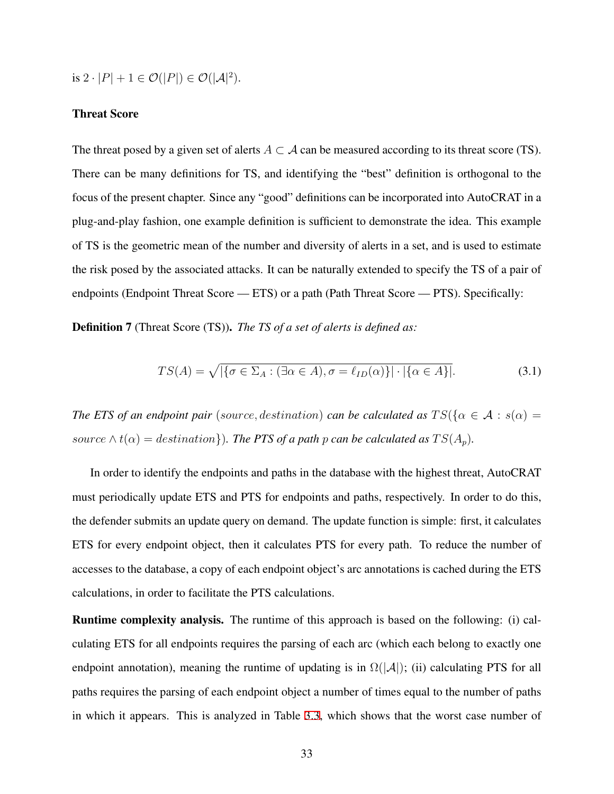is  $2 \cdot |P| + 1 \in \mathcal{O}(|P|) \in \mathcal{O}(|\mathcal{A}|^2)$ .

#### Threat Score

The threat posed by a given set of alerts  $A \subset \mathcal{A}$  can be measured according to its threat score (TS). There can be many definitions for TS, and identifying the "best" definition is orthogonal to the focus of the present chapter. Since any "good" definitions can be incorporated into AutoCRAT in a plug-and-play fashion, one example definition is sufficient to demonstrate the idea. This example of TS is the geometric mean of the number and diversity of alerts in a set, and is used to estimate the risk posed by the associated attacks. It can be naturally extended to specify the TS of a pair of endpoints (Endpoint Threat Score — ETS) or a path (Path Threat Score — PTS). Specifically:

Definition 7 (Threat Score (TS)). *The TS of a set of alerts is defined as:*

$$
TS(A) = \sqrt{|\{\sigma \in \Sigma_A : (\exists \alpha \in A), \sigma = \ell_{ID}(\alpha)\}| \cdot |\{\alpha \in A\}|}. \tag{3.1}
$$

*The ETS of an endpoint pair* (*source, destination*) *can be calculated as*  $TS({\alpha \in A : s(\alpha) = a})$ *source*  $\wedge$  *t*( $\alpha$ ) = *destination*})*. The PTS of a path p can be calculated as*  $TS(A_p)$ *.* 

In order to identify the endpoints and paths in the database with the highest threat, AutoCRAT must periodically update ETS and PTS for endpoints and paths, respectively. In order to do this, the defender submits an update query on demand. The update function is simple: first, it calculates ETS for every endpoint object, then it calculates PTS for every path. To reduce the number of accesses to the database, a copy of each endpoint object's arc annotations is cached during the ETS calculations, in order to facilitate the PTS calculations.

Runtime complexity analysis. The runtime of this approach is based on the following: (i) calculating ETS for all endpoints requires the parsing of each arc (which each belong to exactly one endpoint annotation), meaning the runtime of updating is in  $\Omega(|A|)$ ; (ii) calculating PTS for all paths requires the parsing of each endpoint object a number of times equal to the number of paths in which it appears. This is analyzed in Table [3.3,](#page-44-0) which shows that the worst case number of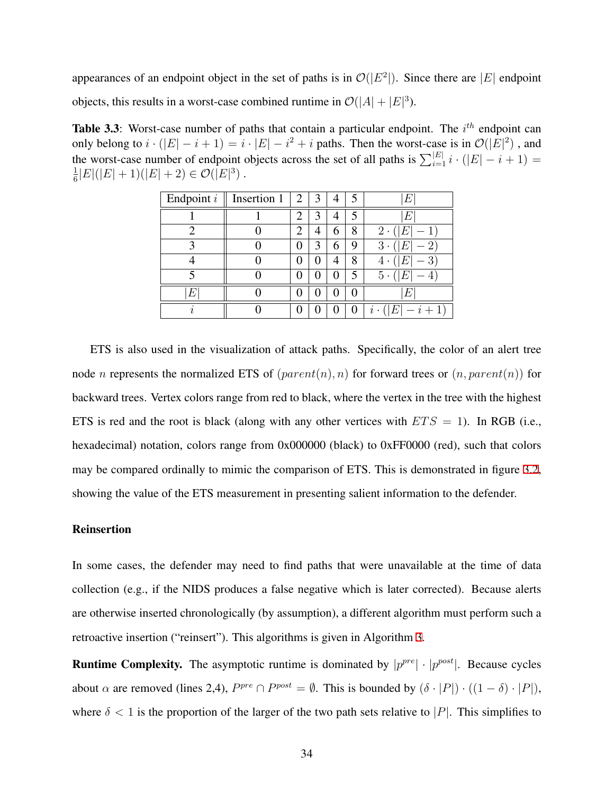appearances of an endpoint object in the set of paths is in  $\mathcal{O}(|E^2|)$ . Since there are  $|E|$  endpoint objects, this results in a worst-case combined runtime in  $\mathcal{O}(|A| + |E|^3)$ .

<span id="page-44-0"></span>Table 3.3: Worst-case number of paths that contain a particular endpoint. The *i*<sup>th</sup> endpoint can only belong to  $i \cdot (|E| - i + 1) = i \cdot |E| - i^2 + i$  paths. Then the worst-case is in  $\mathcal{O}(|E|^2)$ , and the worst-case number of endpoint objects across the set of all paths is  $\sum_{i=1}^{|E|} i \cdot (|E| - i + 1) =$ 1  $\frac{1}{6}|E|(|E|+1)(|E|+2) \in \mathcal{O}(|E|^3)$ .

| Endpoint i        | Insertion 1 | $\overline{2}$ | 3                 |   |   | μ                                               |  |  |
|-------------------|-------------|----------------|-------------------|---|---|-------------------------------------------------|--|--|
|                   |             | 2              | 3                 |   |   | F                                               |  |  |
| ◠                 |             | $\overline{2}$ | 4                 | h | 8 | $2 \cdot$<br>H                                  |  |  |
| $\mathbf{\Omega}$ |             | 0              | 3                 | h | 9 | 3<br>$2^{\prime}$<br>$\bullet$                  |  |  |
|                   |             | 0              | 0                 |   | 8 | 3<br>4<br>H)<br>٠                               |  |  |
|                   |             | ( )            | $\mathbf{\Omega}$ | 0 | 5 | 5<br>Н,<br>$\bullet$                            |  |  |
| E                 |             | 0              | 0                 | U | 0 | E                                               |  |  |
|                   |             |                | 0                 | O | 0 | $i+1$<br>F,<br>$\boldsymbol{\eta}$<br>$\bullet$ |  |  |

ETS is also used in the visualization of attack paths. Specifically, the color of an alert tree node *n* represents the normalized ETS of  $(parent(n), n)$  for forward trees or  $(n, parent(n))$  for backward trees. Vertex colors range from red to black, where the vertex in the tree with the highest ETS is red and the root is black (along with any other vertices with  $ETS = 1$ ). In RGB (i.e., hexadecimal) notation, colors range from 0x000000 (black) to 0xFF0000 (red), such that colors may be compared ordinally to mimic the comparison of ETS. This is demonstrated in figure [3.2](#page-45-0), showing the value of the ETS measurement in presenting salient information to the defender.

#### Reinsertion

In some cases, the defender may need to find paths that were unavailable at the time of data collection (e.g., if the NIDS produces a false negative which is later corrected). Because alerts are otherwise inserted chronologically (by assumption), a different algorithm must perform such a retroactive insertion ("reinsert"). This algorithms is given in Algorithm [3](#page-45-1).

**Runtime Complexity.** The asymptotic runtime is dominated by  $|p^{pre}| \cdot |p^{post}|$ . Because cycles about  $\alpha$  are removed (lines 2,4),  $P^{pre} \cap P^{post} = \emptyset$ . This is bounded by  $(\delta \cdot |P|) \cdot ((1 - \delta) \cdot |P|)$ , where  $\delta$  < 1 is the proportion of the larger of the two path sets relative to *|P|*. This simplifies to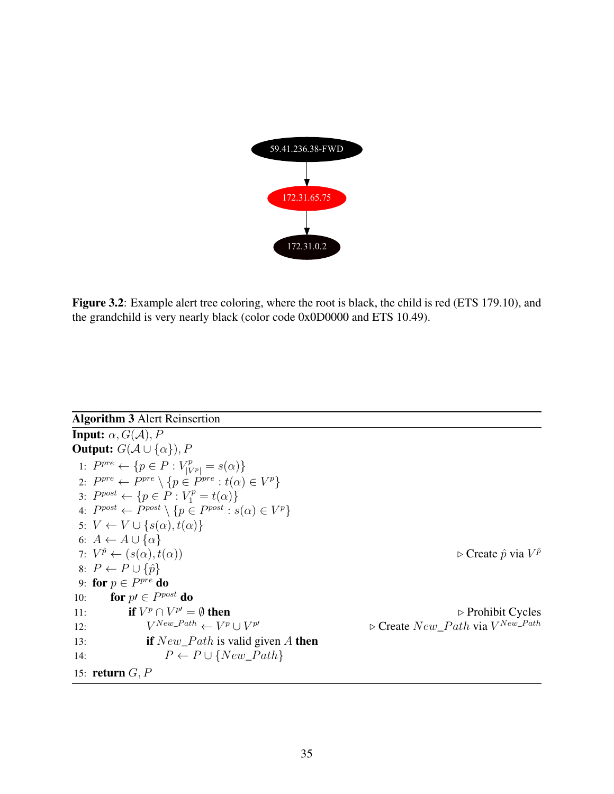<span id="page-45-0"></span>

Figure 3.2: Example alert tree coloring, where the root is black, the child is red (ETS 179.10), and the grandchild is very nearly black (color code 0x0D0000 and ETS 10.49).

<span id="page-45-1"></span>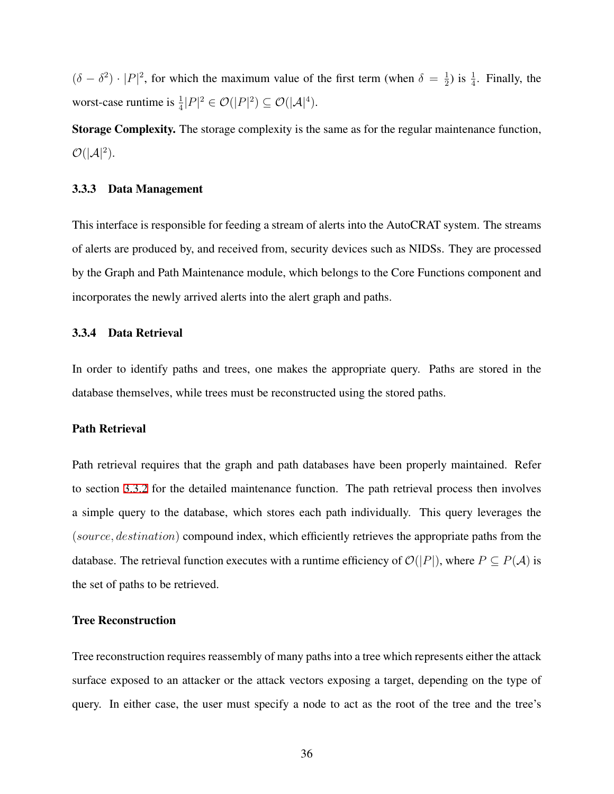$(\delta - \delta^2) \cdot |P|^2$ , for which the maximum value of the first term (when  $\delta = \frac{1}{2}$ )  $\frac{1}{2}$ ) is  $\frac{1}{4}$ . Finally, the worst-case runtime is  $\frac{1}{4}|P|^2 \in \mathcal{O}(|P|^2) \subseteq \mathcal{O}(|\mathcal{A}|^4)$ .

Storage Complexity. The storage complexity is the same as for the regular maintenance function,  $\mathcal{O}(|\mathcal{A}|^2)$ .

#### 3.3.3 Data Management

This interface is responsible for feeding a stream of alerts into the AutoCRAT system. The streams of alerts are produced by, and received from, security devices such as NIDSs. They are processed by the Graph and Path Maintenance module, which belongs to the Core Functions component and incorporates the newly arrived alerts into the alert graph and paths.

#### <span id="page-46-0"></span>3.3.4 Data Retrieval

In order to identify paths and trees, one makes the appropriate query. Paths are stored in the database themselves, while trees must be reconstructed using the stored paths.

#### Path Retrieval

Path retrieval requires that the graph and path databases have been properly maintained. Refer to section [3.3.2](#page-41-0) for the detailed maintenance function. The path retrieval process then involves a simple query to the database, which stores each path individually. This query leverages the (*source, destination*) compound index, which efficiently retrieves the appropriate paths from the database. The retrieval function executes with a runtime efficiency of  $\mathcal{O}(|P|)$ , where  $P \subseteq P(\mathcal{A})$  is the set of paths to be retrieved.

#### Tree Reconstruction

Tree reconstruction requires reassembly of many paths into a tree which represents either the attack surface exposed to an attacker or the attack vectors exposing a target, depending on the type of query. In either case, the user must specify a node to act as the root of the tree and the tree's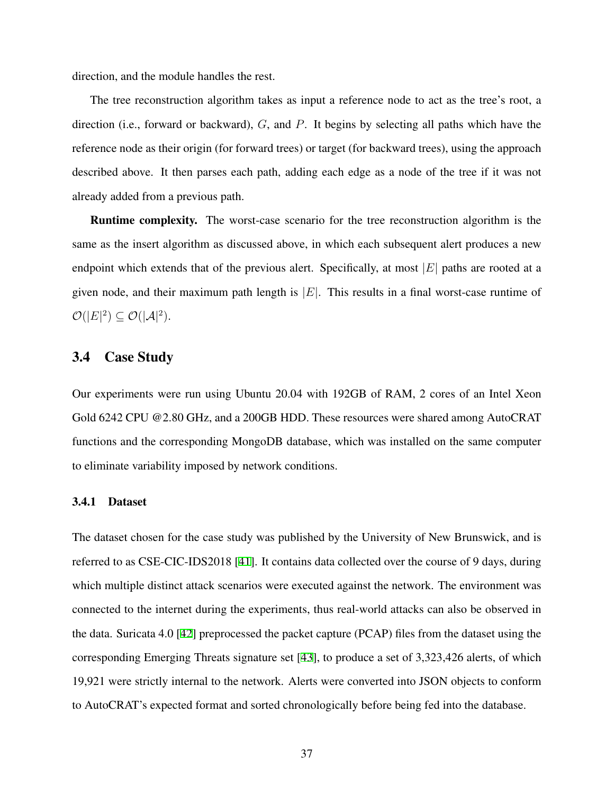direction, and the module handles the rest.

The tree reconstruction algorithm takes as input a reference node to act as the tree's root, a direction (i.e., forward or backward), *G*, and *P*. It begins by selecting all paths which have the reference node as their origin (for forward trees) or target (for backward trees), using the approach described above. It then parses each path, adding each edge as a node of the tree if it was not already added from a previous path.

Runtime complexity. The worst-case scenario for the tree reconstruction algorithm is the same as the insert algorithm as discussed above, in which each subsequent alert produces a new endpoint which extends that of the previous alert. Specifically, at most *|E|* paths are rooted at a given node, and their maximum path length is *|E|*. This results in a final worst-case runtime of  $\mathcal{O}(|E|^2) \subseteq \mathcal{O}(|\mathcal{A}|^2).$ 

## 3.4 Case Study

Our experiments were run using Ubuntu 20.04 with 192GB of RAM, 2 cores of an Intel Xeon Gold 6242 CPU @2.80 GHz, and a 200GB HDD. These resources were shared among AutoCRAT functions and the corresponding MongoDB database, which was installed on the same computer to eliminate variability imposed by network conditions.

## 3.4.1 Dataset

The dataset chosen for the case study was published by the University of New Brunswick, and is referred to as CSE-CIC-IDS2018 [\[41](#page-79-0)]. It contains data collected over the course of 9 days, during which multiple distinct attack scenarios were executed against the network. The environment was connected to the internet during the experiments, thus real-world attacks can also be observed in the data. Suricata 4.0 [[42\]](#page-79-1) preprocessed the packet capture (PCAP) files from the dataset using the corresponding Emerging Threats signature set [\[43](#page-79-2)], to produce a set of 3,323,426 alerts, of which 19,921 were strictly internal to the network. Alerts were converted into JSON objects to conform to AutoCRAT's expected format and sorted chronologically before being fed into the database.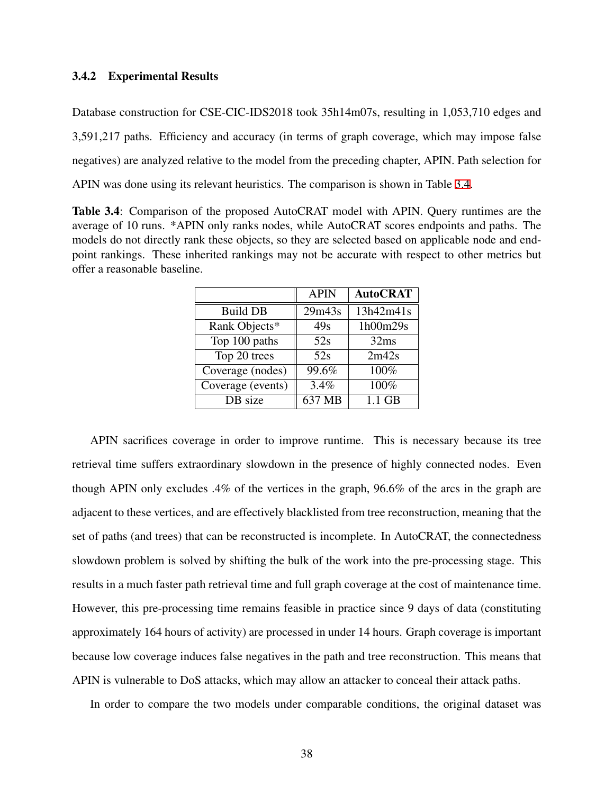### 3.4.2 Experimental Results

Database construction for CSE-CIC-IDS2018 took 35h14m07s, resulting in 1,053,710 edges and 3,591,217 paths. Efficiency and accuracy (in terms of graph coverage, which may impose false negatives) are analyzed relative to the model from the preceding chapter, APIN. Path selection for APIN was done using its relevant heuristics. The comparison is shown in Table [3.4.](#page-48-0)

<span id="page-48-0"></span>Table 3.4: Comparison of the proposed AutoCRAT model with APIN. Query runtimes are the average of 10 runs. \*APIN only ranks nodes, while AutoCRAT scores endpoints and paths. The models do not directly rank these objects, so they are selected based on applicable node and endpoint rankings. These inherited rankings may not be accurate with respect to other metrics but offer a reasonable baseline.

|                   | <b>APIN</b> | <b>AutoCRAT</b> |
|-------------------|-------------|-----------------|
| <b>Build DB</b>   | 29m43s      | 13h42m41s       |
| Rank Objects*     | 49s         | 1h00m29s        |
| Top 100 paths     | 52s         | 32ms            |
| Top 20 trees      | 52s         | 2m42s           |
| Coverage (nodes)  | 99.6%       | 100%            |
| Coverage (events) | 3.4%        | 100%            |
| DB size           | 637 MB      | $1.1$ GB        |

APIN sacrifices coverage in order to improve runtime. This is necessary because its tree retrieval time suffers extraordinary slowdown in the presence of highly connected nodes. Even though APIN only excludes .4% of the vertices in the graph, 96.6% of the arcs in the graph are adjacent to these vertices, and are effectively blacklisted from tree reconstruction, meaning that the set of paths (and trees) that can be reconstructed is incomplete. In AutoCRAT, the connectedness slowdown problem is solved by shifting the bulk of the work into the pre-processing stage. This results in a much faster path retrieval time and full graph coverage at the cost of maintenance time. However, this pre-processing time remains feasible in practice since 9 days of data (constituting approximately 164 hours of activity) are processed in under 14 hours. Graph coverage is important because low coverage induces false negatives in the path and tree reconstruction. This means that APIN is vulnerable to DoS attacks, which may allow an attacker to conceal their attack paths.

In order to compare the two models under comparable conditions, the original dataset was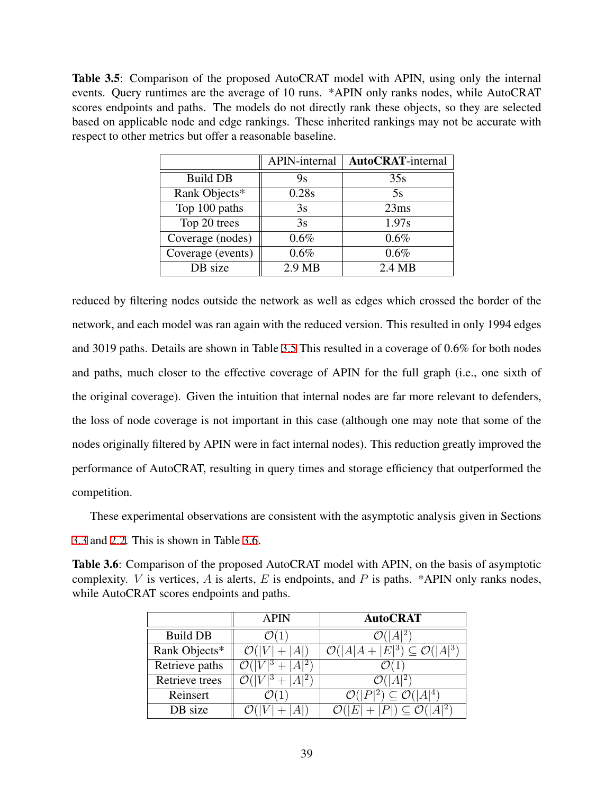<span id="page-49-0"></span>Table 3.5: Comparison of the proposed AutoCRAT model with APIN, using only the internal events. Query runtimes are the average of 10 runs. \*APIN only ranks nodes, while AutoCRAT scores endpoints and paths. The models do not directly rank these objects, so they are selected based on applicable node and edge rankings. These inherited rankings may not be accurate with respect to other metrics but offer a reasonable baseline.

|                   | APIN-internal | <b>AutoCRAT-internal</b> |
|-------------------|---------------|--------------------------|
| <b>Build DB</b>   | 9s            | 35s                      |
| Rank Objects*     | 0.28s         | 5s                       |
| Top 100 paths     | 3s            | 23ms                     |
| Top 20 trees      | 3s            | 1.97s                    |
| Coverage (nodes)  | 0.6%          | 0.6%                     |
| Coverage (events) | 0.6%          | 0.6%                     |
| DB size           | $2.9$ MB      | $2.4 \text{ MB}$         |

reduced by filtering nodes outside the network as well as edges which crossed the border of the network, and each model was ran again with the reduced version. This resulted in only 1994 edges and 3019 paths. Details are shown in Table [3.5](#page-49-0) This resulted in a coverage of 0.6% for both nodes and paths, much closer to the effective coverage of APIN for the full graph (i.e., one sixth of the original coverage). Given the intuition that internal nodes are far more relevant to defenders, the loss of node coverage is not important in this case (although one may note that some of the nodes originally filtered by APIN were in fact internal nodes). This reduction greatly improved the performance of AutoCRAT, resulting in query times and storage efficiency that outperformed the competition.

These experimental observations are consistent with the asymptotic analysis given in Sections [3.3](#page-39-0) and [2.2](#page-17-0). This is shown in Table [3.6](#page-49-1).

<span id="page-49-1"></span>Table 3.6: Comparison of the proposed AutoCRAT model with APIN, on the basis of asymptotic complexity. *V* is vertices, *A* is alerts, *E* is endpoints, and *P* is paths. \*APIN only ranks nodes, while AutoCRAT scores endpoints and paths.

|                 | <b>APIN</b> | <b>AutoCRAT</b>                                 |  |  |
|-----------------|-------------|-------------------------------------------------|--|--|
| <b>Build DB</b> |             |                                                 |  |  |
| Rank Objects*   |             | $\overline{ E ^3}$ ) $\subseteq \mathcal{O}($ ' |  |  |
| Retrieve paths  |             |                                                 |  |  |
| Retrieve trees  |             |                                                 |  |  |
| Reinsert        |             | $\subseteq \mathcal{O}(\overline{ A ^4})$       |  |  |
| DB size         |             | $ P  \subseteq \mathcal{O}(\mathcal{O})$        |  |  |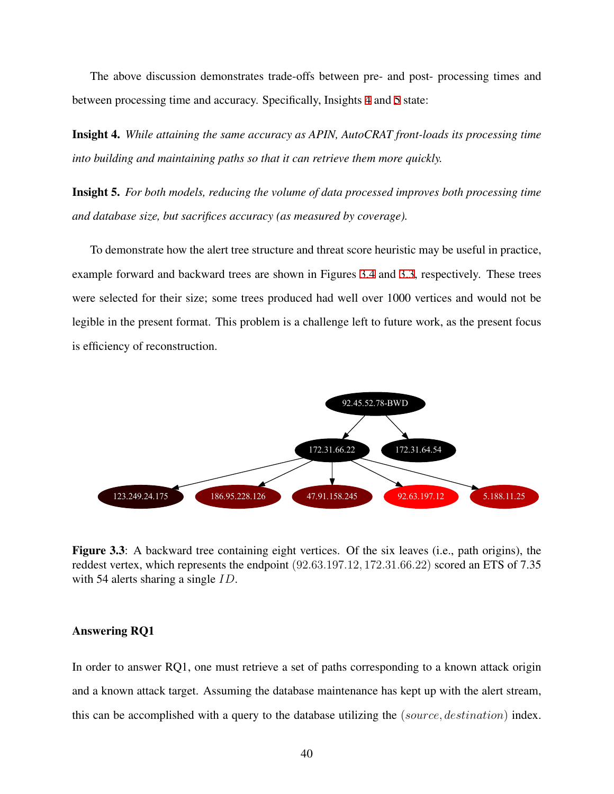The above discussion demonstrates trade-offs between pre- and post- processing times and between processing time and accuracy. Specifically, Insights [4](#page-50-0) and [5](#page-50-1) state:

<span id="page-50-0"></span>Insight 4. *While attaining the same accuracy as APIN, AutoCRAT front-loads its processing time into building and maintaining paths so that it can retrieve them more quickly.*

<span id="page-50-1"></span>Insight 5. *For both models, reducing the volume of data processed improves both processing time and database size, but sacrifices accuracy (as measured by coverage).*

To demonstrate how the alert tree structure and threat score heuristic may be useful in practice, example forward and backward trees are shown in Figures [3.4](#page-51-0) and [3.3,](#page-50-2) respectively. These trees were selected for their size; some trees produced had well over 1000 vertices and would not be legible in the present format. This problem is a challenge left to future work, as the present focus is efficiency of reconstruction.

<span id="page-50-2"></span>

Figure 3.3: A backward tree containing eight vertices. Of the six leaves (i.e., path origins), the reddest vertex, which represents the endpoint (92*.*63*.*197*.*12*,* 172*.*31*.*66*.*22) scored an ETS of 7.35 with 54 alerts sharing a single *ID*.

### Answering RQ1

In order to answer RQ1, one must retrieve a set of paths corresponding to a known attack origin and a known attack target. Assuming the database maintenance has kept up with the alert stream, this can be accomplished with a query to the database utilizing the (*source, destination*) index.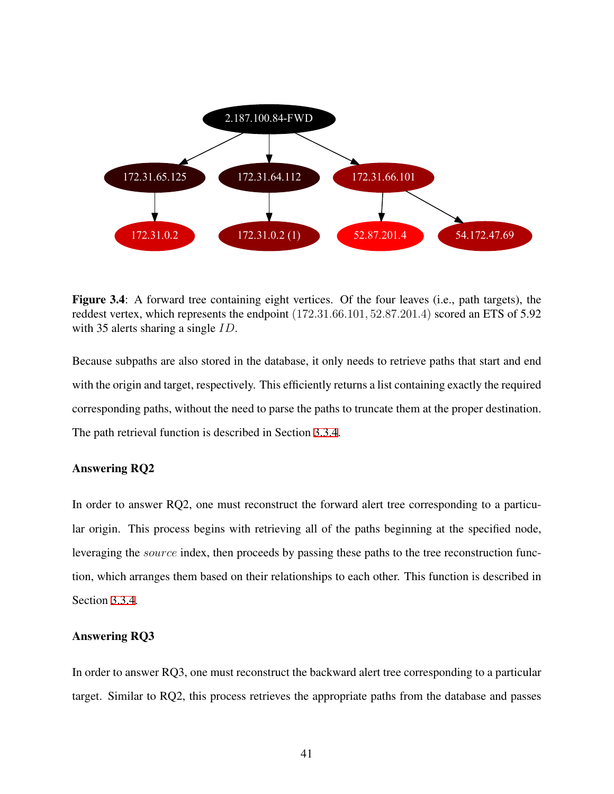<span id="page-51-0"></span>

Figure 3.4: A forward tree containing eight vertices. Of the four leaves (i.e., path targets), the reddest vertex, which represents the endpoint (172*.*31*.*66*.*101*,* 52*.*87*.*201*.*4) scored an ETS of 5.92 with 35 alerts sharing a single *ID*.

Because subpaths are also stored in the database, it only needs to retrieve paths that start and end with the origin and target, respectively. This efficiently returns a list containing exactly the required corresponding paths, without the need to parse the paths to truncate them at the proper destination. The path retrieval function is described in Section [3.3.4](#page-46-0).

### Answering RQ2

In order to answer RQ2, one must reconstruct the forward alert tree corresponding to a particular origin. This process begins with retrieving all of the paths beginning at the specified node, leveraging the *source* index, then proceeds by passing these paths to the tree reconstruction function, which arranges them based on their relationships to each other. This function is described in Section [3.3.4.](#page-46-0)

## Answering RQ3

In order to answer RQ3, one must reconstruct the backward alert tree corresponding to a particular target. Similar to RQ2, this process retrieves the appropriate paths from the database and passes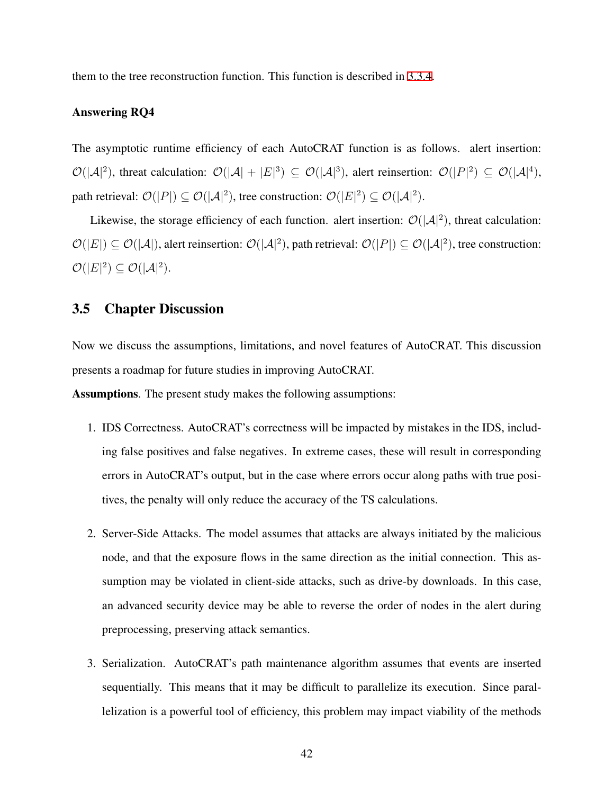them to the tree reconstruction function. This function is described in [3.3.4.](#page-46-0)

### Answering RQ4

The asymptotic runtime efficiency of each AutoCRAT function is as follows. alert insertion:  $\mathcal{O}(|\mathcal{A}|^2)$ , threat calculation:  $\mathcal{O}(|\mathcal{A}| + |E|^3) \subseteq \mathcal{O}(|\mathcal{A}|^3)$ , alert reinsertion:  $\mathcal{O}(|P|^2) \subseteq \mathcal{O}(|\mathcal{A}|^4)$ , path retrieval:  $\mathcal{O}(|P|) \subseteq \mathcal{O}(|\mathcal{A}|^2)$ , tree construction:  $\mathcal{O}(|E|^2) \subseteq \mathcal{O}(|\mathcal{A}|^2)$ .

Likewise, the storage efficiency of each function. alert insertion:  $\mathcal{O}(|A|^2)$ , threat calculation:  $\mathcal{O}(|E|) \subseteq \mathcal{O}(|\mathcal{A}|)$ , alert reinsertion:  $\mathcal{O}(|\mathcal{A}|^2)$ , path retrieval:  $\mathcal{O}(|P|) \subseteq \mathcal{O}(|\mathcal{A}|^2)$ , tree construction:  $\mathcal{O}(|E|^2) \subseteq \mathcal{O}(|\mathcal{A}|^2).$ 

## 3.5 Chapter Discussion

Now we discuss the assumptions, limitations, and novel features of AutoCRAT. This discussion presents a roadmap for future studies in improving AutoCRAT.

Assumptions. The present study makes the following assumptions:

- 1. IDS Correctness. AutoCRAT's correctness will be impacted by mistakes in the IDS, including false positives and false negatives. In extreme cases, these will result in corresponding errors in AutoCRAT's output, but in the case where errors occur along paths with true positives, the penalty will only reduce the accuracy of the TS calculations.
- 2. Server-Side Attacks. The model assumes that attacks are always initiated by the malicious node, and that the exposure flows in the same direction as the initial connection. This assumption may be violated in client-side attacks, such as drive-by downloads. In this case, an advanced security device may be able to reverse the order of nodes in the alert during preprocessing, preserving attack semantics.
- 3. Serialization. AutoCRAT's path maintenance algorithm assumes that events are inserted sequentially. This means that it may be difficult to parallelize its execution. Since parallelization is a powerful tool of efficiency, this problem may impact viability of the methods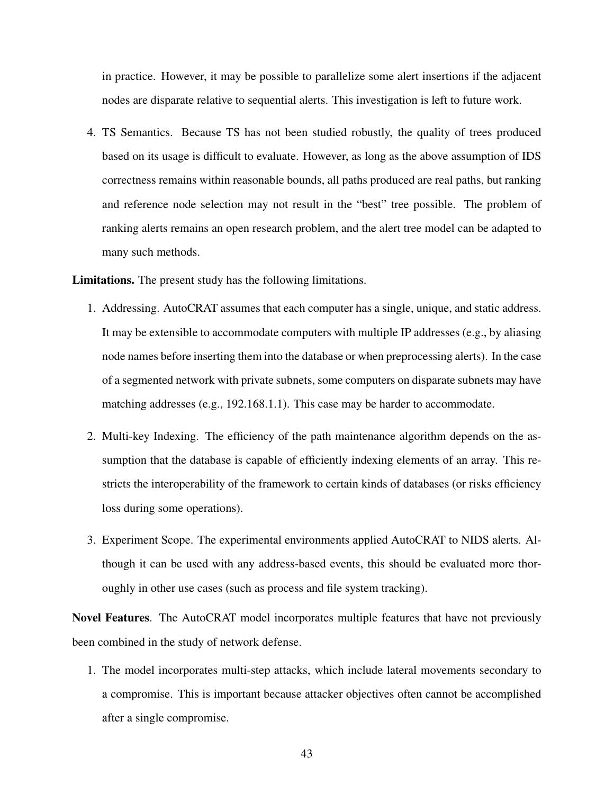in practice. However, it may be possible to parallelize some alert insertions if the adjacent nodes are disparate relative to sequential alerts. This investigation is left to future work.

4. TS Semantics. Because TS has not been studied robustly, the quality of trees produced based on its usage is difficult to evaluate. However, as long as the above assumption of IDS correctness remains within reasonable bounds, all paths produced are real paths, but ranking and reference node selection may not result in the "best" tree possible. The problem of ranking alerts remains an open research problem, and the alert tree model can be adapted to many such methods.

Limitations. The present study has the following limitations.

- 1. Addressing. AutoCRAT assumes that each computer has a single, unique, and static address. It may be extensible to accommodate computers with multiple IP addresses (e.g., by aliasing node names before inserting them into the database or when preprocessing alerts). In the case of a segmented network with private subnets, some computers on disparate subnets may have matching addresses (e.g., 192.168.1.1). This case may be harder to accommodate.
- 2. Multi-key Indexing. The efficiency of the path maintenance algorithm depends on the assumption that the database is capable of efficiently indexing elements of an array. This restricts the interoperability of the framework to certain kinds of databases (or risks efficiency loss during some operations).
- 3. Experiment Scope. The experimental environments applied AutoCRAT to NIDS alerts. Although it can be used with any address-based events, this should be evaluated more thoroughly in other use cases (such as process and file system tracking).

Novel Features. The AutoCRAT model incorporates multiple features that have not previously been combined in the study of network defense.

1. The model incorporates multi-step attacks, which include lateral movements secondary to a compromise. This is important because attacker objectives often cannot be accomplished after a single compromise.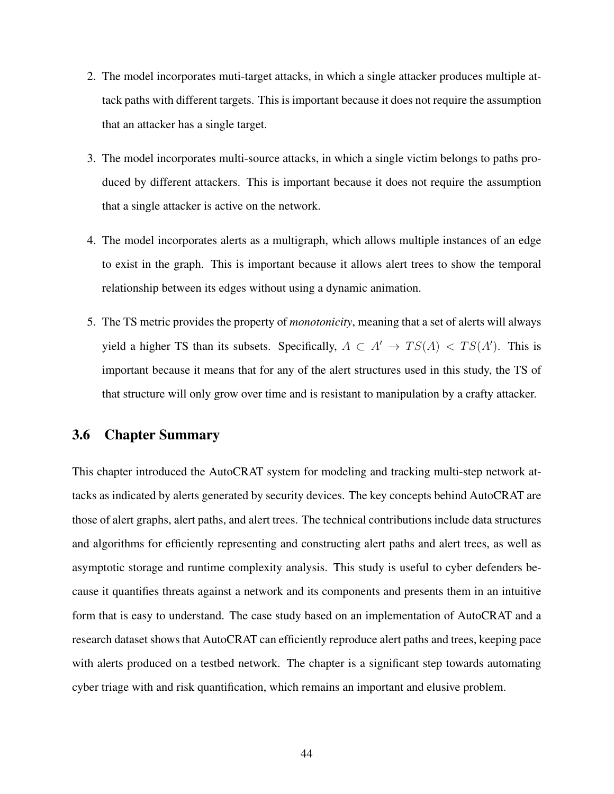- 2. The model incorporates muti-target attacks, in which a single attacker produces multiple attack paths with different targets. This is important because it does not require the assumption that an attacker has a single target.
- 3. The model incorporates multi-source attacks, in which a single victim belongs to paths produced by different attackers. This is important because it does not require the assumption that a single attacker is active on the network.
- 4. The model incorporates alerts as a multigraph, which allows multiple instances of an edge to exist in the graph. This is important because it allows alert trees to show the temporal relationship between its edges without using a dynamic animation.
- 5. The TS metric provides the property of *monotonicity*, meaning that a set of alerts will always yield a higher TS than its subsets. Specifically,  $A \subset A' \rightarrow TS(A) < TS(A')$ . This is important because it means that for any of the alert structures used in this study, the TS of that structure will only grow over time and is resistant to manipulation by a crafty attacker.

## 3.6 Chapter Summary

This chapter introduced the AutoCRAT system for modeling and tracking multi-step network attacks as indicated by alerts generated by security devices. The key concepts behind AutoCRAT are those of alert graphs, alert paths, and alert trees. The technical contributions include data structures and algorithms for efficiently representing and constructing alert paths and alert trees, as well as asymptotic storage and runtime complexity analysis. This study is useful to cyber defenders because it quantifies threats against a network and its components and presents them in an intuitive form that is easy to understand. The case study based on an implementation of AutoCRAT and a research dataset shows that AutoCRAT can efficiently reproduce alert paths and trees, keeping pace with alerts produced on a testbed network. The chapter is a significant step towards automating cyber triage with and risk quantification, which remains an important and elusive problem.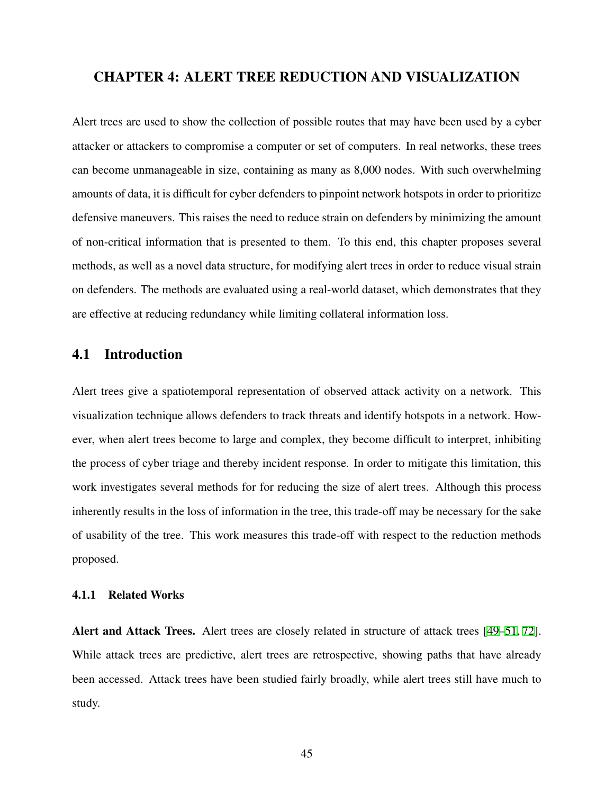## CHAPTER 4: ALERT TREE REDUCTION AND VISUALIZATION

Alert trees are used to show the collection of possible routes that may have been used by a cyber attacker or attackers to compromise a computer or set of computers. In real networks, these trees can become unmanageable in size, containing as many as 8,000 nodes. With such overwhelming amounts of data, it is difficult for cyber defenders to pinpoint network hotspots in order to prioritize defensive maneuvers. This raises the need to reduce strain on defenders by minimizing the amount of non-critical information that is presented to them. To this end, this chapter proposes several methods, as well as a novel data structure, for modifying alert trees in order to reduce visual strain on defenders. The methods are evaluated using a real-world dataset, which demonstrates that they are effective at reducing redundancy while limiting collateral information loss.

## 4.1 Introduction

Alert trees give a spatiotemporal representation of observed attack activity on a network. This visualization technique allows defenders to track threats and identify hotspots in a network. However, when alert trees become to large and complex, they become difficult to interpret, inhibiting the process of cyber triage and thereby incident response. In order to mitigate this limitation, this work investigates several methods for for reducing the size of alert trees. Although this process inherently results in the loss of information in the tree, this trade-off may be necessary for the sake of usability of the tree. This work measures this trade-off with respect to the reduction methods proposed.

## 4.1.1 Related Works

Alert and Attack Trees. Alert trees are closely related in structure of attack trees [[49–](#page-79-3)[51,](#page-80-0) [72](#page-82-0)]. While attack trees are predictive, alert trees are retrospective, showing paths that have already been accessed. Attack trees have been studied fairly broadly, while alert trees still have much to study.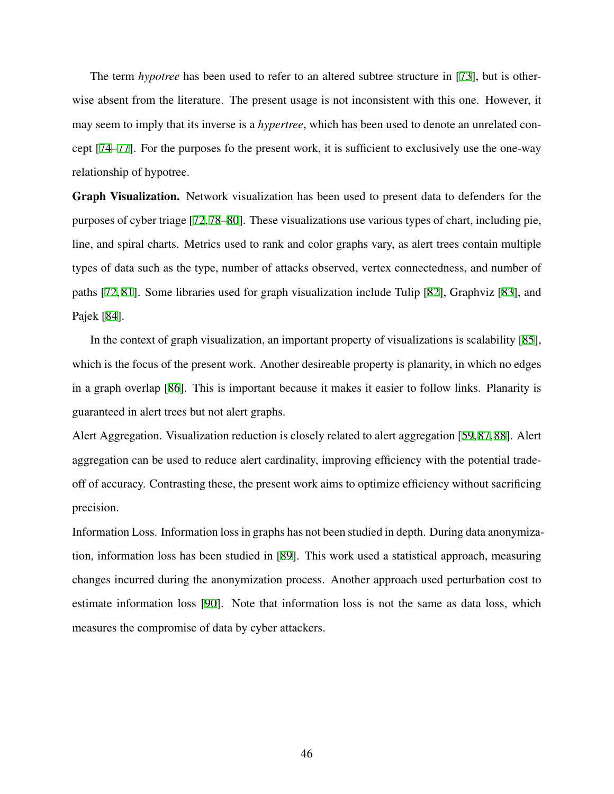The term *hypotree* has been used to refer to an altered subtree structure in [[73](#page-82-1)], but is otherwise absent from the literature. The present usage is not inconsistent with this one. However, it may seem to imply that its inverse is a *hypertree*, which has been used to denote an unrelated concept [\[74](#page-82-2)[–77](#page-82-3)]. For the purposes fo the present work, it is sufficient to exclusively use the one-way relationship of hypotree.

Graph Visualization. Network visualization has been used to present data to defenders for the purposes of cyber triage [[72,](#page-82-0)[78](#page-83-0)[–80](#page-83-1)]. These visualizations use various types of chart, including pie, line, and spiral charts. Metrics used to rank and color graphs vary, as alert trees contain multiple types of data such as the type, number of attacks observed, vertex connectedness, and number of paths [[72](#page-82-0), [81](#page-83-2)]. Some libraries used for graph visualization include Tulip [\[82](#page-83-3)], Graphviz [\[83](#page-83-4)], and Pajek [\[84](#page-83-5)].

In the context of graph visualization, an important property of visualizations is scalability [\[85](#page-83-6)], which is the focus of the present work. Another desireable property is planarity, in which no edges in a graph overlap [[86\]](#page-83-7). This is important because it makes it easier to follow links. Planarity is guaranteed in alert trees but not alert graphs.

Alert Aggregation. Visualization reduction is closely related to alert aggregation [[59,](#page-81-0)[87,](#page-84-0)[88\]](#page-84-1). Alert aggregation can be used to reduce alert cardinality, improving efficiency with the potential tradeoff of accuracy. Contrasting these, the present work aims to optimize efficiency without sacrificing precision.

Information Loss. Information loss in graphs has not been studied in depth. During data anonymization, information loss has been studied in [[89\]](#page-84-2). This work used a statistical approach, measuring changes incurred during the anonymization process. Another approach used perturbation cost to estimate information loss [\[90](#page-84-3)]. Note that information loss is not the same as data loss, which measures the compromise of data by cyber attackers.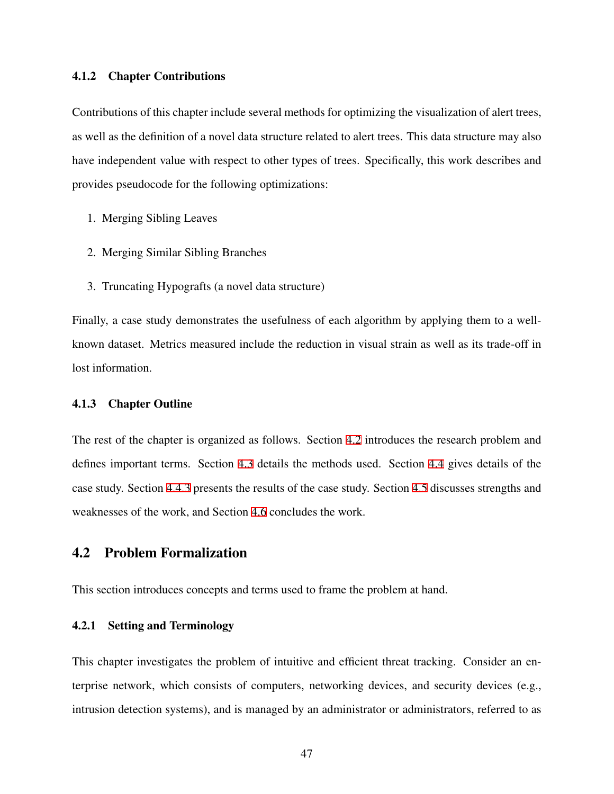#### 4.1.2 Chapter Contributions

Contributions of this chapter include several methods for optimizing the visualization of alert trees, as well as the definition of a novel data structure related to alert trees. This data structure may also have independent value with respect to other types of trees. Specifically, this work describes and provides pseudocode for the following optimizations:

- 1. Merging Sibling Leaves
- 2. Merging Similar Sibling Branches
- 3. Truncating Hypografts (a novel data structure)

Finally, a case study demonstrates the usefulness of each algorithm by applying them to a wellknown dataset. Metrics measured include the reduction in visual strain as well as its trade-off in lost information.

#### 4.1.3 Chapter Outline

The rest of the chapter is organized as follows. Section [4.2](#page-57-0) introduces the research problem and defines important terms. Section [4.3](#page-61-0) details the methods used. Section [4.4](#page-66-0) gives details of the case study. Section [4.4.3](#page-69-0) presents the results of the case study. Section [4.5](#page-71-0) discusses strengths and weaknesses of the work, and Section [4.6](#page-71-1) concludes the work.

# <span id="page-57-0"></span>4.2 Problem Formalization

This section introduces concepts and terms used to frame the problem at hand.

## 4.2.1 Setting and Terminology

This chapter investigates the problem of intuitive and efficient threat tracking. Consider an enterprise network, which consists of computers, networking devices, and security devices (e.g., intrusion detection systems), and is managed by an administrator or administrators, referred to as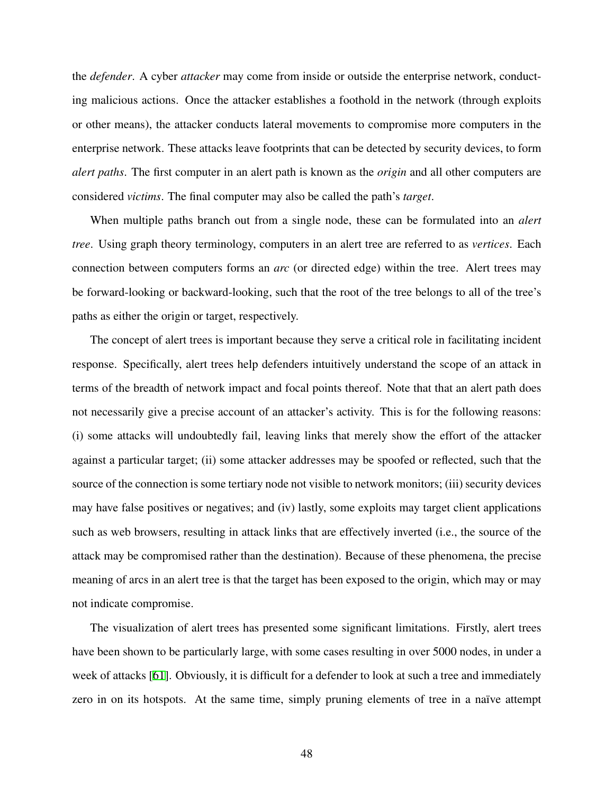the *defender*. A cyber *attacker* may come from inside or outside the enterprise network, conducting malicious actions. Once the attacker establishes a foothold in the network (through exploits or other means), the attacker conducts lateral movements to compromise more computers in the enterprise network. These attacks leave footprints that can be detected by security devices, to form *alert paths*. The first computer in an alert path is known as the *origin* and all other computers are considered *victims*. The final computer may also be called the path's *target*.

When multiple paths branch out from a single node, these can be formulated into an *alert tree*. Using graph theory terminology, computers in an alert tree are referred to as *vertices*. Each connection between computers forms an *arc* (or directed edge) within the tree. Alert trees may be forward-looking or backward-looking, such that the root of the tree belongs to all of the tree's paths as either the origin or target, respectively.

The concept of alert trees is important because they serve a critical role in facilitating incident response. Specifically, alert trees help defenders intuitively understand the scope of an attack in terms of the breadth of network impact and focal points thereof. Note that that an alert path does not necessarily give a precise account of an attacker's activity. This is for the following reasons: (i) some attacks will undoubtedly fail, leaving links that merely show the effort of the attacker against a particular target; (ii) some attacker addresses may be spoofed or reflected, such that the source of the connection is some tertiary node not visible to network monitors; (iii) security devices may have false positives or negatives; and (iv) lastly, some exploits may target client applications such as web browsers, resulting in attack links that are effectively inverted (i.e., the source of the attack may be compromised rather than the destination). Because of these phenomena, the precise meaning of arcs in an alert tree is that the target has been exposed to the origin, which may or may not indicate compromise.

The visualization of alert trees has presented some significant limitations. Firstly, alert trees have been shown to be particularly large, with some cases resulting in over 5000 nodes, in under a week of attacks [[61\]](#page-81-1). Obviously, it is difficult for a defender to look at such a tree and immediately zero in on its hotspots. At the same time, simply pruning elements of tree in a naïve attempt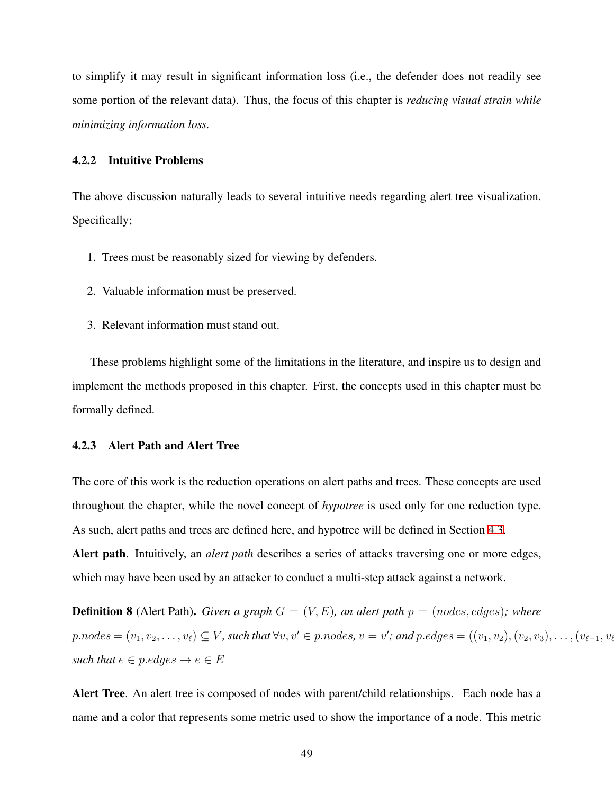to simplify it may result in significant information loss (i.e., the defender does not readily see some portion of the relevant data). Thus, the focus of this chapter is *reducing visual strain while minimizing information loss.*

## 4.2.2 Intuitive Problems

The above discussion naturally leads to several intuitive needs regarding alert tree visualization. Specifically;

- 1. Trees must be reasonably sized for viewing by defenders.
- 2. Valuable information must be preserved.
- 3. Relevant information must stand out.

These problems highlight some of the limitations in the literature, and inspire us to design and implement the methods proposed in this chapter. First, the concepts used in this chapter must be formally defined.

#### 4.2.3 Alert Path and Alert Tree

The core of this work is the reduction operations on alert paths and trees. These concepts are used throughout the chapter, while the novel concept of *hypotree* is used only for one reduction type. As such, alert paths and trees are defined here, and hypotree will be defined in Section [4.3.](#page-61-0) Alert path. Intuitively, an *alert path* describes a series of attacks traversing one or more edges, which may have been used by an attacker to conduct a multi-step attack against a network.

**Definition 8** (Alert Path). *Given a graph*  $G = (V, E)$ *, an alert path*  $p = (nodes, edges)$ *; where*  $p.nodes = (v_1, v_2, \ldots, v_\ell) \subseteq V$ , such that  $\forall v, v' \in p.nodes, v = v'$ ; and  $p. edges = ((v_1, v_2), (v_2, v_3), \ldots, (v_{\ell-1}, v_\ell))$ *such that*  $e \in p$ *.edges*  $\rightarrow e \in E$ 

Alert Tree. An alert tree is composed of nodes with parent/child relationships. Each node has a name and a color that represents some metric used to show the importance of a node. This metric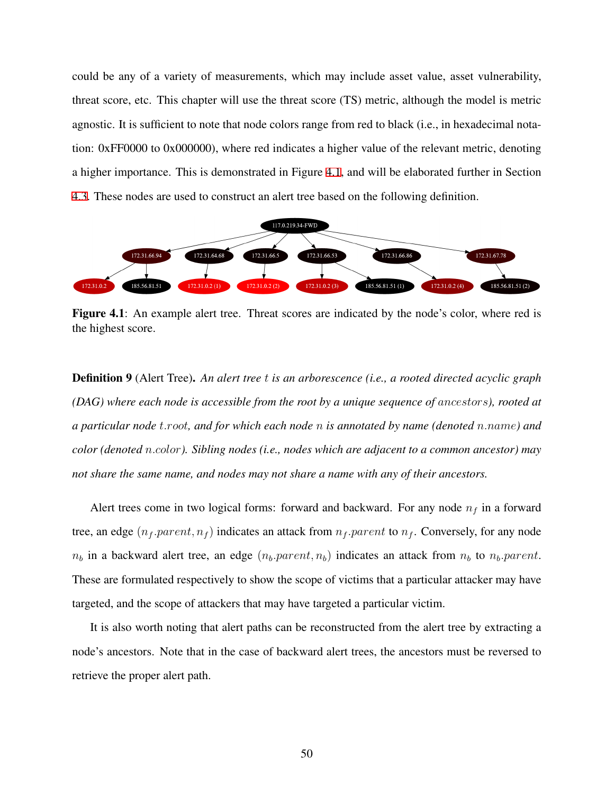could be any of a variety of measurements, which may include asset value, asset vulnerability, threat score, etc. This chapter will use the threat score (TS) metric, although the model is metric agnostic. It is sufficient to note that node colors range from red to black (i.e., in hexadecimal notation: 0xFF0000 to 0x000000), where red indicates a higher value of the relevant metric, denoting a higher importance. This is demonstrated in Figure [4.1](#page-60-0), and will be elaborated further in Section [4.3.](#page-61-0) These nodes are used to construct an alert tree based on the following definition.

<span id="page-60-0"></span>

Figure 4.1: An example alert tree. Threat scores are indicated by the node's color, where red is the highest score.

Definition 9 (Alert Tree). *An alert tree t is an arborescence (i.e., a rooted directed acyclic graph (DAG) where each node is accessible from the root by a unique sequence of ancestors), rooted at a particular node t.root, and for which each node n is annotated by name (denoted n.name) and color (denoted n.color). Sibling nodes (i.e., nodes which are adjacent to a common ancestor) may not share the same name, and nodes may not share a name with any of their ancestors.*

Alert trees come in two logical forms: forward and backward. For any node *n<sup>f</sup>* in a forward tree, an edge  $(n_f.parent, n_f)$  indicates an attack from  $n_f.parent$  to  $n_f$ . Conversely, for any node  $n_b$  in a backward alert tree, an edge  $(n_b$ *.parent, n<sub>b</sub>*) indicates an attack from  $n_b$  to  $n_b$ *.parent*. These are formulated respectively to show the scope of victims that a particular attacker may have targeted, and the scope of attackers that may have targeted a particular victim.

It is also worth noting that alert paths can be reconstructed from the alert tree by extracting a node's ancestors. Note that in the case of backward alert trees, the ancestors must be reversed to retrieve the proper alert path.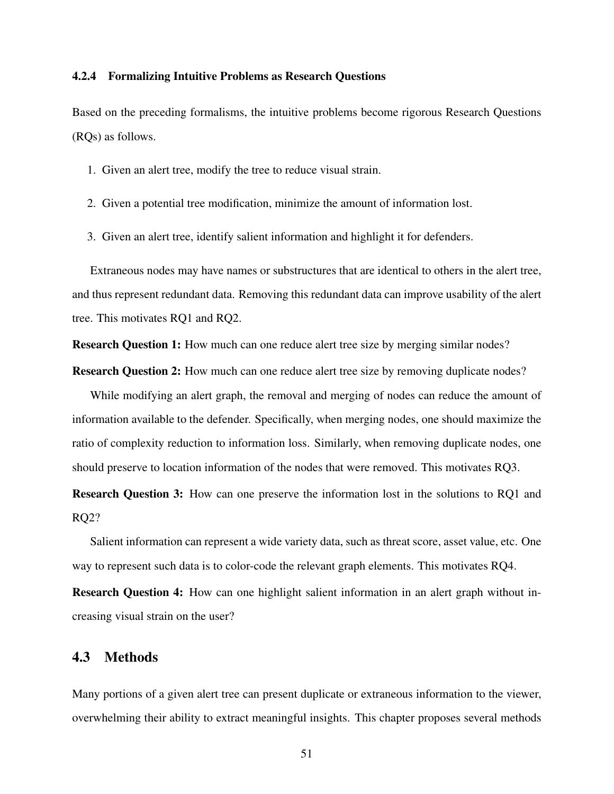#### 4.2.4 Formalizing Intuitive Problems as Research Questions

Based on the preceding formalisms, the intuitive problems become rigorous Research Questions (RQs) as follows.

- 1. Given an alert tree, modify the tree to reduce visual strain.
- 2. Given a potential tree modification, minimize the amount of information lost.
- 3. Given an alert tree, identify salient information and highlight it for defenders.

Extraneous nodes may have names or substructures that are identical to others in the alert tree, and thus represent redundant data. Removing this redundant data can improve usability of the alert tree. This motivates RQ1 and RQ2.

**Research Question 1:** How much can one reduce alert tree size by merging similar nodes?

Research Question 2: How much can one reduce alert tree size by removing duplicate nodes?

While modifying an alert graph, the removal and merging of nodes can reduce the amount of information available to the defender. Specifically, when merging nodes, one should maximize the ratio of complexity reduction to information loss. Similarly, when removing duplicate nodes, one should preserve to location information of the nodes that were removed. This motivates RQ3.

Research Question 3: How can one preserve the information lost in the solutions to RQ1 and RQ2?

Salient information can represent a wide variety data, such as threat score, asset value, etc. One way to represent such data is to color-code the relevant graph elements. This motivates RQ4.

Research Question 4: How can one highlight salient information in an alert graph without increasing visual strain on the user?

## <span id="page-61-0"></span>4.3 Methods

Many portions of a given alert tree can present duplicate or extraneous information to the viewer, overwhelming their ability to extract meaningful insights. This chapter proposes several methods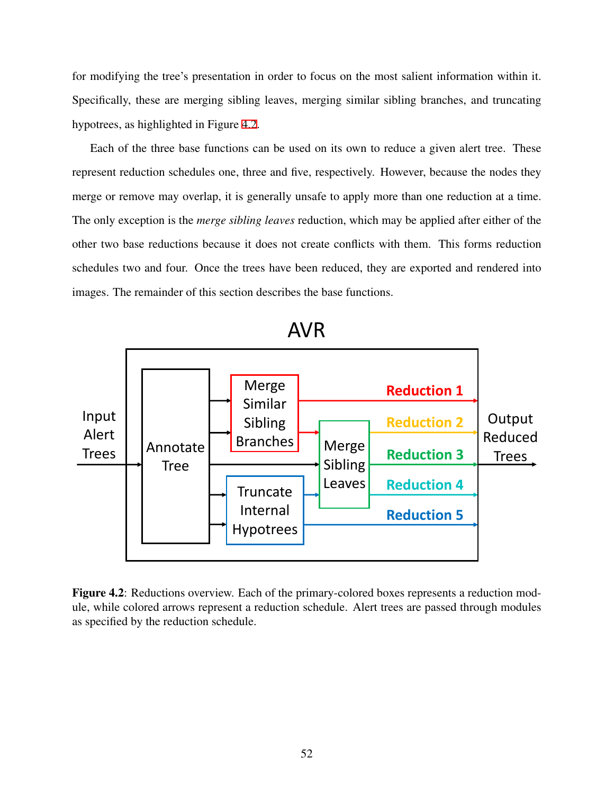for modifying the tree's presentation in order to focus on the most salient information within it. Specifically, these are merging sibling leaves, merging similar sibling branches, and truncating hypotrees, as highlighted in Figure [4.2](#page-62-0).

Each of the three base functions can be used on its own to reduce a given alert tree. These represent reduction schedules one, three and five, respectively. However, because the nodes they merge or remove may overlap, it is generally unsafe to apply more than one reduction at a time. The only exception is the *merge sibling leaves* reduction, which may be applied after either of the other two base reductions because it does not create conflicts with them. This forms reduction schedules two and four. Once the trees have been reduced, they are exported and rendered into images. The remainder of this section describes the base functions.

<span id="page-62-0"></span>

AVR

Figure 4.2: Reductions overview. Each of the primary-colored boxes represents a reduction module, while colored arrows represent a reduction schedule. Alert trees are passed through modules as specified by the reduction schedule.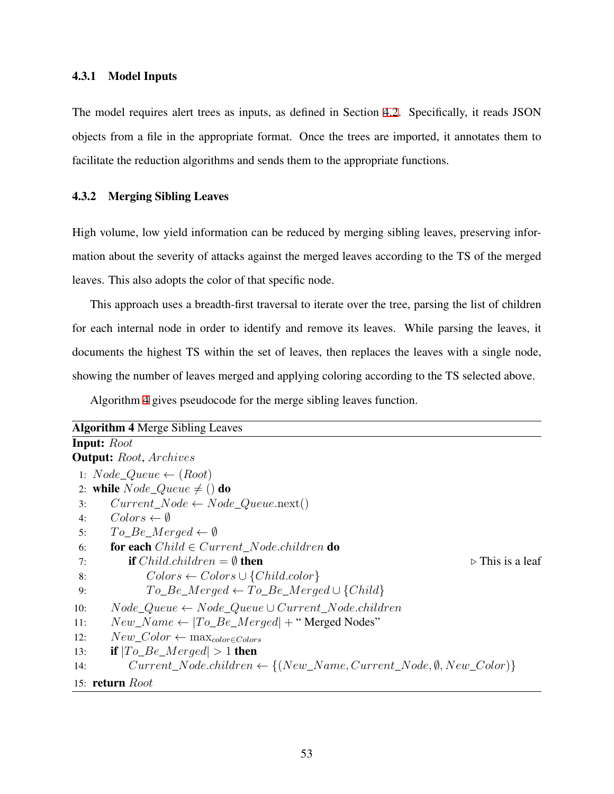### 4.3.1 Model Inputs

The model requires alert trees as inputs, as defined in Section [4.2](#page-57-0). Specifically, it reads JSON objects from a file in the appropriate format. Once the trees are imported, it annotates them to facilitate the reduction algorithms and sends them to the appropriate functions.

#### 4.3.2 Merging Sibling Leaves

High volume, low yield information can be reduced by merging sibling leaves, preserving information about the severity of attacks against the merged leaves according to the TS of the merged leaves. This also adopts the color of that specific node.

This approach uses a breadth-first traversal to iterate over the tree, parsing the list of children for each internal node in order to identify and remove its leaves. While parsing the leaves, it documents the highest TS within the set of leaves, then replaces the leaves with a single node, showing the number of leaves merged and applying coloring according to the TS selected above.

Algorithm [4](#page-63-0) gives pseudocode for the merge sibling leaves function.

<span id="page-63-0"></span>

| <b>Algorithm 4 Merge Sibling Leaves</b>                                                            |
|----------------------------------------------------------------------------------------------------|
| <b>Input:</b> Root                                                                                 |
| <b>Output:</b> Root, Archives                                                                      |
| 1: $Node\_Queue \leftarrow (Root)$                                                                 |
| 2: while $Node\_Queue \neq ()$ do                                                                  |
| $Current\_Node \leftarrow Node\_Queue.next()$<br>3:                                                |
| $Colors \leftarrow \emptyset$<br>4:                                                                |
| $To\_Be\_Merge \leftarrow \emptyset$<br>5:                                                         |
| <b>for each</b> $Child \in Current\_Node{.children}$ <b>do</b><br>6:                               |
| <b>if</b> <i>Child.children</i> = $\emptyset$ <b>then</b><br>$\triangleright$ This is a leaf<br>7: |
| $Colors \leftarrow Colors \cup \{Child.color\}$<br>8:                                              |
| $To\_Be\_Merge \leftarrow To\_Be\_Merge \cup \{Child\}$<br>9:                                      |
| $Node\_Queue \leftarrow Node\_Queue \cup Current\_Node{.children}$<br>10:                          |
| $New\_Name \leftarrow  To\_Be\_Merge  + "Merged Nodes"$<br>11:                                     |
| $New\_Color \leftarrow \max_{color \in Colors}$<br>12:                                             |
| <b>if</b> $ To\_Be\_Merge  > 1$ then<br>13:                                                        |
| $Current\_Node.children \leftarrow \{(New\_Name, Current\_Node, \emptyset, New\_Color)\}$<br>14:   |

### 15: return *Root*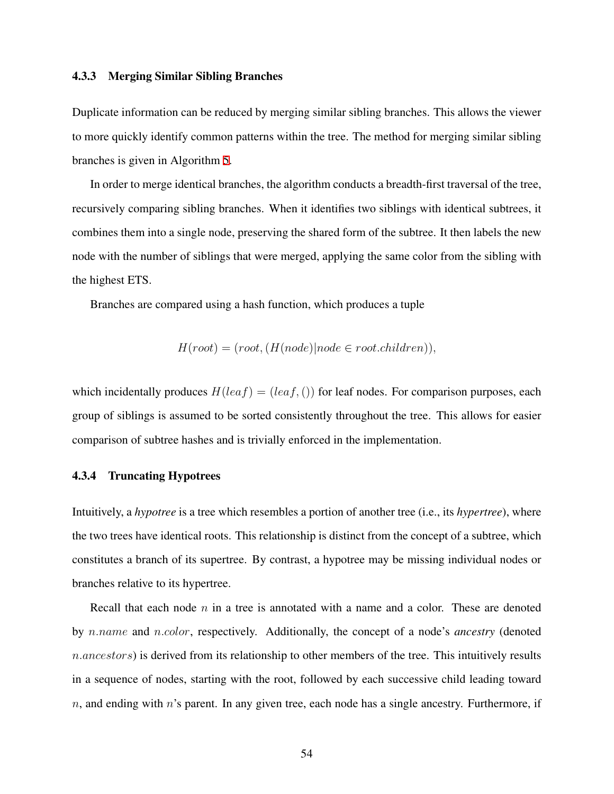#### 4.3.3 Merging Similar Sibling Branches

Duplicate information can be reduced by merging similar sibling branches. This allows the viewer to more quickly identify common patterns within the tree. The method for merging similar sibling branches is given in Algorithm [5.](#page-65-0)

In order to merge identical branches, the algorithm conducts a breadth-first traversal of the tree, recursively comparing sibling branches. When it identifies two siblings with identical subtrees, it combines them into a single node, preserving the shared form of the subtree. It then labels the new node with the number of siblings that were merged, applying the same color from the sibling with the highest ETS.

Branches are compared using a hash function, which produces a tuple

$$
H(root) = (root, (H(node)|node \in root. children)),
$$

which incidentally produces  $H(leaf) = (leaf,())$  for leaf nodes. For comparison purposes, each group of siblings is assumed to be sorted consistently throughout the tree. This allows for easier comparison of subtree hashes and is trivially enforced in the implementation.

#### 4.3.4 Truncating Hypotrees

Intuitively, a *hypotree* is a tree which resembles a portion of another tree (i.e., its *hypertree*), where the two trees have identical roots. This relationship is distinct from the concept of a subtree, which constitutes a branch of its supertree. By contrast, a hypotree may be missing individual nodes or branches relative to its hypertree.

Recall that each node *n* in a tree is annotated with a name and a color. These are denoted by *n.name* and *n.color*, respectively. Additionally, the concept of a node's *ancestry* (denoted *n.ancestors*) is derived from its relationship to other members of the tree. This intuitively results in a sequence of nodes, starting with the root, followed by each successive child leading toward *n*, and ending with *n*'s parent. In any given tree, each node has a single ancestry. Furthermore, if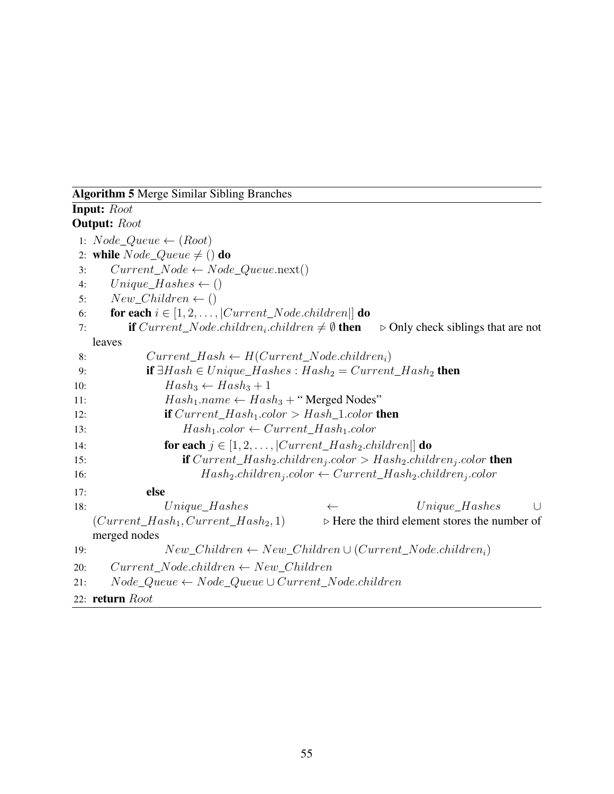## <span id="page-65-0"></span>Algorithm 5 Merge Similar Sibling Branches

```
Input: Root
Output: Root
 1: Node_Queue ← (Root)
 2: while Node\_Queue \neq () do
 3: Current\_Node \leftarrow Node\_Queue.next()4: Unique\_Hashes \leftarrow ()5: New Children \leftarrow ()6: for each i \in [1, 2, \ldots, |Current\_Node{.children}|] do
 7: if Current\_Node{.children_i{.children} \neq \emptyset then
                                                       .children ̸= ∅ then ▷ Only check siblings that are not
   leaves
 8: Current\_Hash \leftarrow H(Current\_Node{.children}_i)9: if \existsHash \in Unique_Hashes : Hash_2 = Current\_Hash_2 then
10: \qquad \qquad Hash_3 \leftarrow Hash_3 + 111: Hash_1.name \leftarrow Hash_3 + "Merged Nodes"12: if Current_Hash1.color > Hash_1.color then
13: Hash_1.color \leftarrow Current\_Hash_1.color14: for each j \in [1, 2, \ldots, |Current\_Hash_2.children|] do
15: if Current_Hash2.childrenj
.color > Hash2.childrenj
.color then
16: Hash_2\text{.children}_j\text{.color} \leftarrow Current\_Hash_2\text{.children}_j\text{.color}17: else
18: Unique_Hashes ← Unique_Hashes ∪
   (Current\_Hash_1, Current\_Hash_2, 1) \rightarrow Here the third element stores the number of
   merged nodes
19: New\_Children \leftarrow New\_Children \cup (Current\_Node.children_i)20: Current_Node.children ← New_Children
21: Node_Queue ← Node_Queue ∪ Current_Node.children
22: return Root
```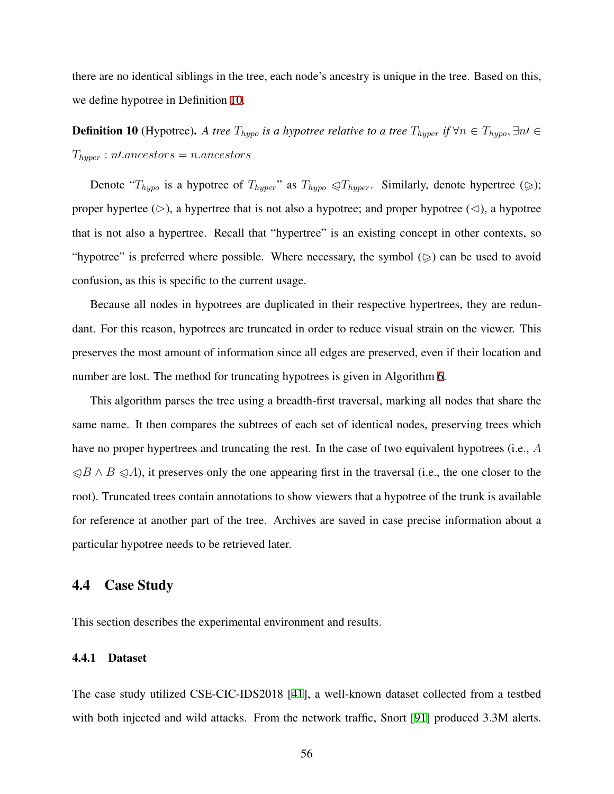there are no identical siblings in the tree, each node's ancestry is unique in the tree. Based on this, we define hypotree in Definition [10.](#page-66-1)

<span id="page-66-1"></span>**Definition 10** (Hypotree). A tree  $T_{hypo}$  is a hypotree relative to a tree  $T_{hypor}$  if  $\forall n \in T_{hypo}, \exists n \in I$ *Thyper* : *n′.ancestors* = *n.ancestors*

Denote " $T_{hypo}$  is a hypotree of  $T_{hyper}$ " as  $T_{hypo} \triangleleft T_{hyper}$ . Similarly, denote hypertree ( $\geqslant$ ); proper hypertee ( $\triangleright$ ), a hypertree that is not also a hypotree; and proper hypotree ( $\triangle$ ), a hypotree that is not also a hypertree. Recall that "hypertree" is an existing concept in other contexts, so "hypotree" is preferred where possible. Where necessary, the symbol  $(\geq)$  can be used to avoid confusion, as this is specific to the current usage.

Because all nodes in hypotrees are duplicated in their respective hypertrees, they are redundant. For this reason, hypotrees are truncated in order to reduce visual strain on the viewer. This preserves the most amount of information since all edges are preserved, even if their location and number are lost. The method for truncating hypotrees is given in Algorithm [6](#page-67-0).

This algorithm parses the tree using a breadth-first traversal, marking all nodes that share the same name. It then compares the subtrees of each set of identical nodes, preserving trees which have no proper hypertrees and truncating the rest. In the case of two equivalent hypotrees (i.e., *A* ⪨*B ∧ B* ⪨*A*), it preserves only the one appearing first in the traversal (i.e., the one closer to the root). Truncated trees contain annotations to show viewers that a hypotree of the trunk is available for reference at another part of the tree. Archives are saved in case precise information about a particular hypotree needs to be retrieved later.

## <span id="page-66-0"></span>4.4 Case Study

This section describes the experimental environment and results.

#### 4.4.1 Dataset

The case study utilized CSE-CIC-IDS2018 [[41\]](#page-79-0), a well-known dataset collected from a testbed with both injected and wild attacks. From the network traffic, Snort [\[91](#page-84-4)] produced 3.3M alerts.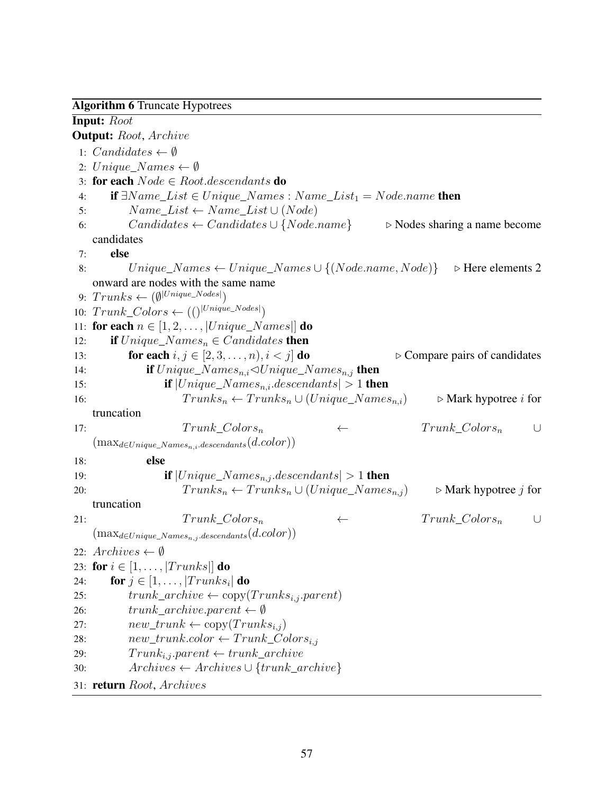#### <span id="page-67-0"></span>Algorithm 6 Truncate Hypotrees

Input: *Root* Output: *Root*, *Archive* 1: *Candidates*  $\leftarrow \emptyset$ 2:  $Unique\_Names \leftarrow \emptyset$ 3: for each *Node ∈ Root.descendants* do 4: if *∃N ame*\_*List ∈ Unique*\_*N ames* : *N ame*\_*List*<sup>1</sup> = *Node.name* then 5:  $Name\_List \leftarrow Name\_List \cup (Node)$ 6: *Candidates ← Candidates ∪ {Node.name} ▷* Nodes sharing a name become candidates 7: else 8: *Unique*\_*N ames ← Unique*\_*N ames ∪ {*(*Node.name, Node*)*} ▷* Here elements 2 onward are nodes with the same name  $9: \; Trunks \leftarrow (\emptyset^{|Unique\_Nodes|})$ 10:  $Trunk\_Colors \leftarrow (()^{|Unique\_Nodes|})$ 11: for each  $n \in [1, 2, \ldots, |Unique\_Names|]$  do 12: **if**  $Unique\_Names_n \in Candidates$  **then** 13: **for each**  $i, j \in [2, 3, \ldots, n), i < j$  **do**  $\triangleright$  Compare pairs of candidates 14: **if**  $Unique\_Names_{n,i} \triangle Unique\_Names_{n,i}$  then 15: **if**  $|Unique\_Names_{n,i}.descendants| > 1$  **then** 16:  $Trunks_n \leftarrow Trunks_n \cup (Unique\_Names_{n,i}) \qquad \triangleright \text{Mark hypotree } i \text{ for }$ truncation 17: *T runk*\_*Colors<sup>n</sup> ← T runk*\_*Colors<sup>n</sup> ∪* (max*<sup>d</sup>∈Unique*\_*Namesn,i.descendants*(*d.color*)) 18: else 19: **if**  $|Unique\_Names_{n,j}.descendants| > 1$  **then** 20:  $Trunks_n \leftarrow Trunks_n \cup (Unique\_Names_{n,i}) \qquad \triangleright \text{Mark hypotree } j \text{ for }$ truncation 21:  $Trunk\text{ }Colors_n$   $\leftarrow$   $Trunk\text{ }Colors_n$  ∪  $(\text{max}_{d \in Unique\_Names_{n,j}.descendants}(d.color))$ 22:  $Archives \leftarrow \emptyset$ 23: for  $i \in [1, \ldots, |Trunks|]$  do 24: **for**  $j \in [1, \ldots, |Trunks_i|]$  do 25:  $trunk\_architecture \leftarrow copy(Trunks_{i,j}.parent)$ 26: *trunk*\_*archive.parent ← ∅* 27:  $new\_trunk \leftarrow copy(Trunks_{i,j})$ 28:  $new\_trunkcolor \leftarrow Trunk\_Color_{i,j}$ 29:  $Trunk_{i,j}.parent \leftarrow trunk\_architecture$ 30: *Archives ← Archives ∪ {trunk*\_*archive}* 31: return *Root*, *Archives*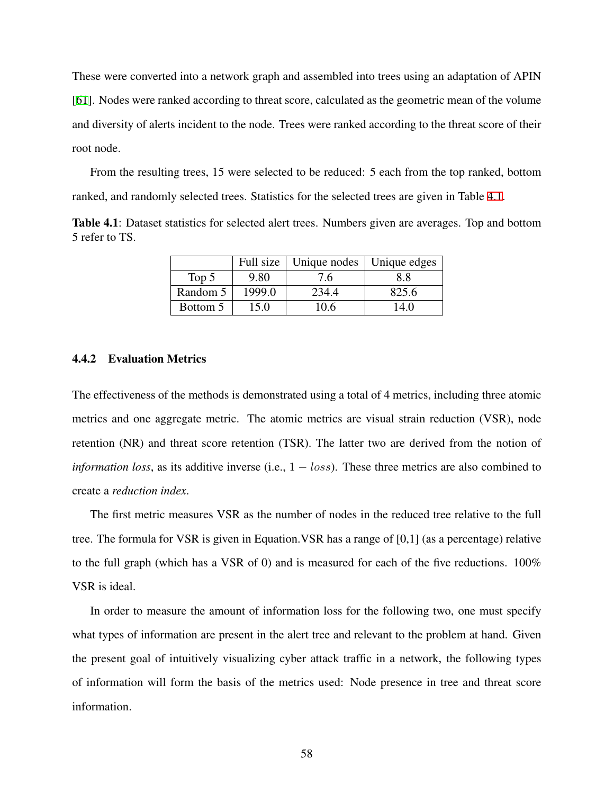These were converted into a network graph and assembled into trees using an adaptation of APIN [[61\]](#page-81-1). Nodes were ranked according to threat score, calculated as the geometric mean of the volume and diversity of alerts incident to the node. Trees were ranked according to the threat score of their root node.

From the resulting trees, 15 were selected to be reduced: 5 each from the top ranked, bottom ranked, and randomly selected trees. Statistics for the selected trees are given in Table [4.1](#page-68-0).

<span id="page-68-0"></span>Table 4.1: Dataset statistics for selected alert trees. Numbers given are averages. Top and bottom 5 refer to TS.

|          |        | Full size   Unique nodes   Unique edges |       |
|----------|--------|-----------------------------------------|-------|
| Top $5$  | 9.80   | 7.6                                     | 88    |
| Random 5 | 1999.0 | 234.4                                   | 825.6 |
| Bottom 5 | 15.0   | 10.6                                    | 14.0  |

#### 4.4.2 Evaluation Metrics

The effectiveness of the methods is demonstrated using a total of 4 metrics, including three atomic metrics and one aggregate metric. The atomic metrics are visual strain reduction (VSR), node retention (NR) and threat score retention (TSR). The latter two are derived from the notion of *information loss*, as its additive inverse (i.e., 1 *− loss*). These three metrics are also combined to create a *reduction index*.

The first metric measures VSR as the number of nodes in the reduced tree relative to the full tree. The formula for VSR is given in Equation.VSR has a range of [0,1] (as a percentage) relative to the full graph (which has a VSR of 0) and is measured for each of the five reductions.  $100\%$ VSR is ideal.

In order to measure the amount of information loss for the following two, one must specify what types of information are present in the alert tree and relevant to the problem at hand. Given the present goal of intuitively visualizing cyber attack traffic in a network, the following types of information will form the basis of the metrics used: Node presence in tree and threat score information.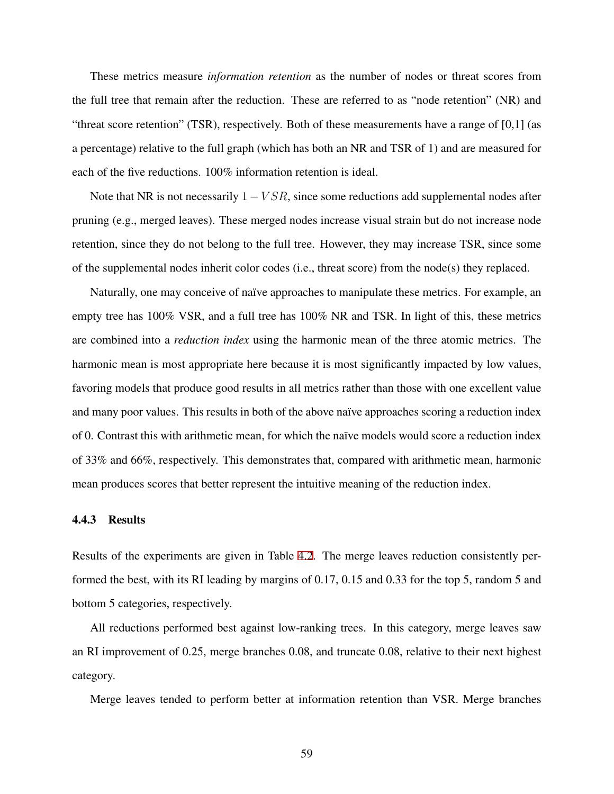These metrics measure *information retention* as the number of nodes or threat scores from the full tree that remain after the reduction. These are referred to as "node retention" (NR) and "threat score retention" (TSR), respectively. Both of these measurements have a range of [0,1] (as a percentage) relative to the full graph (which has both an NR and TSR of 1) and are measured for each of the five reductions. 100% information retention is ideal.

Note that NR is not necessarily 1 *− V SR*, since some reductions add supplemental nodes after pruning (e.g., merged leaves). These merged nodes increase visual strain but do not increase node retention, since they do not belong to the full tree. However, they may increase TSR, since some of the supplemental nodes inherit color codes (i.e., threat score) from the node(s) they replaced.

Naturally, one may conceive of naïve approaches to manipulate these metrics. For example, an empty tree has 100% VSR, and a full tree has 100% NR and TSR. In light of this, these metrics are combined into a *reduction index* using the harmonic mean of the three atomic metrics. The harmonic mean is most appropriate here because it is most significantly impacted by low values, favoring models that produce good results in all metrics rather than those with one excellent value and many poor values. This results in both of the above naïve approaches scoring a reduction index of 0. Contrast this with arithmetic mean, for which the naïve models would score a reduction index of 33% and 66%, respectively. This demonstrates that, compared with arithmetic mean, harmonic mean produces scores that better represent the intuitive meaning of the reduction index.

#### <span id="page-69-0"></span>4.4.3 Results

Results of the experiments are given in Table [4.2](#page-70-0). The merge leaves reduction consistently performed the best, with its RI leading by margins of 0.17, 0.15 and 0.33 for the top 5, random 5 and bottom 5 categories, respectively.

All reductions performed best against low-ranking trees. In this category, merge leaves saw an RI improvement of 0.25, merge branches 0.08, and truncate 0.08, relative to their next highest category.

Merge leaves tended to perform better at information retention than VSR. Merge branches

59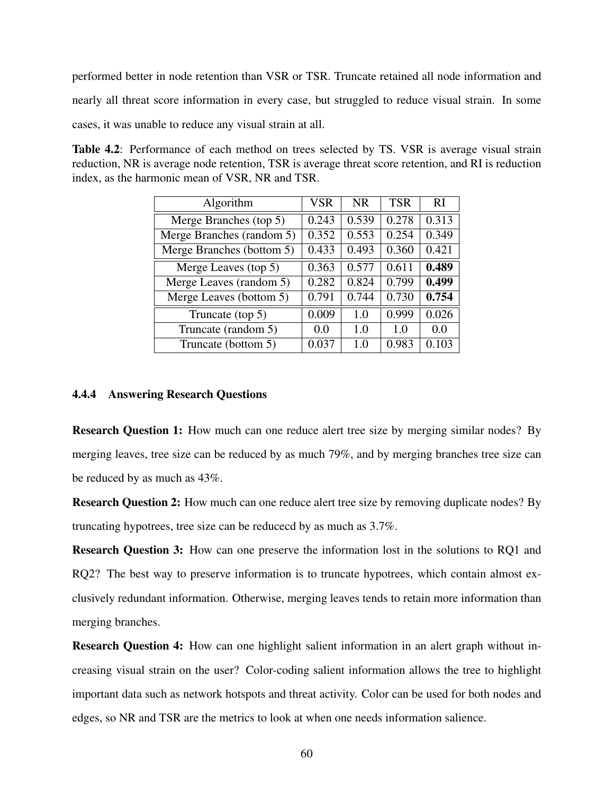performed better in node retention than VSR or TSR. Truncate retained all node information and nearly all threat score information in every case, but struggled to reduce visual strain. In some cases, it was unable to reduce any visual strain at all.

<span id="page-70-0"></span>Table 4.2: Performance of each method on trees selected by TS. VSR is average visual strain reduction, NR is average node retention, TSR is average threat score retention, and RI is reduction index, as the harmonic mean of VSR, NR and TSR.

| Algorithm                                   | <b>VSR</b> | NR.   | <b>TSR</b> | RI    |
|---------------------------------------------|------------|-------|------------|-------|
| Merge Branches (top 5)                      | 0.243      | 0.539 | 0.278      | 0.313 |
| Merge Branches (random 5)                   | 0.352      | 0.553 | 0.254      | 0.349 |
| Merge Branches (bottom 5)                   | 0.433      | 0.493 | 0.360      | 0.421 |
| Merge Leaves (top 5)                        | 0.363      | 0.577 | 0.611      | 0.489 |
| Merge Leaves (random 5)                     | 0.282      | 0.824 | 0.799      | 0.499 |
| $\overline{\text{Merge}}$ Leaves (bottom 5) | 0.791      | 0.744 | 0.730      | 0.754 |
| Truncate (top 5)                            | 0.009      | 1.0   | 0.999      | 0.026 |
| Truncate (random 5)                         | 0.0        | 1.0   | 1.0        | 0.0   |
| Truncate (bottom 5)                         | 0.037      | 1.0   | 0.983      | 0.103 |

## 4.4.4 Answering Research Questions

Research Question 1: How much can one reduce alert tree size by merging similar nodes? By merging leaves, tree size can be reduced by as much 79%, and by merging branches tree size can be reduced by as much as 43%.

Research Question 2: How much can one reduce alert tree size by removing duplicate nodes? By truncating hypotrees, tree size can be reducecd by as much as 3.7%.

Research Question 3: How can one preserve the information lost in the solutions to RQ1 and RQ2? The best way to preserve information is to truncate hypotrees, which contain almost exclusively redundant information. Otherwise, merging leaves tends to retain more information than merging branches.

Research Question 4: How can one highlight salient information in an alert graph without increasing visual strain on the user? Color-coding salient information allows the tree to highlight important data such as network hotspots and threat activity. Color can be used for both nodes and edges, so NR and TSR are the metrics to look at when one needs information salience.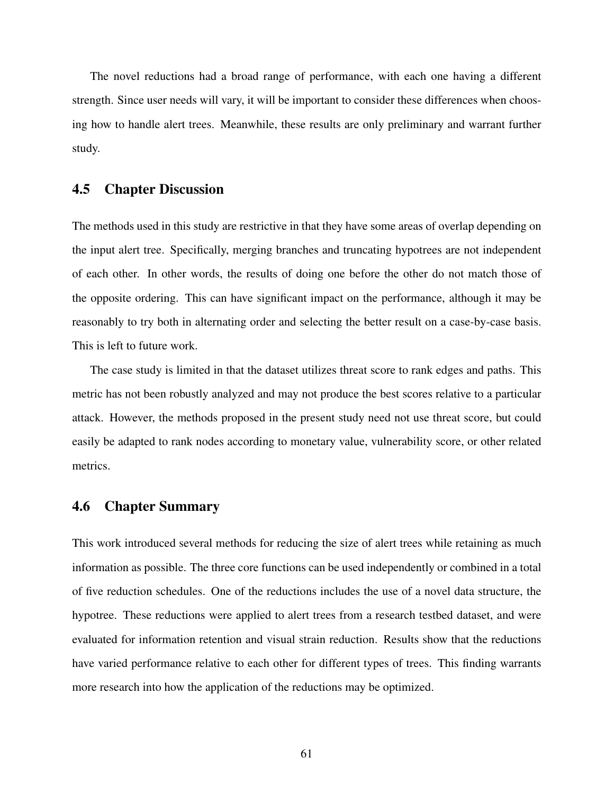The novel reductions had a broad range of performance, with each one having a different strength. Since user needs will vary, it will be important to consider these differences when choosing how to handle alert trees. Meanwhile, these results are only preliminary and warrant further study.

## <span id="page-71-0"></span>4.5 Chapter Discussion

The methods used in this study are restrictive in that they have some areas of overlap depending on the input alert tree. Specifically, merging branches and truncating hypotrees are not independent of each other. In other words, the results of doing one before the other do not match those of the opposite ordering. This can have significant impact on the performance, although it may be reasonably to try both in alternating order and selecting the better result on a case-by-case basis. This is left to future work.

The case study is limited in that the dataset utilizes threat score to rank edges and paths. This metric has not been robustly analyzed and may not produce the best scores relative to a particular attack. However, the methods proposed in the present study need not use threat score, but could easily be adapted to rank nodes according to monetary value, vulnerability score, or other related metrics.

## <span id="page-71-1"></span>4.6 Chapter Summary

This work introduced several methods for reducing the size of alert trees while retaining as much information as possible. The three core functions can be used independently or combined in a total of five reduction schedules. One of the reductions includes the use of a novel data structure, the hypotree. These reductions were applied to alert trees from a research testbed dataset, and were evaluated for information retention and visual strain reduction. Results show that the reductions have varied performance relative to each other for different types of trees. This finding warrants more research into how the application of the reductions may be optimized.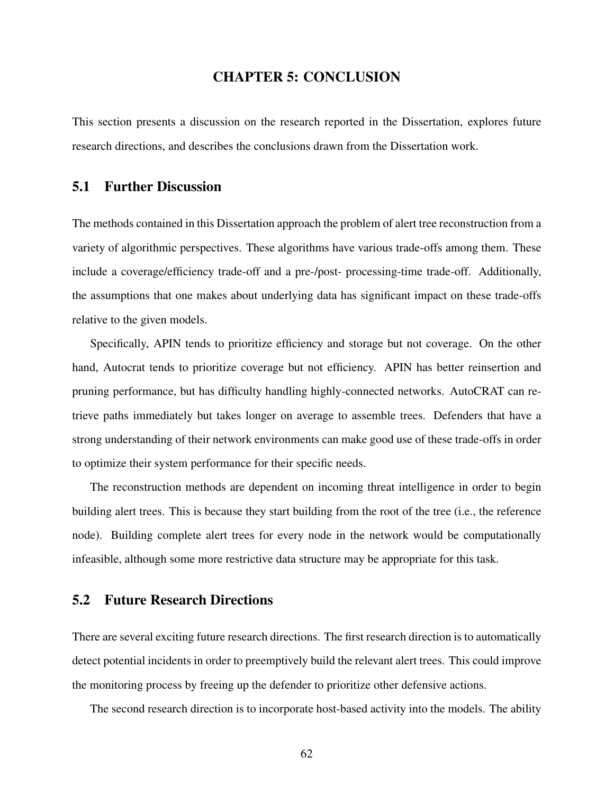## CHAPTER 5: CONCLUSION

This section presents a discussion on the research reported in the Dissertation, explores future research directions, and describes the conclusions drawn from the Dissertation work.

## 5.1 Further Discussion

The methods contained in this Dissertation approach the problem of alert tree reconstruction from a variety of algorithmic perspectives. These algorithms have various trade-offs among them. These include a coverage/efficiency trade-off and a pre-/post- processing-time trade-off. Additionally, the assumptions that one makes about underlying data has significant impact on these trade-offs relative to the given models.

Specifically, APIN tends to prioritize efficiency and storage but not coverage. On the other hand, Autocrat tends to prioritize coverage but not efficiency. APIN has better reinsertion and pruning performance, but has difficulty handling highly-connected networks. AutoCRAT can retrieve paths immediately but takes longer on average to assemble trees. Defenders that have a strong understanding of their network environments can make good use of these trade-offs in order to optimize their system performance for their specific needs.

The reconstruction methods are dependent on incoming threat intelligence in order to begin building alert trees. This is because they start building from the root of the tree (i.e., the reference node). Building complete alert trees for every node in the network would be computationally infeasible, although some more restrictive data structure may be appropriate for this task.

# 5.2 Future Research Directions

There are several exciting future research directions. The first research direction is to automatically detect potential incidents in order to preemptively build the relevant alert trees. This could improve the monitoring process by freeing up the defender to prioritize other defensive actions.

The second research direction is to incorporate host-based activity into the models. The ability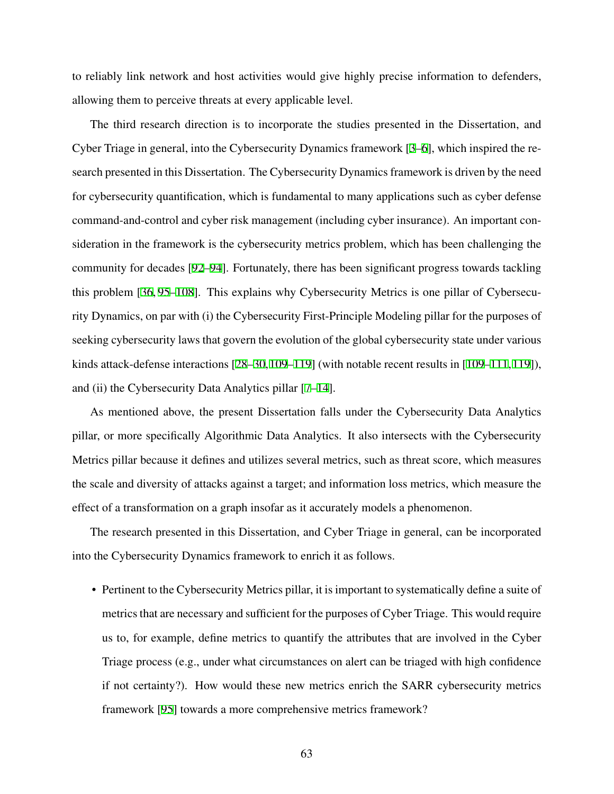to reliably link network and host activities would give highly precise information to defenders, allowing them to perceive threats at every applicable level.

The third research direction is to incorporate the studies presented in the Dissertation, and Cyber Triage in general, into the Cybersecurity Dynamics framework [[3–](#page-75-0)[6\]](#page-75-1), which inspired the research presented in this Dissertation. The Cybersecurity Dynamics framework is driven by the need for cybersecurity quantification, which is fundamental to many applications such as cyber defense command-and-control and cyber risk management (including cyber insurance). An important consideration in the framework is the cybersecurity metrics problem, which has been challenging the community for decades [[92](#page-84-0)[–94](#page-84-1)]. Fortunately, there has been significant progress towards tackling this problem [[36,](#page-78-0) [95–](#page-84-2)[108](#page-86-0)]. This explains why Cybersecurity Metrics is one pillar of Cybersecurity Dynamics, on par with (i) the Cybersecurity First-Principle Modeling pillar for the purposes of seeking cybersecurity laws that govern the evolution of the global cybersecurity state under various kinds attack-defense interactions [[28–](#page-77-0)[30,](#page-78-1)[109–](#page-86-1)[119\]](#page-87-0) (with notable recent results in [\[109](#page-86-1)[–111](#page-86-2),[119](#page-87-0)]), and (ii) the Cybersecurity Data Analytics pillar [\[7](#page-75-2)[–14\]](#page-76-0).

As mentioned above, the present Dissertation falls under the Cybersecurity Data Analytics pillar, or more specifically Algorithmic Data Analytics. It also intersects with the Cybersecurity Metrics pillar because it defines and utilizes several metrics, such as threat score, which measures the scale and diversity of attacks against a target; and information loss metrics, which measure the effect of a transformation on a graph insofar as it accurately models a phenomenon.

The research presented in this Dissertation, and Cyber Triage in general, can be incorporated into the Cybersecurity Dynamics framework to enrich it as follows.

• Pertinent to the Cybersecurity Metrics pillar, it is important to systematically define a suite of metrics that are necessary and sufficient for the purposes of Cyber Triage. This would require us to, for example, define metrics to quantify the attributes that are involved in the Cyber Triage process (e.g., under what circumstances on alert can be triaged with high confidence if not certainty?). How would these new metrics enrich the SARR cybersecurity metrics framework [[95\]](#page-84-2) towards a more comprehensive metrics framework?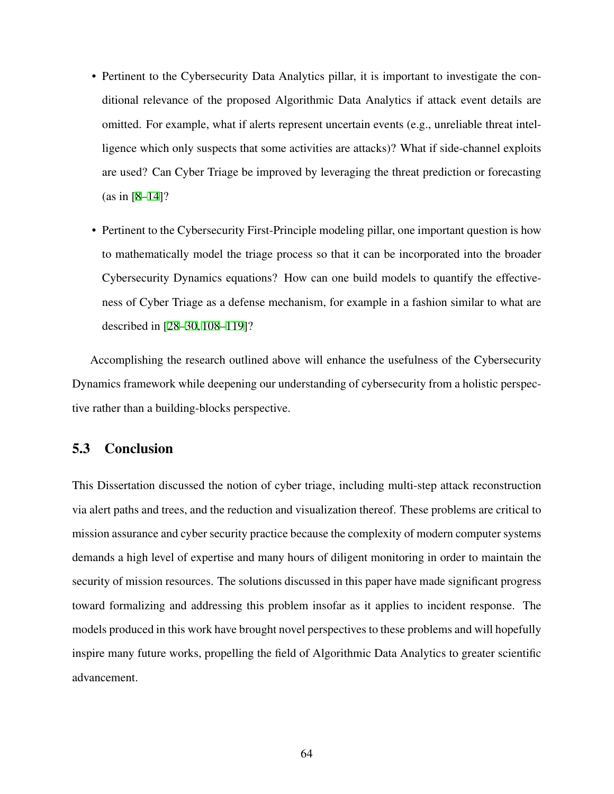- Pertinent to the Cybersecurity Data Analytics pillar, it is important to investigate the conditional relevance of the proposed Algorithmic Data Analytics if attack event details are omitted. For example, what if alerts represent uncertain events (e.g., unreliable threat intelligence which only suspects that some activities are attacks)? What if side-channel exploits are used? Can Cyber Triage be improved by leveraging the threat prediction or forecasting (as in [\[8](#page-75-3)[–14\]](#page-76-0)?
- Pertinent to the Cybersecurity First-Principle modeling pillar, one important question is how to mathematically model the triage process so that it can be incorporated into the broader Cybersecurity Dynamics equations? How can one build models to quantify the effectiveness of Cyber Triage as a defense mechanism, for example in a fashion similar to what are described in [[28–](#page-77-0)[30,](#page-78-1) [108](#page-86-0)[–119](#page-87-0)]?

Accomplishing the research outlined above will enhance the usefulness of the Cybersecurity Dynamics framework while deepening our understanding of cybersecurity from a holistic perspective rather than a building-blocks perspective.

# 5.3 Conclusion

This Dissertation discussed the notion of cyber triage, including multi-step attack reconstruction via alert paths and trees, and the reduction and visualization thereof. These problems are critical to mission assurance and cyber security practice because the complexity of modern computer systems demands a high level of expertise and many hours of diligent monitoring in order to maintain the security of mission resources. The solutions discussed in this paper have made significant progress toward formalizing and addressing this problem insofar as it applies to incident response. The models produced in this work have brought novel perspectives to these problems and will hopefully inspire many future works, propelling the field of Algorithmic Data Analytics to greater scientific advancement.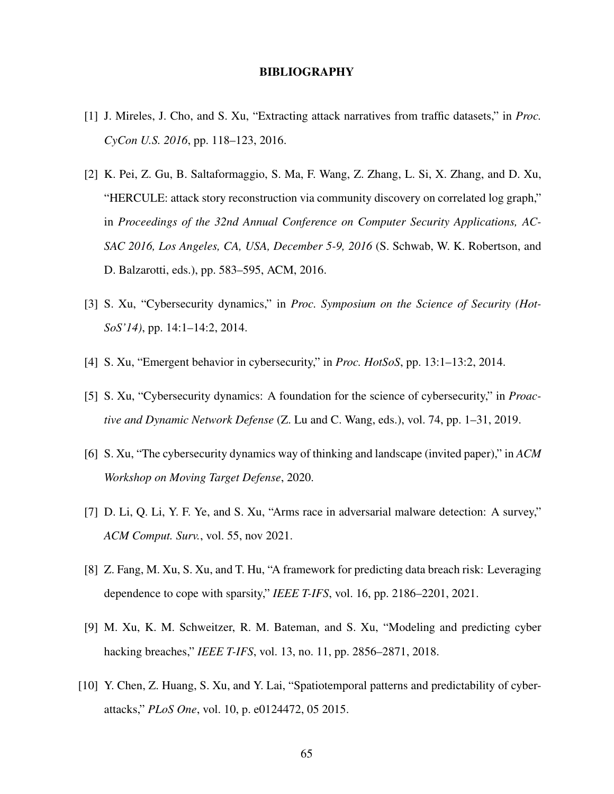#### BIBLIOGRAPHY

- [1] J. Mireles, J. Cho, and S. Xu, "Extracting attack narratives from traffic datasets," in *Proc. CyCon U.S. 2016*, pp. 118–123, 2016.
- [2] K. Pei, Z. Gu, B. Saltaformaggio, S. Ma, F. Wang, Z. Zhang, L. Si, X. Zhang, and D. Xu, "HERCULE: attack story reconstruction via community discovery on correlated log graph," in *Proceedings of the 32nd Annual Conference on Computer Security Applications, AC-SAC 2016, Los Angeles, CA, USA, December 5-9, 2016* (S. Schwab, W. K. Robertson, and D. Balzarotti, eds.), pp. 583–595, ACM, 2016.
- <span id="page-75-0"></span>[3] S. Xu, "Cybersecurity dynamics," in *Proc. Symposium on the Science of Security (Hot-SoS'14)*, pp. 14:1–14:2, 2014.
- [4] S. Xu, "Emergent behavior in cybersecurity," in *Proc. HotSoS*, pp. 13:1–13:2, 2014.
- [5] S. Xu, "Cybersecurity dynamics: A foundation for the science of cybersecurity," in *Proactive and Dynamic Network Defense* (Z. Lu and C. Wang, eds.), vol. 74, pp. 1–31, 2019.
- <span id="page-75-1"></span>[6] S. Xu, "The cybersecurity dynamics way of thinking and landscape (invited paper)," in *ACM Workshop on Moving Target Defense*, 2020.
- <span id="page-75-2"></span>[7] D. Li, Q. Li, Y. F. Ye, and S. Xu, "Arms race in adversarial malware detection: A survey," *ACM Comput. Surv.*, vol. 55, nov 2021.
- <span id="page-75-3"></span>[8] Z. Fang, M. Xu, S. Xu, and T. Hu, "A framework for predicting data breach risk: Leveraging dependence to cope with sparsity," *IEEE T-IFS*, vol. 16, pp. 2186–2201, 2021.
- [9] M. Xu, K. M. Schweitzer, R. M. Bateman, and S. Xu, "Modeling and predicting cyber hacking breaches," *IEEE T-IFS*, vol. 13, no. 11, pp. 2856–2871, 2018.
- [10] Y. Chen, Z. Huang, S. Xu, and Y. Lai, "Spatiotemporal patterns and predictability of cyberattacks," *PLoS One*, vol. 10, p. e0124472, 05 2015.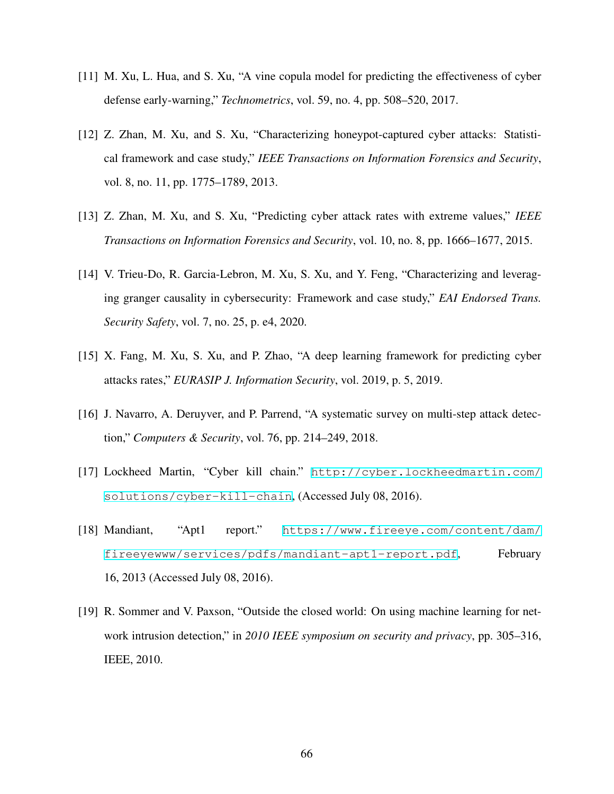- [11] M. Xu, L. Hua, and S. Xu, "A vine copula model for predicting the effectiveness of cyber defense early-warning," *Technometrics*, vol. 59, no. 4, pp. 508–520, 2017.
- [12] Z. Zhan, M. Xu, and S. Xu, "Characterizing honeypot-captured cyber attacks: Statistical framework and case study," *IEEE Transactions on Information Forensics and Security*, vol. 8, no. 11, pp. 1775–1789, 2013.
- [13] Z. Zhan, M. Xu, and S. Xu, "Predicting cyber attack rates with extreme values," *IEEE Transactions on Information Forensics and Security*, vol. 10, no. 8, pp. 1666–1677, 2015.
- <span id="page-76-0"></span>[14] V. Trieu-Do, R. Garcia-Lebron, M. Xu, S. Xu, and Y. Feng, "Characterizing and leveraging granger causality in cybersecurity: Framework and case study," *EAI Endorsed Trans. Security Safety*, vol. 7, no. 25, p. e4, 2020.
- [15] X. Fang, M. Xu, S. Xu, and P. Zhao, "A deep learning framework for predicting cyber attacks rates," *EURASIP J. Information Security*, vol. 2019, p. 5, 2019.
- [16] J. Navarro, A. Deruyver, and P. Parrend, "A systematic survey on multi-step attack detection," *Computers & Security*, vol. 76, pp. 214–249, 2018.
- [17] Lockheed Martin, "Cyber kill chain." [http://cyber.lockheedmartin.com/](http://cyber.lockheedmartin.com/solutions/cyber-kill-chain) [solutions/cyber-kill-chain](http://cyber.lockheedmartin.com/solutions/cyber-kill-chain), (Accessed July 08, 2016).
- [18] Mandiant, "Apt1 report." [https://www.fireeye.com/content/dam/](https://www.fireeye.com/content/dam/fireeyewww/services/pdfs/mandiant-apt1-report.pdf) [fireeyewww/services/pdfs/mandiant-apt1-report.pdf](https://www.fireeye.com/content/dam/fireeyewww/services/pdfs/mandiant-apt1-report.pdf), February 16, 2013 (Accessed July 08, 2016).
- [19] R. Sommer and V. Paxson, "Outside the closed world: On using machine learning for network intrusion detection," in *2010 IEEE symposium on security and privacy*, pp. 305–316, IEEE, 2010.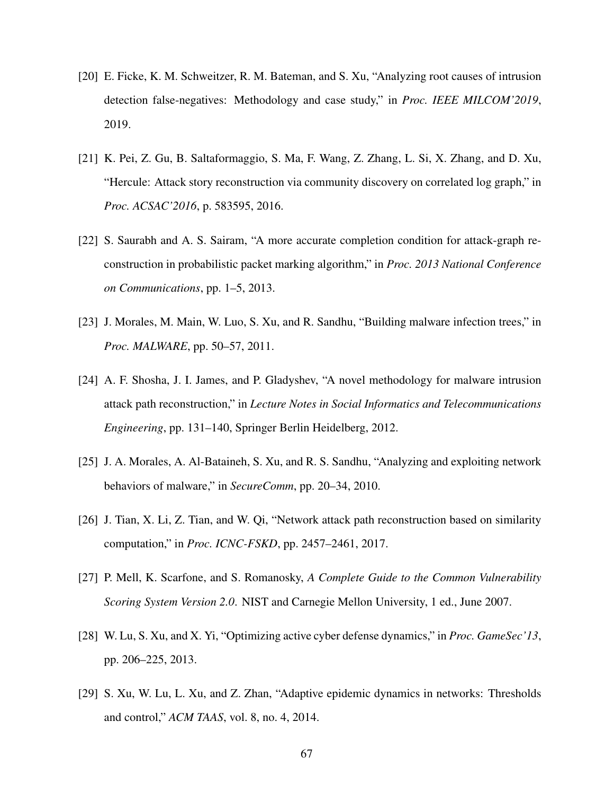- [20] E. Ficke, K. M. Schweitzer, R. M. Bateman, and S. Xu, "Analyzing root causes of intrusion detection false-negatives: Methodology and case study," in *Proc. IEEE MILCOM'2019*, 2019.
- [21] K. Pei, Z. Gu, B. Saltaformaggio, S. Ma, F. Wang, Z. Zhang, L. Si, X. Zhang, and D. Xu, "Hercule: Attack story reconstruction via community discovery on correlated log graph," in *Proc. ACSAC'2016*, p. 583595, 2016.
- [22] S. Saurabh and A. S. Sairam, "A more accurate completion condition for attack-graph reconstruction in probabilistic packet marking algorithm," in *Proc. 2013 National Conference on Communications*, pp. 1–5, 2013.
- [23] J. Morales, M. Main, W. Luo, S. Xu, and R. Sandhu, "Building malware infection trees," in *Proc. MALWARE*, pp. 50–57, 2011.
- [24] A. F. Shosha, J. I. James, and P. Gladyshev, "A novel methodology for malware intrusion attack path reconstruction," in *Lecture Notes in Social Informatics and Telecommunications Engineering*, pp. 131–140, Springer Berlin Heidelberg, 2012.
- [25] J. A. Morales, A. Al-Bataineh, S. Xu, and R. S. Sandhu, "Analyzing and exploiting network behaviors of malware," in *SecureComm*, pp. 20–34, 2010.
- [26] J. Tian, X. Li, Z. Tian, and W. Qi, "Network attack path reconstruction based on similarity computation," in *Proc. ICNC-FSKD*, pp. 2457–2461, 2017.
- [27] P. Mell, K. Scarfone, and S. Romanosky, *A Complete Guide to the Common Vulnerability Scoring System Version 2.0*. NIST and Carnegie Mellon University, 1 ed., June 2007.
- <span id="page-77-0"></span>[28] W. Lu, S. Xu, and X. Yi, "Optimizing active cyber defense dynamics," in *Proc. GameSec'13*, pp. 206–225, 2013.
- [29] S. Xu, W. Lu, L. Xu, and Z. Zhan, "Adaptive epidemic dynamics in networks: Thresholds and control," *ACM TAAS*, vol. 8, no. 4, 2014.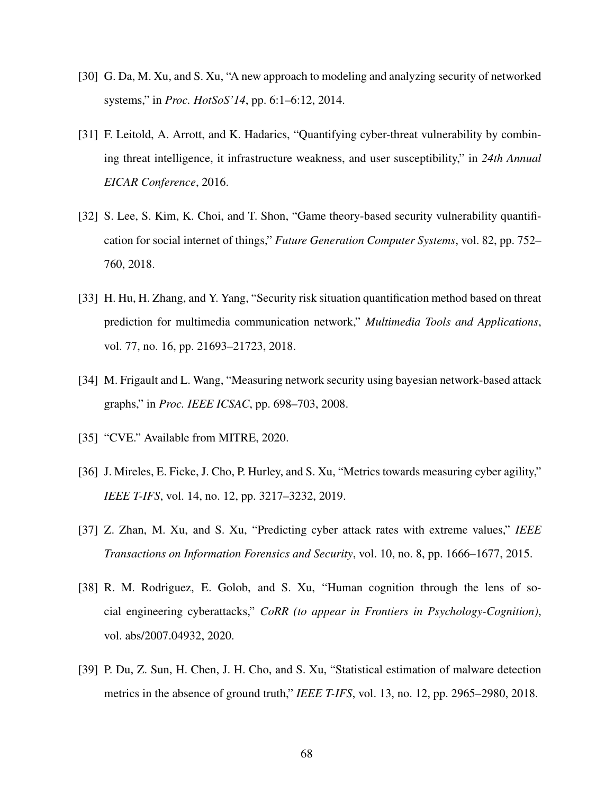- <span id="page-78-1"></span>[30] G. Da, M. Xu, and S. Xu, "A new approach to modeling and analyzing security of networked systems," in *Proc. HotSoS'14*, pp. 6:1–6:12, 2014.
- [31] F. Leitold, A. Arrott, and K. Hadarics, "Quantifying cyber-threat vulnerability by combining threat intelligence, it infrastructure weakness, and user susceptibility," in *24th Annual EICAR Conference*, 2016.
- [32] S. Lee, S. Kim, K. Choi, and T. Shon, "Game theory-based security vulnerability quantification for social internet of things," *Future Generation Computer Systems*, vol. 82, pp. 752– 760, 2018.
- [33] H. Hu, H. Zhang, and Y. Yang, "Security risk situation quantification method based on threat prediction for multimedia communication network," *Multimedia Tools and Applications*, vol. 77, no. 16, pp. 21693–21723, 2018.
- [34] M. Frigault and L. Wang, "Measuring network security using bayesian network-based attack graphs," in *Proc. IEEE ICSAC*, pp. 698–703, 2008.
- <span id="page-78-0"></span>[35] "CVE." Available from MITRE, 2020.
- [36] J. Mireles, E. Ficke, J. Cho, P. Hurley, and S. Xu, "Metrics towards measuring cyber agility," *IEEE T-IFS*, vol. 14, no. 12, pp. 3217–3232, 2019.
- [37] Z. Zhan, M. Xu, and S. Xu, "Predicting cyber attack rates with extreme values," *IEEE Transactions on Information Forensics and Security*, vol. 10, no. 8, pp. 1666–1677, 2015.
- [38] R. M. Rodriguez, E. Golob, and S. Xu, "Human cognition through the lens of social engineering cyberattacks," *CoRR (to appear in Frontiers in Psychology-Cognition)*, vol. abs/2007.04932, 2020.
- [39] P. Du, Z. Sun, H. Chen, J. H. Cho, and S. Xu, "Statistical estimation of malware detection metrics in the absence of ground truth," *IEEE T-IFS*, vol. 13, no. 12, pp. 2965–2980, 2018.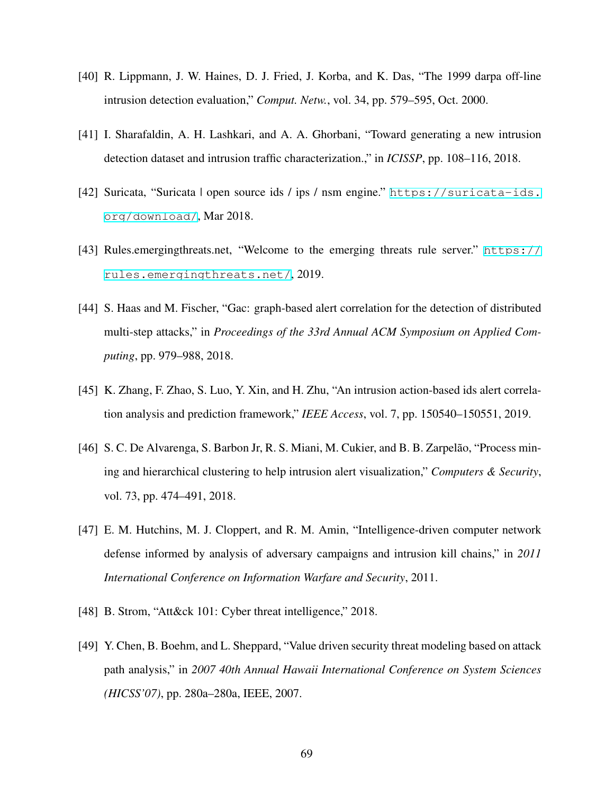- [40] R. Lippmann, J. W. Haines, D. J. Fried, J. Korba, and K. Das, "The 1999 darpa off-line intrusion detection evaluation," *Comput. Netw.*, vol. 34, pp. 579–595, Oct. 2000.
- [41] I. Sharafaldin, A. H. Lashkari, and A. A. Ghorbani, "Toward generating a new intrusion detection dataset and intrusion traffic characterization.," in *ICISSP*, pp. 108–116, 2018.
- [42] Suricata, "Suricata | open source ids / ips / nsm engine." [https://suricata-ids.](https://suricata-ids.org/download/) [org/download/](https://suricata-ids.org/download/), Mar 2018.
- [43] Rules.emergingthreats.net, "Welcome to the emerging threats rule server." [https://](https://rules.emergingthreats.net/) [rules.emergingthreats.net/](https://rules.emergingthreats.net/), 2019.
- [44] S. Haas and M. Fischer, "Gac: graph-based alert correlation for the detection of distributed multi-step attacks," in *Proceedings of the 33rd Annual ACM Symposium on Applied Computing*, pp. 979–988, 2018.
- [45] K. Zhang, F. Zhao, S. Luo, Y. Xin, and H. Zhu, "An intrusion action-based ids alert correlation analysis and prediction framework," *IEEE Access*, vol. 7, pp. 150540–150551, 2019.
- [46] S. C. De Alvarenga, S. Barbon Jr, R. S. Miani, M. Cukier, and B. B. Zarpelão, "Process mining and hierarchical clustering to help intrusion alert visualization," *Computers & Security*, vol. 73, pp. 474–491, 2018.
- [47] E. M. Hutchins, M. J. Cloppert, and R. M. Amin, "Intelligence-driven computer network defense informed by analysis of adversary campaigns and intrusion kill chains," in *2011 International Conference on Information Warfare and Security*, 2011.
- [48] B. Strom, "Att&ck 101: Cyber threat intelligence," 2018.
- [49] Y. Chen, B. Boehm, and L. Sheppard, "Value driven security threat modeling based on attack path analysis," in *2007 40th Annual Hawaii International Conference on System Sciences (HICSS'07)*, pp. 280a–280a, IEEE, 2007.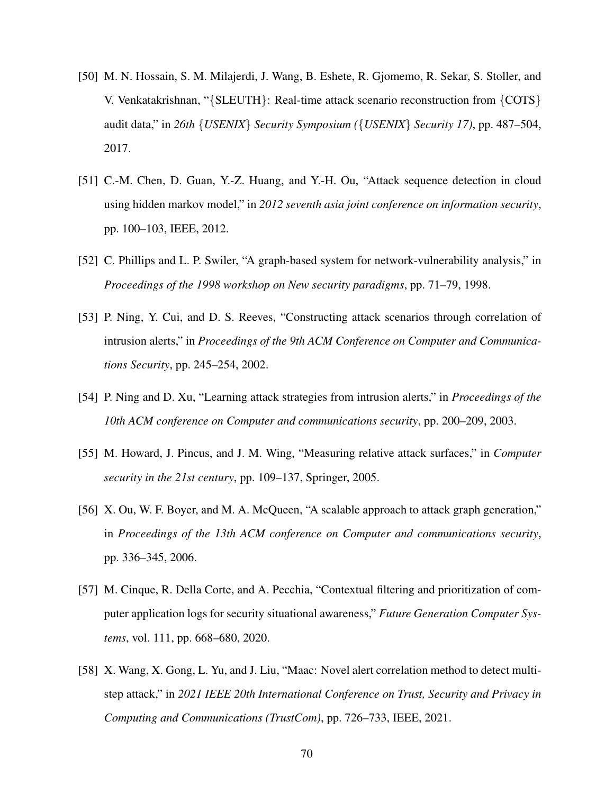- [50] M. N. Hossain, S. M. Milajerdi, J. Wang, B. Eshete, R. Gjomemo, R. Sekar, S. Stoller, and V. Venkatakrishnan, "*{*SLEUTH*}*: Real-time attack scenario reconstruction from *{*COTS*}* audit data," in *26th {USENIX} Security Symposium ({USENIX} Security 17)*, pp. 487–504, 2017.
- [51] C.-M. Chen, D. Guan, Y.-Z. Huang, and Y.-H. Ou, "Attack sequence detection in cloud using hidden markov model," in *2012 seventh asia joint conference on information security*, pp. 100–103, IEEE, 2012.
- [52] C. Phillips and L. P. Swiler, "A graph-based system for network-vulnerability analysis," in *Proceedings of the 1998 workshop on New security paradigms*, pp. 71–79, 1998.
- [53] P. Ning, Y. Cui, and D. S. Reeves, "Constructing attack scenarios through correlation of intrusion alerts," in *Proceedings of the 9th ACM Conference on Computer and Communications Security*, pp. 245–254, 2002.
- [54] P. Ning and D. Xu, "Learning attack strategies from intrusion alerts," in *Proceedings of the 10th ACM conference on Computer and communications security*, pp. 200–209, 2003.
- [55] M. Howard, J. Pincus, and J. M. Wing, "Measuring relative attack surfaces," in *Computer security in the 21st century*, pp. 109–137, Springer, 2005.
- [56] X. Ou, W. F. Boyer, and M. A. McQueen, "A scalable approach to attack graph generation," in *Proceedings of the 13th ACM conference on Computer and communications security*, pp. 336–345, 2006.
- [57] M. Cinque, R. Della Corte, and A. Pecchia, "Contextual filtering and prioritization of computer application logs for security situational awareness," *Future Generation Computer Systems*, vol. 111, pp. 668–680, 2020.
- [58] X. Wang, X. Gong, L. Yu, and J. Liu, "Maac: Novel alert correlation method to detect multistep attack," in *2021 IEEE 20th International Conference on Trust, Security and Privacy in Computing and Communications (TrustCom)*, pp. 726–733, IEEE, 2021.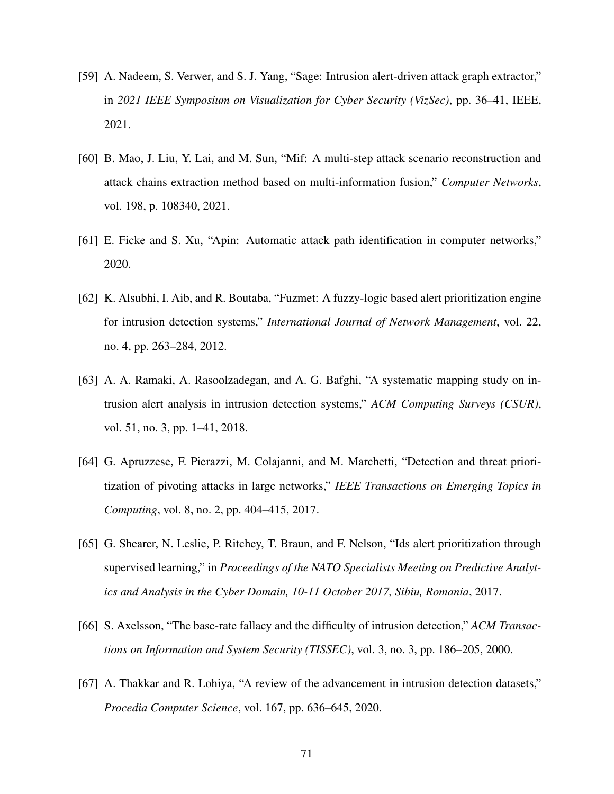- [59] A. Nadeem, S. Verwer, and S. J. Yang, "Sage: Intrusion alert-driven attack graph extractor," in *2021 IEEE Symposium on Visualization for Cyber Security (VizSec)*, pp. 36–41, IEEE, 2021.
- [60] B. Mao, J. Liu, Y. Lai, and M. Sun, "Mif: A multi-step attack scenario reconstruction and attack chains extraction method based on multi-information fusion," *Computer Networks*, vol. 198, p. 108340, 2021.
- [61] E. Ficke and S. Xu, "Apin: Automatic attack path identification in computer networks," 2020.
- [62] K. Alsubhi, I. Aib, and R. Boutaba, "Fuzmet: A fuzzy-logic based alert prioritization engine for intrusion detection systems," *International Journal of Network Management*, vol. 22, no. 4, pp. 263–284, 2012.
- [63] A. A. Ramaki, A. Rasoolzadegan, and A. G. Bafghi, "A systematic mapping study on intrusion alert analysis in intrusion detection systems," *ACM Computing Surveys (CSUR)*, vol. 51, no. 3, pp. 1–41, 2018.
- [64] G. Apruzzese, F. Pierazzi, M. Colajanni, and M. Marchetti, "Detection and threat prioritization of pivoting attacks in large networks," *IEEE Transactions on Emerging Topics in Computing*, vol. 8, no. 2, pp. 404–415, 2017.
- [65] G. Shearer, N. Leslie, P. Ritchey, T. Braun, and F. Nelson, "Ids alert prioritization through supervised learning," in *Proceedings of the NATO Specialists Meeting on Predictive Analytics and Analysis in the Cyber Domain, 10-11 October 2017, Sibiu, Romania*, 2017.
- [66] S. Axelsson, "The base-rate fallacy and the difficulty of intrusion detection," *ACM Transactions on Information and System Security (TISSEC)*, vol. 3, no. 3, pp. 186–205, 2000.
- [67] A. Thakkar and R. Lohiya, "A review of the advancement in intrusion detection datasets," *Procedia Computer Science*, vol. 167, pp. 636–645, 2020.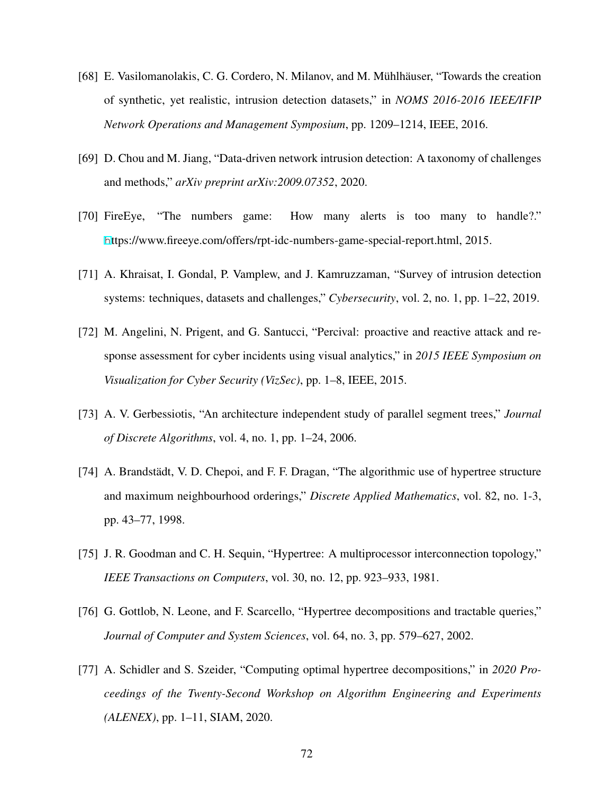- [68] E. Vasilomanolakis, C. G. Cordero, N. Milanov, and M. Mühlhäuser, "Towards the creation of synthetic, yet realistic, intrusion detection datasets," in *NOMS 2016-2016 IEEE/IFIP Network Operations and Management Symposium*, pp. 1209–1214, IEEE, 2016.
- [69] D. Chou and M. Jiang, "Data-driven network intrusion detection: A taxonomy of challenges and methods," *arXiv preprint arXiv:2009.07352*, 2020.
- [70] FireEye, "The numbers game: How many alerts is too many to handle?." <h>ttps://www.fireeye.com/offers/rpt-idc-numbers-game-special-report.html, 2015.
- [71] A. Khraisat, I. Gondal, P. Vamplew, and J. Kamruzzaman, "Survey of intrusion detection systems: techniques, datasets and challenges," *Cybersecurity*, vol. 2, no. 1, pp. 1–22, 2019.
- [72] M. Angelini, N. Prigent, and G. Santucci, "Percival: proactive and reactive attack and response assessment for cyber incidents using visual analytics," in *2015 IEEE Symposium on Visualization for Cyber Security (VizSec)*, pp. 1–8, IEEE, 2015.
- [73] A. V. Gerbessiotis, "An architecture independent study of parallel segment trees," *Journal of Discrete Algorithms*, vol. 4, no. 1, pp. 1–24, 2006.
- [74] A. Brandstädt, V. D. Chepoi, and F. F. Dragan, "The algorithmic use of hypertree structure and maximum neighbourhood orderings," *Discrete Applied Mathematics*, vol. 82, no. 1-3, pp. 43–77, 1998.
- [75] J. R. Goodman and C. H. Sequin, "Hypertree: A multiprocessor interconnection topology," *IEEE Transactions on Computers*, vol. 30, no. 12, pp. 923–933, 1981.
- [76] G. Gottlob, N. Leone, and F. Scarcello, "Hypertree decompositions and tractable queries," *Journal of Computer and System Sciences*, vol. 64, no. 3, pp. 579–627, 2002.
- [77] A. Schidler and S. Szeider, "Computing optimal hypertree decompositions," in *2020 Proceedings of the Twenty-Second Workshop on Algorithm Engineering and Experiments (ALENEX)*, pp. 1–11, SIAM, 2020.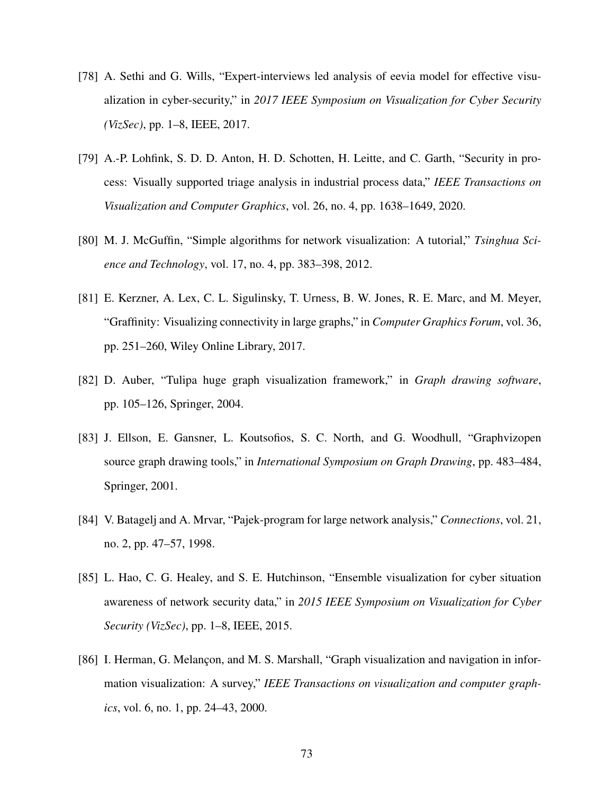- [78] A. Sethi and G. Wills, "Expert-interviews led analysis of eevia model for effective visualization in cyber-security," in *2017 IEEE Symposium on Visualization for Cyber Security (VizSec)*, pp. 1–8, IEEE, 2017.
- [79] A.-P. Lohfink, S. D. D. Anton, H. D. Schotten, H. Leitte, and C. Garth, "Security in process: Visually supported triage analysis in industrial process data," *IEEE Transactions on Visualization and Computer Graphics*, vol. 26, no. 4, pp. 1638–1649, 2020.
- [80] M. J. McGuffin, "Simple algorithms for network visualization: A tutorial," *Tsinghua Science and Technology*, vol. 17, no. 4, pp. 383–398, 2012.
- [81] E. Kerzner, A. Lex, C. L. Sigulinsky, T. Urness, B. W. Jones, R. E. Marc, and M. Meyer, "Graffinity: Visualizing connectivity in large graphs," in *Computer Graphics Forum*, vol. 36, pp. 251–260, Wiley Online Library, 2017.
- [82] D. Auber, "Tulipa huge graph visualization framework," in *Graph drawing software*, pp. 105–126, Springer, 2004.
- [83] J. Ellson, E. Gansner, L. Koutsofios, S. C. North, and G. Woodhull, "Graphvizopen source graph drawing tools," in *International Symposium on Graph Drawing*, pp. 483–484, Springer, 2001.
- [84] V. Batagelj and A. Mrvar, "Pajek-program for large network analysis," *Connections*, vol. 21, no. 2, pp. 47–57, 1998.
- [85] L. Hao, C. G. Healey, and S. E. Hutchinson, "Ensemble visualization for cyber situation awareness of network security data," in *2015 IEEE Symposium on Visualization for Cyber Security (VizSec)*, pp. 1–8, IEEE, 2015.
- [86] I. Herman, G. Melançon, and M. S. Marshall, "Graph visualization and navigation in information visualization: A survey," *IEEE Transactions on visualization and computer graphics*, vol. 6, no. 1, pp. 24–43, 2000.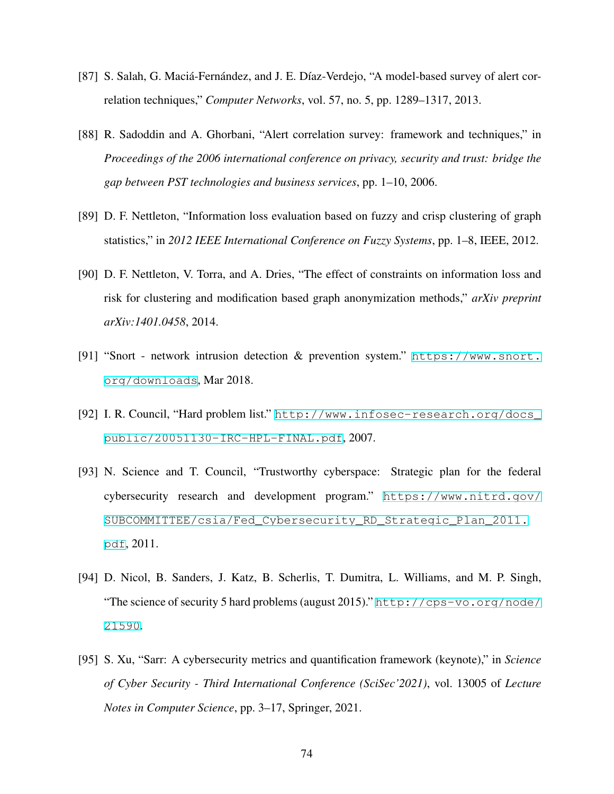- [87] S. Salah, G. Maciá-Fernández, and J. E. Díaz-Verdejo, "A model-based survey of alert correlation techniques," *Computer Networks*, vol. 57, no. 5, pp. 1289–1317, 2013.
- [88] R. Sadoddin and A. Ghorbani, "Alert correlation survey: framework and techniques," in *Proceedings of the 2006 international conference on privacy, security and trust: bridge the gap between PST technologies and business services*, pp. 1–10, 2006.
- [89] D. F. Nettleton, "Information loss evaluation based on fuzzy and crisp clustering of graph statistics," in *2012 IEEE International Conference on Fuzzy Systems*, pp. 1–8, IEEE, 2012.
- [90] D. F. Nettleton, V. Torra, and A. Dries, "The effect of constraints on information loss and risk for clustering and modification based graph anonymization methods," *arXiv preprint arXiv:1401.0458*, 2014.
- [91] "Snort network intrusion detection & prevention system." [https://www.snort.](https://www.snort.org/downloads) [org/downloads](https://www.snort.org/downloads), Mar 2018.
- <span id="page-84-0"></span>[92] I. R. Council, "Hard problem list." [http://www.infosec-research.org/docs\\_](http://www.infosec-research.org/docs_public/20051130-IRC-HPL-FINAL.pdf) [public/20051130-IRC-HPL-FINAL.pdf](http://www.infosec-research.org/docs_public/20051130-IRC-HPL-FINAL.pdf), 2007.
- [93] N. Science and T. Council, "Trustworthy cyberspace: Strategic plan for the federal cybersecurity research and development program." [https://www.nitrd.gov/](https://www.nitrd.gov/SUBCOMMITTEE/csia/Fed_Cybersecurity_RD_Strategic_Plan_2011.pdf) [SUBCOMMITTEE/csia/Fed\\_Cybersecurity\\_RD\\_Strategic\\_Plan\\_2011.](https://www.nitrd.gov/SUBCOMMITTEE/csia/Fed_Cybersecurity_RD_Strategic_Plan_2011.pdf) [pdf](https://www.nitrd.gov/SUBCOMMITTEE/csia/Fed_Cybersecurity_RD_Strategic_Plan_2011.pdf), 2011.
- <span id="page-84-1"></span>[94] D. Nicol, B. Sanders, J. Katz, B. Scherlis, T. Dumitra, L. Williams, and M. P. Singh, "The science of security 5 hard problems (august 2015)." [http://cps-vo.org/node/](http://cps-vo.org/node/21590) [21590](http://cps-vo.org/node/21590).
- <span id="page-84-2"></span>[95] S. Xu, "Sarr: A cybersecurity metrics and quantification framework (keynote)," in *Science of Cyber Security - Third International Conference (SciSec'2021)*, vol. 13005 of *Lecture Notes in Computer Science*, pp. 3–17, Springer, 2021.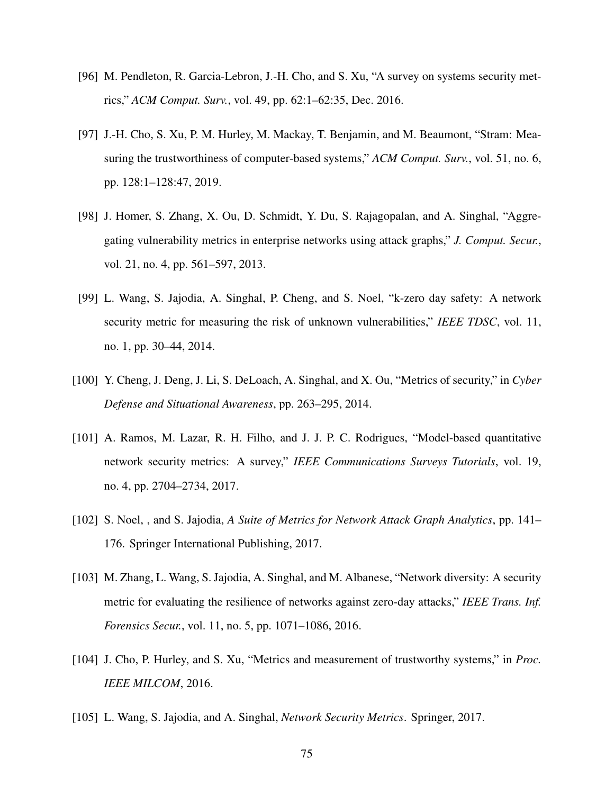- [96] M. Pendleton, R. Garcia-Lebron, J.-H. Cho, and S. Xu, "A survey on systems security metrics," *ACM Comput. Surv.*, vol. 49, pp. 62:1–62:35, Dec. 2016.
- [97] J.-H. Cho, S. Xu, P. M. Hurley, M. Mackay, T. Benjamin, and M. Beaumont, "Stram: Measuring the trustworthiness of computer-based systems," *ACM Comput. Surv.*, vol. 51, no. 6, pp. 128:1–128:47, 2019.
- [98] J. Homer, S. Zhang, X. Ou, D. Schmidt, Y. Du, S. Rajagopalan, and A. Singhal, "Aggregating vulnerability metrics in enterprise networks using attack graphs," *J. Comput. Secur.*, vol. 21, no. 4, pp. 561–597, 2013.
- [99] L. Wang, S. Jajodia, A. Singhal, P. Cheng, and S. Noel, "k-zero day safety: A network security metric for measuring the risk of unknown vulnerabilities," *IEEE TDSC*, vol. 11, no. 1, pp. 30–44, 2014.
- [100] Y. Cheng, J. Deng, J. Li, S. DeLoach, A. Singhal, and X. Ou, "Metrics of security," in *Cyber Defense and Situational Awareness*, pp. 263–295, 2014.
- [101] A. Ramos, M. Lazar, R. H. Filho, and J. J. P. C. Rodrigues, "Model-based quantitative network security metrics: A survey," *IEEE Communications Surveys Tutorials*, vol. 19, no. 4, pp. 2704–2734, 2017.
- [102] S. Noel, , and S. Jajodia, *A Suite of Metrics for Network Attack Graph Analytics*, pp. 141– 176. Springer International Publishing, 2017.
- [103] M. Zhang, L. Wang, S. Jajodia, A. Singhal, and M. Albanese, "Network diversity: A security metric for evaluating the resilience of networks against zero-day attacks," *IEEE Trans. Inf. Forensics Secur.*, vol. 11, no. 5, pp. 1071–1086, 2016.
- [104] J. Cho, P. Hurley, and S. Xu, "Metrics and measurement of trustworthy systems," in *Proc. IEEE MILCOM*, 2016.
- [105] L. Wang, S. Jajodia, and A. Singhal, *Network Security Metrics*. Springer, 2017.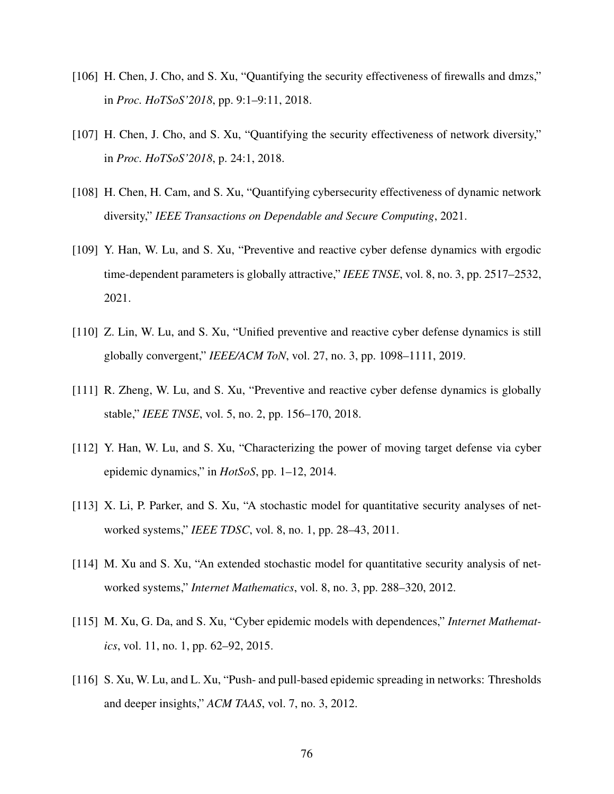- [106] H. Chen, J. Cho, and S. Xu, "Quantifying the security effectiveness of firewalls and dmzs," in *Proc. HoTSoS'2018*, pp. 9:1–9:11, 2018.
- [107] H. Chen, J. Cho, and S. Xu, "Quantifying the security effectiveness of network diversity," in *Proc. HoTSoS'2018*, p. 24:1, 2018.
- <span id="page-86-0"></span>[108] H. Chen, H. Cam, and S. Xu, "Quantifying cybersecurity effectiveness of dynamic network diversity," *IEEE Transactions on Dependable and Secure Computing*, 2021.
- <span id="page-86-1"></span>[109] Y. Han, W. Lu, and S. Xu, "Preventive and reactive cyber defense dynamics with ergodic time-dependent parameters is globally attractive," *IEEE TNSE*, vol. 8, no. 3, pp. 2517–2532, 2021.
- [110] Z. Lin, W. Lu, and S. Xu, "Unified preventive and reactive cyber defense dynamics is still globally convergent," *IEEE/ACM ToN*, vol. 27, no. 3, pp. 1098–1111, 2019.
- <span id="page-86-2"></span>[111] R. Zheng, W. Lu, and S. Xu, "Preventive and reactive cyber defense dynamics is globally stable," *IEEE TNSE*, vol. 5, no. 2, pp. 156–170, 2018.
- [112] Y. Han, W. Lu, and S. Xu, "Characterizing the power of moving target defense via cyber epidemic dynamics," in *HotSoS*, pp. 1–12, 2014.
- [113] X. Li, P. Parker, and S. Xu, "A stochastic model for quantitative security analyses of networked systems," *IEEE TDSC*, vol. 8, no. 1, pp. 28–43, 2011.
- [114] M. Xu and S. Xu, "An extended stochastic model for quantitative security analysis of networked systems," *Internet Mathematics*, vol. 8, no. 3, pp. 288–320, 2012.
- [115] M. Xu, G. Da, and S. Xu, "Cyber epidemic models with dependences," *Internet Mathematics*, vol. 11, no. 1, pp. 62–92, 2015.
- [116] S. Xu, W. Lu, and L. Xu, "Push- and pull-based epidemic spreading in networks: Thresholds and deeper insights," *ACM TAAS*, vol. 7, no. 3, 2012.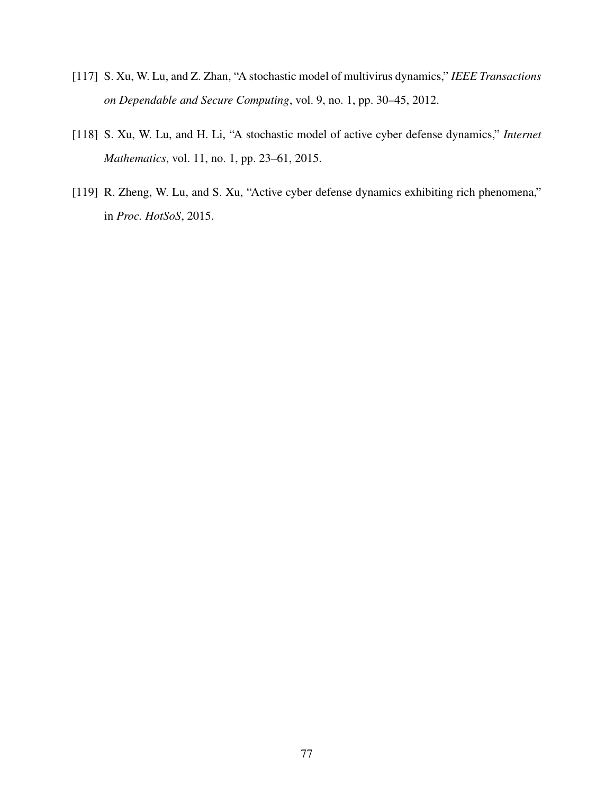- [117] S. Xu, W. Lu, and Z. Zhan, "A stochastic model of multivirus dynamics," *IEEE Transactions on Dependable and Secure Computing*, vol. 9, no. 1, pp. 30–45, 2012.
- [118] S. Xu, W. Lu, and H. Li, "A stochastic model of active cyber defense dynamics," *Internet Mathematics*, vol. 11, no. 1, pp. 23–61, 2015.
- <span id="page-87-0"></span>[119] R. Zheng, W. Lu, and S. Xu, "Active cyber defense dynamics exhibiting rich phenomena," in *Proc. HotSoS*, 2015.